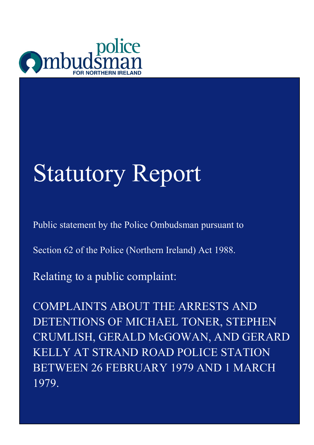

# Statutory Report

Public statement by the Police Ombudsman pursuant to

Section 62 of the Police (Northern Ireland) Act 1988.

Relating to a public complaint:

COMPLAINTS ABOUT THE ARRESTS AND DETENTIONS OF MICHAEL TONER, STEPHEN CRUMLISH, GERALD McGOWAN, AND GERARD KELLY AT STRAND ROAD POLICE STATION BETWEEN 26 FEBRUARY 1979 AND 1 MARCH 1979.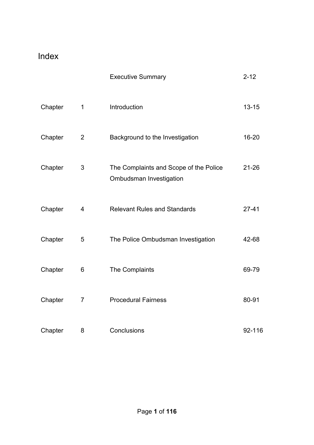### Index

|         |                | <b>Executive Summary</b>                                                 | $2 - 12$  |
|---------|----------------|--------------------------------------------------------------------------|-----------|
| Chapter | $\mathbf 1$    | Introduction                                                             | $13 - 15$ |
| Chapter | $\overline{2}$ | Background to the Investigation                                          | 16-20     |
| Chapter | 3              | The Complaints and Scope of the Police<br><b>Ombudsman Investigation</b> | $21 - 26$ |
| Chapter | 4              | <b>Relevant Rules and Standards</b>                                      | $27 - 41$ |
| Chapter | 5              | The Police Ombudsman Investigation                                       | 42-68     |
| Chapter | 6              | The Complaints                                                           | 69-79     |
| Chapter | $\overline{7}$ | <b>Procedural Fairness</b>                                               | 80-91     |
| Chapter | 8              | Conclusions                                                              | 92-116    |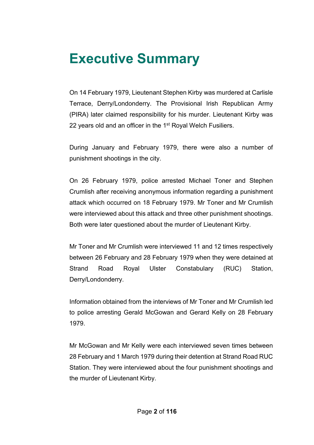### **Executive Summary**

On 14 February 1979, Lieutenant Stephen Kirby was murdered at Carlisle Terrace, Derry/Londonderry. The Provisional Irish Republican Army (PIRA) later claimed responsibility for his murder. Lieutenant Kirby was 22 years old and an officer in the 1<sup>st</sup> Royal Welch Fusiliers.

During January and February 1979, there were also a number of punishment shootings in the city.

On 26 February 1979, police arrested Michael Toner and Stephen Crumlish after receiving anonymous information regarding a punishment attack which occurred on 18 February 1979. Mr Toner and Mr Crumlish were interviewed about this attack and three other punishment shootings. Both were later questioned about the murder of Lieutenant Kirby.

Mr Toner and Mr Crumlish were interviewed 11 and 12 times respectively between 26 February and 28 February 1979 when they were detained at Strand Road Royal Ulster Constabulary (RUC) Station, Derry/Londonderry.

Information obtained from the interviews of Mr Toner and Mr Crumlish led to police arresting Gerald McGowan and Gerard Kelly on 28 February 1979.

Mr McGowan and Mr Kelly were each interviewed seven times between 28 February and 1 March 1979 during their detention at Strand Road RUC Station. They were interviewed about the four punishment shootings and the murder of Lieutenant Kirby.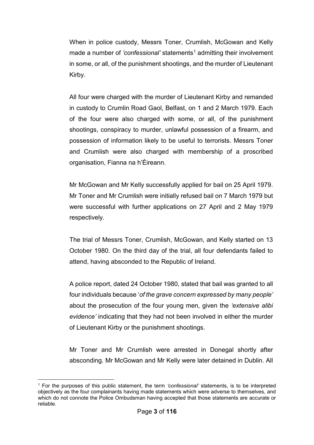When in police custody, Messrs Toner, Crumlish, McGowan and Kelly made a number of *'confessional'* statements<sup>[1](#page-3-0)</sup> admitting their involvement in some, or all, of the punishment shootings, and the murder of Lieutenant Kirby.

All four were charged with the murder of Lieutenant Kirby and remanded in custody to Crumlin Road Gaol, Belfast, on 1 and 2 March 1979. Each of the four were also charged with some, or all, of the punishment shootings, conspiracy to murder, unlawful possession of a firearm, and possession of information likely to be useful to terrorists. Messrs Toner and Crumlish were also charged with membership of a proscribed organisation, Fianna na h'Éireann.

Mr McGowan and Mr Kelly successfully applied for bail on 25 April 1979. Mr Toner and Mr Crumlish were initially refused bail on 7 March 1979 but were successful with further applications on 27 April and 2 May 1979 respectively.

The trial of Messrs Toner, Crumlish, McGowan, and Kelly started on 13 October 1980. On the third day of the trial, all four defendants failed to attend, having absconded to the Republic of Ireland.

A police report, dated 24 October 1980, stated that bail was granted to all four individuals because '*of the grave concern expressed by many people'*  about the prosecution of the four young men, given the *'extensive alibi evidence'* indicating that they had not been involved in either the murder of Lieutenant Kirby or the punishment shootings.

Mr Toner and Mr Crumlish were arrested in Donegal shortly after absconding. Mr McGowan and Mr Kelly were later detained in Dublin. All

<span id="page-3-0"></span><sup>&</sup>lt;u>.</u> <sup>1</sup> For the purposes of this public statement, the term *'confessional'* statements, is to be interpreted objectively as the four complainants having made statements which were adverse to themselves, and which do not connote the Police Ombudsman having accepted that those statements are accurate or reliable.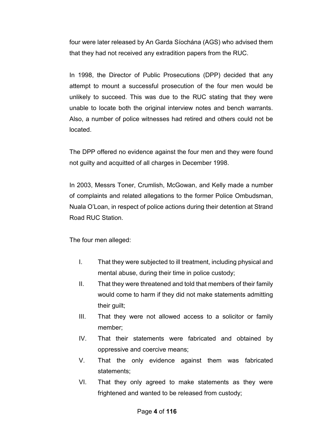four were later released by An Garda Síochána (AGS) who advised them that they had not received any extradition papers from the RUC.

In 1998, the Director of Public Prosecutions (DPP) decided that any attempt to mount a successful prosecution of the four men would be unlikely to succeed. This was due to the RUC stating that they were unable to locate both the original interview notes and bench warrants. Also, a number of police witnesses had retired and others could not be located.

The DPP offered no evidence against the four men and they were found not guilty and acquitted of all charges in December 1998.

In 2003, Messrs Toner, Crumlish, McGowan, and Kelly made a number of complaints and related allegations to the former Police Ombudsman, Nuala O'Loan, in respect of police actions during their detention at Strand Road RUC Station.

The four men alleged:

- I. That they were subjected to ill treatment, including physical and mental abuse, during their time in police custody;
- II. That they were threatened and told that members of their family would come to harm if they did not make statements admitting their guilt;
- III. That they were not allowed access to a solicitor or family member;
- IV. That their statements were fabricated and obtained by oppressive and coercive means;
- V. That the only evidence against them was fabricated statements;
- VI. That they only agreed to make statements as they were frightened and wanted to be released from custody;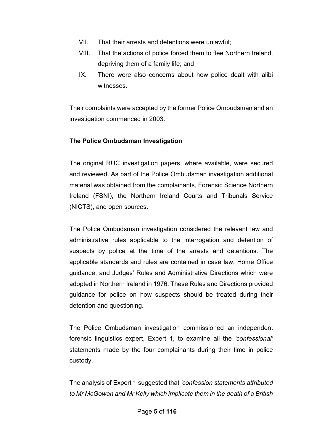- VII. That their arrests and detentions were unlawful;
- VIII. That the actions of police forced them to flee Northern Ireland, depriving them of a family life; and
- IX. There were also concerns about how police dealt with alibi witnesses.

Their complaints were accepted by the former Police Ombudsman and an investigation commenced in 2003.

### **The Police Ombudsman Investigation**

The original RUC investigation papers, where available, were secured and reviewed. As part of the Police Ombudsman investigation additional material was obtained from the complainants, Forensic Science Northern Ireland (FSNI), the Northern Ireland Courts and Tribunals Service (NICTS), and open sources.

The Police Ombudsman investigation considered the relevant law and administrative rules applicable to the interrogation and detention of suspects by police at the time of the arrests and detentions. The applicable standards and rules are contained in case law, Home Office guidance, and Judges' Rules and Administrative Directions which were adopted in Northern Ireland in 1976. These Rules and Directions provided guidance for police on how suspects should be treated during their detention and questioning.

The Police Ombudsman investigation commissioned an independent forensic linguistics expert, Expert 1, to examine all the *'confessional'* statements made by the four complainants during their time in police custody.

The analysis of Expert 1 suggested that *'confession statements attributed to Mr McGowan and Mr Kelly which implicate them in the death of a British*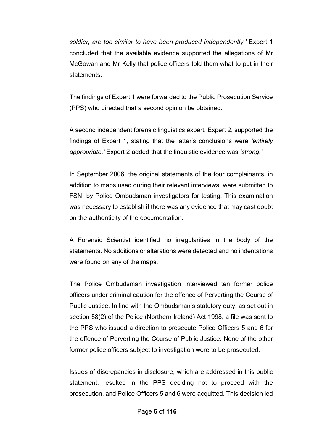*soldier, are too similar to have been produced independently.'* Expert 1 concluded that the available evidence supported the allegations of Mr McGowan and Mr Kelly that police officers told them what to put in their statements.

The findings of Expert 1 were forwarded to the Public Prosecution Service (PPS) who directed that a second opinion be obtained.

A second independent forensic linguistics expert, Expert 2, supported the findings of Expert 1, stating that the latter's conclusions were *'entirely appropriate.'* Expert 2 added that the linguistic evidence was *'strong.'*

In September 2006, the original statements of the four complainants, in addition to maps used during their relevant interviews, were submitted to FSNI by Police Ombudsman investigators for testing. This examination was necessary to establish if there was any evidence that may cast doubt on the authenticity of the documentation.

A Forensic Scientist identified no irregularities in the body of the statements. No additions or alterations were detected and no indentations were found on any of the maps.

The Police Ombudsman investigation interviewed ten former police officers under criminal caution for the offence of Perverting the Course of Public Justice. In line with the Ombudsman's statutory duty, as set out in section 58(2) of the Police (Northern Ireland) Act 1998, a file was sent to the PPS who issued a direction to prosecute Police Officers 5 and 6 for the offence of Perverting the Course of Public Justice. None of the other former police officers subject to investigation were to be prosecuted.

Issues of discrepancies in disclosure, which are addressed in this public statement, resulted in the PPS deciding not to proceed with the prosecution, and Police Officers 5 and 6 were acquitted. This decision led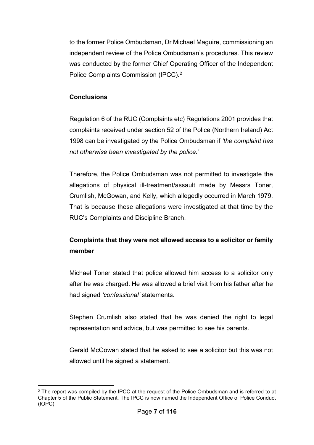to the former Police Ombudsman, Dr Michael Maguire, commissioning an independent review of the Police Ombudsman's procedures. This review was conducted by the former Chief Operating Officer of the Independent Police Complaints Commission (IPCC).[2](#page-7-0)

### **Conclusions**

Regulation 6 of the RUC (Complaints etc) Regulations 2001 provides that complaints received under section 52 of the Police (Northern Ireland) Act 1998 can be investigated by the Police Ombudsman if *'the complaint has not otherwise been investigated by the police.'*

Therefore, the Police Ombudsman was not permitted to investigate the allegations of physical ill-treatment/assault made by Messrs Toner, Crumlish, McGowan, and Kelly, which allegedly occurred in March 1979. That is because these allegations were investigated at that time by the RUC's Complaints and Discipline Branch.

### **Complaints that they were not allowed access to a solicitor or family member**

Michael Toner stated that police allowed him access to a solicitor only after he was charged. He was allowed a brief visit from his father after he had signed *'confessional'* statements.

Stephen Crumlish also stated that he was denied the right to legal representation and advice, but was permitted to see his parents.

Gerald McGowan stated that he asked to see a solicitor but this was not allowed until he signed a statement.

<span id="page-7-0"></span><sup>-</sup> $2$  The report was compiled by the IPCC at the request of the Police Ombudsman and is referred to at Chapter 5 of the Public Statement. The IPCC is now named the Independent Office of Police Conduct (IOPC).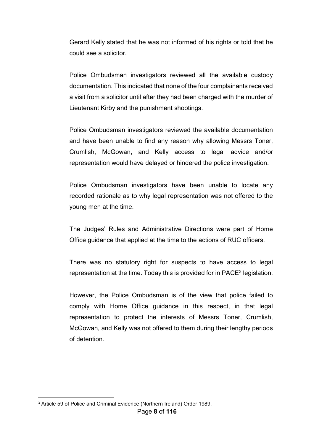Gerard Kelly stated that he was not informed of his rights or told that he could see a solicitor.

Police Ombudsman investigators reviewed all the available custody documentation. This indicated that none of the four complainants received a visit from a solicitor until after they had been charged with the murder of Lieutenant Kirby and the punishment shootings.

Police Ombudsman investigators reviewed the available documentation and have been unable to find any reason why allowing Messrs Toner, Crumlish, McGowan, and Kelly access to legal advice and/or representation would have delayed or hindered the police investigation.

Police Ombudsman investigators have been unable to locate any recorded rationale as to why legal representation was not offered to the young men at the time.

The Judges' Rules and Administrative Directions were part of Home Office guidance that applied at the time to the actions of RUC officers.

There was no statutory right for suspects to have access to legal representation at the time. Today this is provided for in PACE<sup>[3](#page-8-0)</sup> legislation.

However, the Police Ombudsman is of the view that police failed to comply with Home Office guidance in this respect, in that legal representation to protect the interests of Messrs Toner, Crumlish, McGowan, and Kelly was not offered to them during their lengthy periods of detention.

<u>.</u>

<span id="page-8-0"></span><sup>3</sup> Article 59 of Police and Criminal Evidence (Northern Ireland) Order 1989.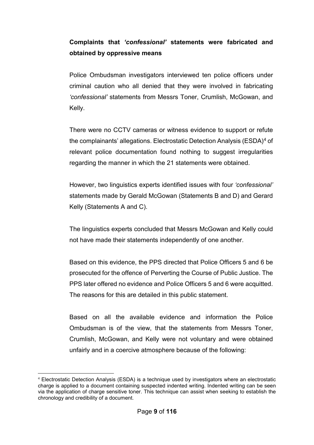### **Complaints that** *'confessional'* **statements were fabricated and obtained by oppressive means**

Police Ombudsman investigators interviewed ten police officers under criminal caution who all denied that they were involved in fabricating *'confessional'* statements from Messrs Toner, Crumlish, McGowan, and Kelly.

There were no CCTV cameras or witness evidence to support or refute the complainants' allegations. Electrostatic Detection Analysis (ESDA)<sup>[4](#page-9-0)</sup> of relevant police documentation found nothing to suggest irregularities regarding the manner in which the 21 statements were obtained.

However, two linguistics experts identified issues with four *'confessional'* statements made by Gerald McGowan (Statements B and D) and Gerard Kelly (Statements A and C).

The linguistics experts concluded that Messrs McGowan and Kelly could not have made their statements independently of one another.

Based on this evidence, the PPS directed that Police Officers 5 and 6 be prosecuted for the offence of Perverting the Course of Public Justice. The PPS later offered no evidence and Police Officers 5 and 6 were acquitted. The reasons for this are detailed in this public statement.

Based on all the available evidence and information the Police Ombudsman is of the view, that the statements from Messrs Toner, Crumlish, McGowan, and Kelly were not voluntary and were obtained unfairly and in a coercive atmosphere because of the following:

<span id="page-9-0"></span> <sup>4</sup> Electrostatic Detection Analysis (ESDA) is a technique used by investigators where an electrostatic charge is applied to a document containing suspected indented writing. Indented writing can be seen via the application of charge sensitive toner. This technique can assist when seeking to establish the chronology and credibility of a document.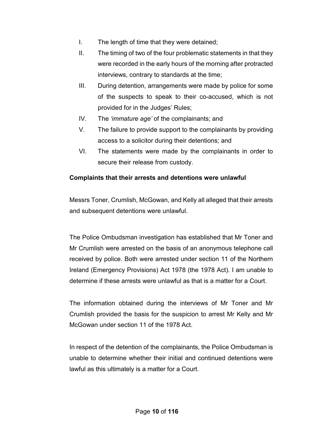- I. The length of time that they were detained;
- II. The timing of two of the four problematic statements in that they were recorded in the early hours of the morning after protracted interviews, contrary to standards at the time;
- III. During detention, arrangements were made by police for some of the suspects to speak to their co-accused, which is not provided for in the Judges' Rules;
- IV. The *'immature age'* of the complainants; and
- V. The failure to provide support to the complainants by providing access to a solicitor during their detentions; and
- VI. The statements were made by the complainants in order to secure their release from custody.

### **Complaints that their arrests and detentions were unlawful**

Messrs Toner, Crumlish, McGowan, and Kelly all alleged that their arrests and subsequent detentions were unlawful.

The Police Ombudsman investigation has established that Mr Toner and Mr Crumlish were arrested on the basis of an anonymous telephone call received by police. Both were arrested under section 11 of the Northern Ireland (Emergency Provisions) Act 1978 (the 1978 Act). I am unable to determine if these arrests were unlawful as that is a matter for a Court.

The information obtained during the interviews of Mr Toner and Mr Crumlish provided the basis for the suspicion to arrest Mr Kelly and Mr McGowan under section 11 of the 1978 Act.

In respect of the detention of the complainants, the Police Ombudsman is unable to determine whether their initial and continued detentions were lawful as this ultimately is a matter for a Court.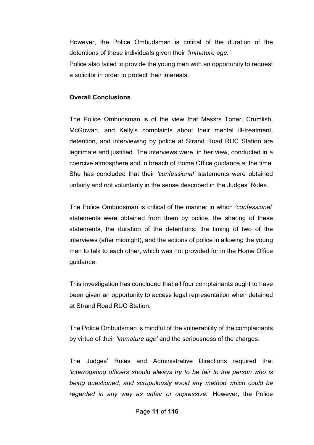However, the Police Ombudsman is critical of the duration of the detentions of these individuals given their *'immature age.'*

Police also failed to provide the young men with an opportunity to request a solicitor in order to protect their interests.

#### **Overall Conclusions**

The Police Ombudsman is of the view that Messrs Toner, Crumlish, McGowan, and Kelly's complaints about their mental ill-treatment, detention, and interviewing by police at Strand Road RUC Station are legitimate and justified. The interviews were, in her view, conducted in a coercive atmosphere and in breach of Home Office guidance at the time. She has concluded that their *'confessional'* statements were obtained unfairly and not voluntarily in the sense described in the Judges' Rules.

The Police Ombudsman is critical of the manner in which *'confessional'* statements were obtained from them by police, the sharing of these statements, the duration of the detentions, the timing of two of the interviews (after midnight), and the actions of police in allowing the young men to talk to each other, which was not provided for in the Home Office guidance.

This investigation has concluded that all four complainants ought to have been given an opportunity to access legal representation when detained at Strand Road RUC Station.

The Police Ombudsman is mindful of the vulnerability of the complainants by virtue of their *'immature age'* and the seriousness of the charges.

The Judges' Rules and Administrative Directions required that *'interrogating officers should always try to be fair to the person who is being questioned, and scrupulously avoid any method which could be regarded in any way as unfair or oppressive.'* However, the Police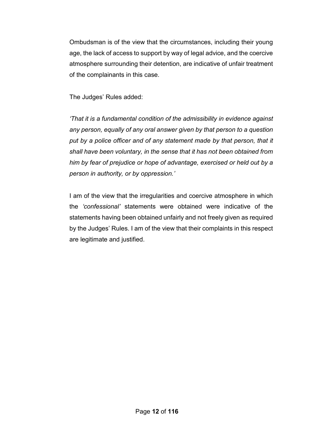Ombudsman is of the view that the circumstances, including their young age, the lack of access to support by way of legal advice, and the coercive atmosphere surrounding their detention, are indicative of unfair treatment of the complainants in this case.

The Judges' Rules added:

*'That it is a fundamental condition of the admissibility in evidence against any person, equally of any oral answer given by that person to a question*  put by a police officer and of any statement made by that person, that it *shall have been voluntary, in the sense that it has not been obtained from him by fear of prejudice or hope of advantage, exercised or held out by a person in authority, or by oppression.'*

I am of the view that the irregularities and coercive atmosphere in which the *'confessional'* statements were obtained were indicative of the statements having been obtained unfairly and not freely given as required by the Judges' Rules. I am of the view that their complaints in this respect are legitimate and justified.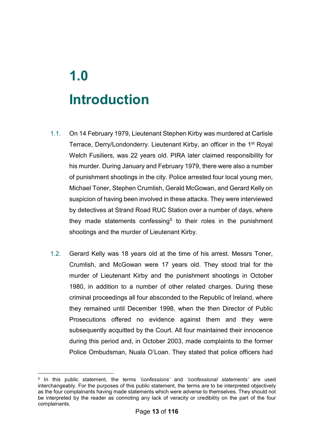## **1.0 Introduction**

- 1.1. On 14 February 1979, Lieutenant Stephen Kirby was murdered at Carlisle Terrace, Derry/Londonderry. Lieutenant Kirby, an officer in the 1<sup>st</sup> Royal Welch Fusiliers, was 22 years old. PIRA later claimed responsibility for his murder. During January and February 1979, there were also a number of punishment shootings in the city. Police arrested four local young men, Michael Toner, Stephen Crumlish, Gerald McGowan, and Gerard Kelly on suspicion of having been involved in these attacks. They were interviewed by detectives at Strand Road RUC Station over a number of days, where they made statements confessing<sup>[5](#page-13-0)</sup> to their roles in the punishment shootings and the murder of Lieutenant Kirby.
- 1.2. Gerard Kelly was 18 years old at the time of his arrest. Messrs Toner, Crumlish, and McGowan were 17 years old. They stood trial for the murder of Lieutenant Kirby and the punishment shootings in October 1980, in addition to a number of other related charges. During these criminal proceedings all four absconded to the Republic of Ireland, where they remained until December 1998, when the then Director of Public Prosecutions offered no evidence against them and they were subsequently acquitted by the Court. All four maintained their innocence during this period and, in October 2003, made complaints to the former Police Ombudsman, Nuala O'Loan. They stated that police officers had

<span id="page-13-0"></span><sup>&</sup>lt;u>.</u> <sup>5</sup> In this public statement, the terms *'confessions'* and *'confessional statements'* are used interchangeably. For the purposes of this public statement, the terms are to be interpreted objectively as the four complainants having made statements which were adverse to themselves. They should not be interpreted by the reader as connoting any lack of veracity or credibility on the part of the four complainants.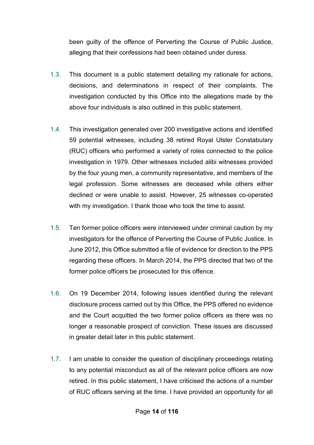been guilty of the offence of Perverting the Course of Public Justice, alleging that their confessions had been obtained under duress.

- 1.3. This document is a public statement detailing my rationale for actions, decisions, and determinations in respect of their complaints. The investigation conducted by this Office into the allegations made by the above four individuals is also outlined in this public statement.
- 1.4. This investigation generated over 200 investigative actions and identified 59 potential witnesses, including 38 retired Royal Ulster Constabulary (RUC) officers who performed a variety of roles connected to the police investigation in 1979. Other witnesses included alibi witnesses provided by the four young men, a community representative, and members of the legal profession. Some witnesses are deceased while others either declined or were unable to assist. However, 25 witnesses co-operated with my investigation. I thank those who took the time to assist.
- 1.5. Ten former police officers were interviewed under criminal caution by my investigators for the offence of Perverting the Course of Public Justice. In June 2012, this Office submitted a file of evidence for direction to the PPS regarding these officers. In March 2014, the PPS directed that two of the former police officers be prosecuted for this offence.
- 1.6. On 19 December 2014, following issues identified during the relevant disclosure process carried out by this Office, the PPS offered no evidence and the Court acquitted the two former police officers as there was no longer a reasonable prospect of conviction. These issues are discussed in greater detail later in this public statement.
- 1.7. I am unable to consider the question of disciplinary proceedings relating to any potential misconduct as all of the relevant police officers are now retired. In this public statement, I have criticised the actions of a number of RUC officers serving at the time. I have provided an opportunity for all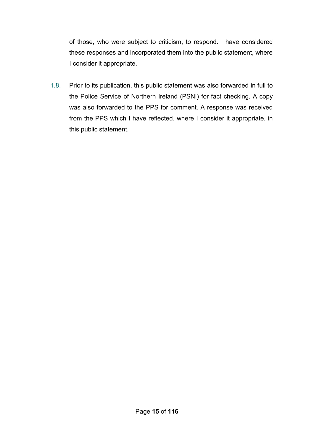of those, who were subject to criticism, to respond. I have considered these responses and incorporated them into the public statement, where I consider it appropriate.

1.8. Prior to its publication, this public statement was also forwarded in full to the Police Service of Northern Ireland (PSNI) for fact checking. A copy was also forwarded to the PPS for comment. A response was received from the PPS which I have reflected, where I consider it appropriate, in this public statement.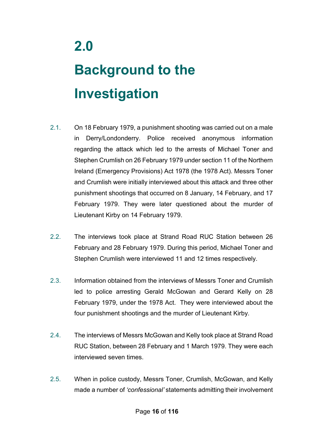## **Background to the Investigation**

- 2.1. On 18 February 1979, a punishment shooting was carried out on a male in Derry/Londonderry. Police received anonymous information regarding the attack which led to the arrests of Michael Toner and Stephen Crumlish on 26 February 1979 under section 11 of the Northern Ireland (Emergency Provisions) Act 1978 (the 1978 Act). Messrs Toner and Crumlish were initially interviewed about this attack and three other punishment shootings that occurred on 8 January, 14 February, and 17 February 1979. They were later questioned about the murder of Lieutenant Kirby on 14 February 1979.
- 2.2. The interviews took place at Strand Road RUC Station between 26 February and 28 February 1979. During this period, Michael Toner and Stephen Crumlish were interviewed 11 and 12 times respectively.
- 2.3. Information obtained from the interviews of Messrs Toner and Crumlish led to police arresting Gerald McGowan and Gerard Kelly on 28 February 1979, under the 1978 Act. They were interviewed about the four punishment shootings and the murder of Lieutenant Kirby.
- 2.4. The interviews of Messrs McGowan and Kelly took place at Strand Road RUC Station, between 28 February and 1 March 1979. They were each interviewed seven times.
- 2.5. When in police custody, Messrs Toner, Crumlish, McGowan, and Kelly made a number of *'confessional'* statements admitting their involvement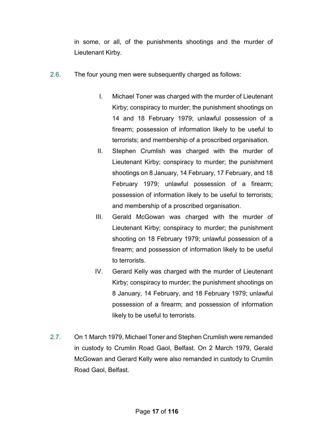in some, or all, of the punishments shootings and the murder of Lieutenant Kirby.

- 2.6. The four young men were subsequently charged as follows:
	- I. Michael Toner was charged with the murder of Lieutenant Kirby; conspiracy to murder; the punishment shootings on 14 and 18 February 1979; unlawful possession of a firearm; possession of information likely to be useful to terrorists; and membership of a proscribed organisation.
	- II. Stephen Crumlish was charged with the murder of Lieutenant Kirby; conspiracy to murder; the punishment shootings on 8 January, 14 February, 17 February, and 18 February 1979; unlawful possession of a firearm; possession of information likely to be useful to terrorists; and membership of a proscribed organisation.
	- III. Gerald McGowan was charged with the murder of Lieutenant Kirby; conspiracy to murder; the punishment shooting on 18 February 1979; unlawful possession of a firearm; and possession of information likely to be useful to terrorists.
	- IV. Gerard Kelly was charged with the murder of Lieutenant Kirby; conspiracy to murder; the punishment shootings on 8 January, 14 February, and 18 February 1979; unlawful possession of a firearm; and possession of information likely to be useful to terrorists.
- 2.7. On 1 March 1979, Michael Toner and Stephen Crumlish were remanded in custody to Crumlin Road Gaol, Belfast. On 2 March 1979, Gerald McGowan and Gerard Kelly were also remanded in custody to Crumlin Road Gaol, Belfast.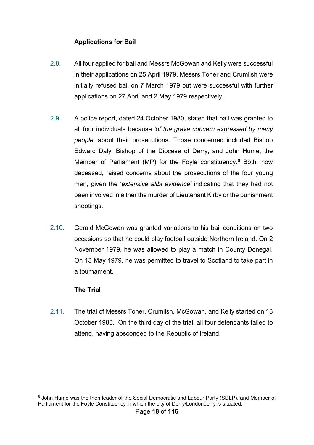### **Applications for Bail**

- 2.8. All four applied for bail and Messrs McGowan and Kelly were successful in their applications on 25 April 1979. Messrs Toner and Crumlish were initially refused bail on 7 March 1979 but were successful with further applications on 27 April and 2 May 1979 respectively.
- 2.9. A police report, dated 24 October 1980, stated that bail was granted to all four individuals because *'of the grave concern expressed by many people*' about their prosecutions. Those concerned included Bishop Edward Daly, Bishop of the Diocese of Derry, and John Hume, the Member of Parliament (MP) for the Foyle constituency.<sup>[6](#page-18-0)</sup> Both, now deceased, raised concerns about the prosecutions of the four young men, given the '*extensive alibi evidence'* indicating that they had not been involved in either the murder of Lieutenant Kirby or the punishment shootings.
- 2.10. Gerald McGowan was granted variations to his bail conditions on two occasions so that he could play football outside Northern Ireland. On 2 November 1979, he was allowed to play a match in County Donegal. On 13 May 1979, he was permitted to travel to Scotland to take part in a tournament.

### **The Trial**

2.11. The trial of Messrs Toner, Crumlish, McGowan, and Kelly started on 13 October 1980. On the third day of the trial, all four defendants failed to attend, having absconded to the Republic of Ireland.

<span id="page-18-0"></span><sup>&</sup>lt;u>.</u> <sup>6</sup> John Hume was the then leader of the Social Democratic and Labour Party (SDLP), and Member of Parliament for the Foyle Constituency in which the city of Derry/Londonderry is situated.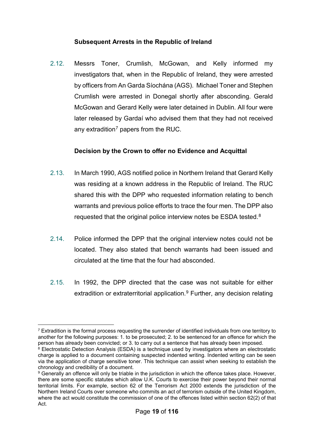### **Subsequent Arrests in the Republic of Ireland**

2.12. Messrs Toner, Crumlish, McGowan, and Kelly informed my investigators that, when in the Republic of Ireland, they were arrested by officers from An Garda Síochána (AGS). Michael Toner and Stephen Crumlish were arrested in Donegal shortly after absconding. Gerald McGowan and Gerard Kelly were later detained in Dublin. All four were later released by Gardaí who advised them that they had not received any extradition<sup>[7](#page-19-0)</sup> papers from the RUC.

### **Decision by the Crown to offer no Evidence and Acquittal**

- 2.13. In March 1990, AGS notified police in Northern Ireland that Gerard Kelly was residing at a known address in the Republic of Ireland. The RUC shared this with the DPP who requested information relating to bench warrants and previous police efforts to trace the four men. The DPP also requested that the original police interview notes be ESDA tested.<sup>8</sup>
- 2.14. Police informed the DPP that the original interview notes could not be located. They also stated that bench warrants had been issued and circulated at the time that the four had absconded.
- 2.15. In 1992, the DPP directed that the case was not suitable for either extradition or extraterritorial application. $9$  Further, any decision relating

<span id="page-19-0"></span><sup>&</sup>lt;u>.</u>  $7$  Extradition is the formal process requesting the surrender of identified individuals from one territory to another for the following purposes: 1. to be prosecuted; 2. to be sentenced for an offence for which the person has already been convicted; or 3. to carry out a sentence that has already been imposed.

<span id="page-19-1"></span><sup>&</sup>lt;sup>8</sup> Electrostatic Detection Analysis (ESDA) is a technique used by investigators where an electrostatic charge is applied to a document containing suspected indented writing. Indented writing can be seen via the application of charge sensitive toner. This technique can assist when seeking to establish the chronology and credibility of a document.

<span id="page-19-2"></span><sup>9</sup> Generally an offence will only be triable in the jurisdiction in which the offence takes place. However, there are some specific statutes which allow U.K. Courts to exercise their power beyond their normal territorial limits. For example, section 62 of the Terrorism Act 2000 extends the jurisdiction of the Northern Ireland Courts over someone who commits an act of terrorism outside of the United Kingdom, where the act would constitute the commission of one of the offences listed within section 62(2) of that Act.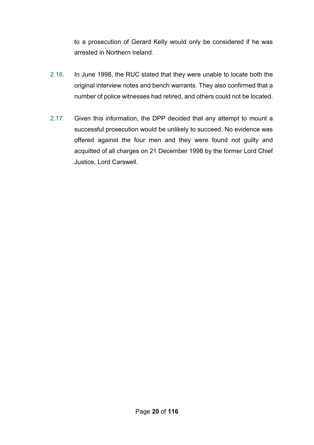to a prosecution of Gerard Kelly would only be considered if he was arrested in Northern Ireland.

- 2.16. In June 1998, the RUC stated that they were unable to locate both the original interview notes and bench warrants. They also confirmed that a number of police witnesses had retired, and others could not be located.
- 2.17. Given this information, the DPP decided that any attempt to mount a successful prosecution would be unlikely to succeed. No evidence was offered against the four men and they were found not guilty and acquitted of all charges on 21 December 1998 by the former Lord Chief Justice, Lord Carswell.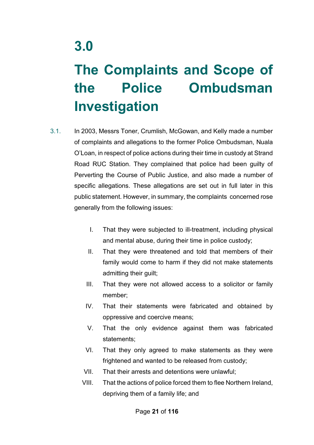## **3.0**

## **The Complaints and Scope of the Police Ombudsman Investigation**

- 3.1. In 2003, Messrs Toner, Crumlish, McGowan, and Kelly made a number of complaints and allegations to the former Police Ombudsman, Nuala O'Loan, in respect of police actions during their time in custody at Strand Road RUC Station. They complained that police had been guilty of Perverting the Course of Public Justice, and also made a number of specific allegations. These allegations are set out in full later in this public statement. However, in summary, the complaints concerned rose generally from the following issues:
	- I. That they were subjected to ill-treatment, including physical and mental abuse, during their time in police custody;
	- II. That they were threatened and told that members of their family would come to harm if they did not make statements admitting their guilt;
	- III. That they were not allowed access to a solicitor or family member;
	- IV. That their statements were fabricated and obtained by oppressive and coercive means;
	- V. That the only evidence against them was fabricated statements;
	- VI. That they only agreed to make statements as they were frightened and wanted to be released from custody;
	- VII. That their arrests and detentions were unlawful;
	- VIII. That the actions of police forced them to flee Northern Ireland, depriving them of a family life; and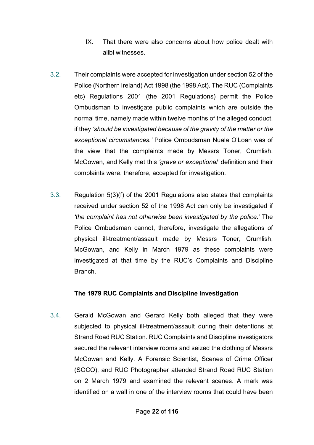- IX. That there were also concerns about how police dealt with alibi witnesses.
- 3.2. Their complaints were accepted for investigation under section 52 of the Police (Northern Ireland) Act 1998 (the 1998 Act). The RUC (Complaints etc) Regulations 2001 (the 2001 Regulations) permit the Police Ombudsman to investigate public complaints which are outside the normal time, namely made within twelve months of the alleged conduct, if they *'should be investigated because of the gravity of the matter or the exceptional circumstances.'* Police Ombudsman Nuala O'Loan was of the view that the complaints made by Messrs Toner, Crumlish, McGowan, and Kelly met this *'grave or exceptional'* definition and their complaints were, therefore, accepted for investigation.
- 3.3. Regulation 5(3)(f) of the 2001 Regulations also states that complaints received under section 52 of the 1998 Act can only be investigated if *'the complaint has not otherwise been investigated by the police.'* The Police Ombudsman cannot, therefore, investigate the allegations of physical ill-treatment/assault made by Messrs Toner, Crumlish, McGowan, and Kelly in March 1979 as these complaints were investigated at that time by the RUC's Complaints and Discipline Branch.

### **The 1979 RUC Complaints and Discipline Investigation**

3.4. Gerald McGowan and Gerard Kelly both alleged that they were subjected to physical ill-treatment/assault during their detentions at Strand Road RUC Station. RUC Complaints and Discipline investigators secured the relevant interview rooms and seized the clothing of Messrs McGowan and Kelly. A Forensic Scientist, Scenes of Crime Officer (SOCO), and RUC Photographer attended Strand Road RUC Station on 2 March 1979 and examined the relevant scenes. A mark was identified on a wall in one of the interview rooms that could have been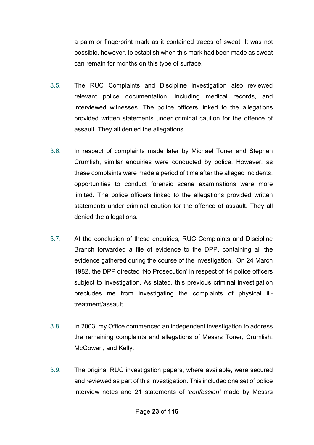a palm or fingerprint mark as it contained traces of sweat. It was not possible, however, to establish when this mark had been made as sweat can remain for months on this type of surface.

- 3.5. The RUC Complaints and Discipline investigation also reviewed relevant police documentation, including medical records, and interviewed witnesses. The police officers linked to the allegations provided written statements under criminal caution for the offence of assault. They all denied the allegations.
- 3.6. In respect of complaints made later by Michael Toner and Stephen Crumlish, similar enquiries were conducted by police. However, as these complaints were made a period of time after the alleged incidents, opportunities to conduct forensic scene examinations were more limited. The police officers linked to the allegations provided written statements under criminal caution for the offence of assault. They all denied the allegations.
- 3.7. At the conclusion of these enquiries, RUC Complaints and Discipline Branch forwarded a file of evidence to the DPP, containing all the evidence gathered during the course of the investigation. On 24 March 1982, the DPP directed 'No Prosecution' in respect of 14 police officers subject to investigation. As stated, this previous criminal investigation precludes me from investigating the complaints of physical illtreatment/assault.
- 3.8. In 2003, my Office commenced an independent investigation to address the remaining complaints and allegations of Messrs Toner, Crumlish, McGowan, and Kelly.
- 3.9. The original RUC investigation papers, where available, were secured and reviewed as part of this investigation. This included one set of police interview notes and 21 statements of *'confession'* made by Messrs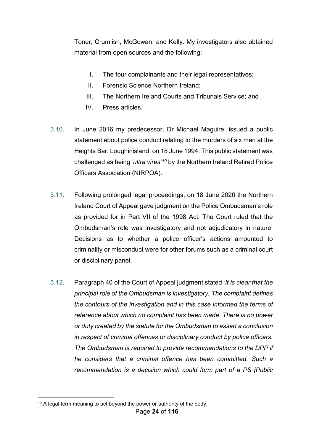Toner, Crumlish, McGowan, and Kelly. My investigators also obtained material from open sources and the following:

- I. The four complainants and their legal representatives;
- II. Forensic Science Northern Ireland;
- III. The Northern Ireland Courts and Tribunals Service; and
- IV. Press articles.
- 3.10. In June 2016 my predecessor, Dr Michael Maguire, issued a public statement about police conduct relating to the murders of six men at the Heights Bar, Loughinisland, on 18 June 1994. This public statement was challenged as being *'ultra vires'[10](#page-24-0)* by the Northern Ireland Retired Police Officers Association (NIRPOA).
- 3.11. Following prolonged legal proceedings, on 18 June 2020 the Northern Ireland Court of Appeal gave judgment on the Police Ombudsman's role as provided for in Part VII of the 1998 Act. The Court ruled that the Ombudsman's role was investigatory and not adjudicatory in nature. Decisions as to whether a police officer's actions amounted to criminality or misconduct were for other forums such as a criminal court or disciplinary panel.
- 3.12. Paragraph 40 of the Court of Appeal judgment stated *'It is clear that the principal role of the Ombudsman is investigatory. The complaint defines the contours of the investigation and in this case informed the terms of reference about which no complaint has been made. There is no power or duty created by the statute for the Ombudsman to assert a conclusion in respect of criminal offences or disciplinary conduct by police officers. The Ombudsman is required to provide recommendations to the DPP if he considers that a criminal offence has been committed. Such a recommendation is a decision which could form part of a PS [Public*

<span id="page-24-0"></span><sup>&</sup>lt;u>.</u>  $10$  A legal term meaning to act beyond the power or authority of the body.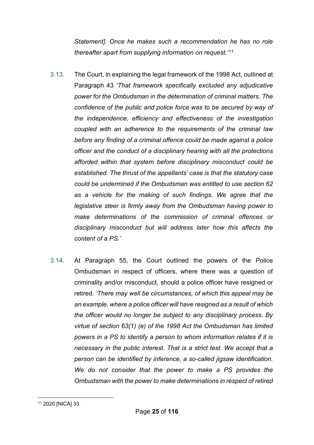*Statement]. Once he makes such a recommendation he has no role thereafter apart from supplying information on request.'[11](#page-25-0)*

- 3.13. The Court, in explaining the legal framework of the 1998 Act, outlined at Paragraph 43 *'That framework specifically excluded any adjudicative power for the Ombudsman in the determination of criminal matters. The confidence of the public and police force was to be secured by way of the independence, efficiency and effectiveness of the investigation coupled with an adherence to the requirements of the criminal law before any finding of a criminal offence could be made against a police officer and the conduct of a disciplinary hearing with all the protections afforded within that system before disciplinary misconduct could be established. The thrust of the appellants' case is that the statutory case could be undermined if the Ombudsman was entitled to use section 62 as a vehicle for the making of such findings. We agree that the legislative steer is firmly away from the Ombudsman having power to make determinations of the commission of criminal offences or disciplinary misconduct but will address later how this affects the content of a PS.'*
- 3.14. At Paragraph 55, the Court outlined the powers of the Police Ombudsman in respect of officers, where there was a question of criminality and/or misconduct, should a police officer have resigned or retired. *'There may well be circumstances, of which this appeal may be an example, where a police officer will have resigned as a result of which the officer would no longer be subject to any disciplinary process. By virtue of section 63(1) (e) of the 1998 Act the Ombudsman has limited powers in a PS to identify a person to whom information relates if it is necessary in the public interest. That is a strict test. We accept that a person can be identified by inference, a so-called jigsaw identification. We do not consider that the power to make a PS provides the Ombudsman with the power to make determinations in respect of retired*

<span id="page-25-0"></span><sup>&</sup>lt;u>.</u> <sup>11</sup> 2020 [NICA] 33.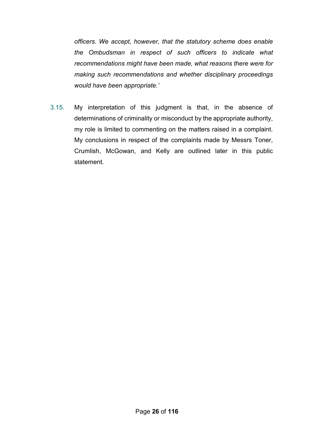*officers. We accept, however, that the statutory scheme does enable the Ombudsman in respect of such officers to indicate what recommendations might have been made, what reasons there were for making such recommendations and whether disciplinary proceedings would have been appropriate.'*

3.15. My interpretation of this judgment is that, in the absence of determinations of criminality or misconduct by the appropriate authority, my role is limited to commenting on the matters raised in a complaint. My conclusions in respect of the complaints made by Messrs Toner, Crumlish, McGowan, and Kelly are outlined later in this public statement.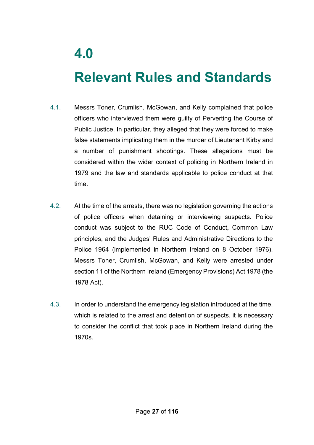## **Relevant Rules and Standards**

- 4.1. Messrs Toner, Crumlish, McGowan, and Kelly complained that police officers who interviewed them were guilty of Perverting the Course of Public Justice. In particular, they alleged that they were forced to make false statements implicating them in the murder of Lieutenant Kirby and a number of punishment shootings. These allegations must be considered within the wider context of policing in Northern Ireland in 1979 and the law and standards applicable to police conduct at that time.
- 4.2. At the time of the arrests, there was no legislation governing the actions of police officers when detaining or interviewing suspects. Police conduct was subject to the RUC Code of Conduct, Common Law principles, and the Judges' Rules and Administrative Directions to the Police 1964 (implemented in Northern Ireland on 8 October 1976). Messrs Toner, Crumlish, McGowan, and Kelly were arrested under section 11 of the Northern Ireland (Emergency Provisions) Act 1978 (the 1978 Act).
- 4.3. In order to understand the emergency legislation introduced at the time, which is related to the arrest and detention of suspects, it is necessary to consider the conflict that took place in Northern Ireland during the 1970s.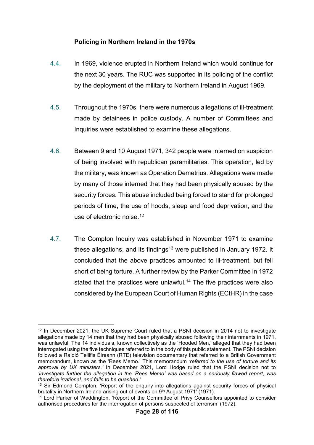### **Policing in Northern Ireland in the 1970s**

- 4.4. In 1969, violence erupted in Northern Ireland which would continue for the next 30 years. The RUC was supported in its policing of the conflict by the deployment of the military to Northern Ireland in August 1969.
- 4.5. Throughout the 1970s, there were numerous allegations of ill-treatment made by detainees in police custody. A number of Committees and Inquiries were established to examine these allegations.
- 4.6. Between 9 and 10 August 1971, 342 people were interned on suspicion of being involved with republican paramilitaries. This operation, led by the military, was known as Operation Demetrius. Allegations were made by many of those interned that they had been physically abused by the security forces. This abuse included being forced to stand for prolonged periods of time, the use of hoods, sleep and food deprivation, and the use of electronic noise.<sup>[12](#page-28-0)</sup>
- 4.7. The Compton Inquiry was established in November 1971 to examine these allegations, and its findings<sup>[13](#page-28-1)</sup> were published in January 1972. It concluded that the above practices amounted to ill-treatment, but fell short of being torture. A further review by the Parker Committee in 1972 stated that the practices were unlawful. [14](#page-28-2) The five practices were also considered by the European Court of Human Rights (ECtHR) in the case

<span id="page-28-0"></span><sup>&</sup>lt;u>.</u> <sup>12</sup> In December 2021, the UK Supreme Court ruled that a PSNI decision in 2014 not to investigate allegations made by 14 men that they had been physically abused following their internments in 1971, was unlawful. The 14 individuals, known collectively as the 'Hooded Men,' alleged that they had been interrogated using the five techniques referred to in the body of this public statement. The PSNI decision followed a Raidió Teilifis Éireann (RTE) television documentary that referred to a British Government memorandum, known as the 'Rees Memo.' This memorandum *'referred to the use of torture and its approval by UK ministers.'* In December 2021, Lord Hodge ruled that the PSNI decision not to *'investigate further the allegation in the 'Rees Memo' was based on a seriously flawed report, was therefore irrational, and falls to be quashed.'*

<span id="page-28-1"></span><sup>&</sup>lt;sup>13</sup> Sir Edmond Compton, 'Report of the enquiry into allegations against security forces of physical brutality in Northern Ireland arising out of events on 9<sup>th</sup> August 1971' (1971).

<span id="page-28-2"></span><sup>14</sup> Lord Parker of Waddington, 'Report of the Committee of Privy Counsellors appointed to consider authorised procedures for the interrogation of persons suspected of terrorism' (1972).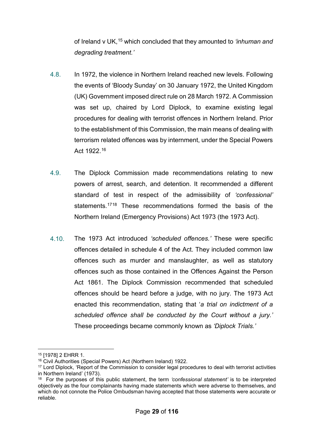of Ireland v UK, [15](#page-29-0) which concluded that they amounted to *'inhuman and degrading treatment.'*

- 4.8. In 1972, the violence in Northern Ireland reached new levels. Following the events of 'Bloody Sunday' on 30 January 1972, the United Kingdom (UK) Government imposed direct rule on 28 March 1972. A Commission was set up, chaired by Lord Diplock, to examine existing legal procedures for dealing with terrorist offences in Northern Ireland. Prior to the establishment of this Commission, the main means of dealing with terrorism related offences was by internment, under the Special Powers Act 1922.[16](#page-29-1)
- 4.9. The Diplock Commission made recommendations relating to new powers of arrest, search, and detention. It recommended a different standard of test in respect of the admissibility of *'confessional'* statements.<sup>[17](#page-29-2)[18](#page-29-3)</sup> These recommendations formed the basis of the Northern Ireland (Emergency Provisions) Act 1973 (the 1973 Act).
- 4.10. The 1973 Act introduced *'scheduled offences.'* These were specific offences detailed in schedule 4 of the Act. They included common law offences such as murder and manslaughter, as well as statutory offences such as those contained in the Offences Against the Person Act 1861. The Diplock Commission recommended that scheduled offences should be heard before a judge, with no jury. The 1973 Act enacted this recommendation, stating that '*a trial on indictment of a scheduled offence shall be conducted by the Court without a jury.'* These proceedings became commonly known as *'Diplock Trials.'*

<u>.</u>

<sup>15</sup> [1978] 2 EHRR 1.

<span id="page-29-1"></span><span id="page-29-0"></span><sup>16</sup> Civil Authorities (Special Powers) Act (Northern Ireland) 1922.

<span id="page-29-2"></span><sup>&</sup>lt;sup>17</sup> Lord Diplock, 'Report of the Commission to consider legal procedures to deal with terrorist activities in Northern Ireland' (1973).

<span id="page-29-3"></span><sup>18</sup> For the purposes of this public statement, the term *'confessional statement'* is to be interpreted objectively as the four complainants having made statements which were adverse to themselves, and which do not connote the Police Ombudsman having accepted that those statements were accurate or reliable.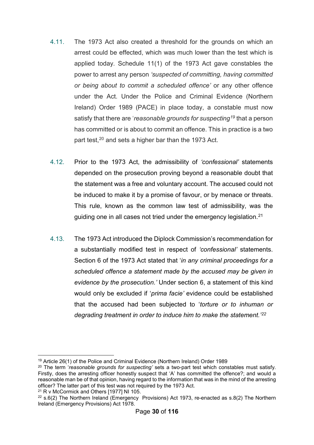- 4.11. The 1973 Act also created a threshold for the grounds on which an arrest could be effected, which was much lower than the test which is applied today. Schedule 11(1) of the 1973 Act gave constables the power to arrest any person *'suspected of committing, having committed or being about to commit a scheduled offence'* or any other offence under the Act. Under the Police and Criminal Evidence (Northern Ireland) Order 1989 (PACE) in place today, a constable must now satisfy that there are '*reasonable grounds for suspecting[19](#page-30-0)* that a person has committed or is about to commit an offence. This in practice is a two part test, [20](#page-30-1) and sets a higher bar than the 1973 Act.
- 4.12. Prior to the 1973 Act, the admissibility of *'confessional'* statements depended on the prosecution proving beyond a reasonable doubt that the statement was a free and voluntary account. The accused could not be induced to make it by a promise of favour, or by menace or threats. This rule, known as the common law test of admissibility, was the guiding one in all cases not tried under the emergency legislation.<sup>[21](#page-30-2)</sup>
- 4.13. The 1973 Act introduced the Diplock Commission's recommendation for a substantially modified test in respect of *'confessional'* statements. Section 6 of the 1973 Act stated that '*in any criminal proceedings for a scheduled offence a statement made by the accused may be given in evidence by the prosecution.'* Under section 6, a statement of this kind would only be excluded if '*prima facie'* evidence could be established that the accused had been subjected to '*torture or to inhuman or degrading treatment in order to induce him to make the statement.'[22](#page-30-3)*

<sup>&</sup>lt;u>.</u> <sup>19</sup> Article 26(1) of the Police and Criminal Evidence (Northern Ireland) Order 1989

<span id="page-30-1"></span><span id="page-30-0"></span><sup>20</sup> The term '*reasonable grounds for suspecting'* sets a two-part test which constables must satisfy. Firstly, does the arresting officer honestly suspect that 'A' has committed the offence?; and would a reasonable man be of that opinion, having regard to the information that was in the mind of the arresting officer? The latter part of this test was not required by the 1973 Act.

<span id="page-30-2"></span><sup>21</sup> R v McCormick and Others [1977] NI 105.

<span id="page-30-3"></span> $22$  s.6(2) The Northern Ireland (Emergency Provisions) Act 1973, re-enacted as s.8(2) The Northern Ireland (Emergency Provisions) Act 1978.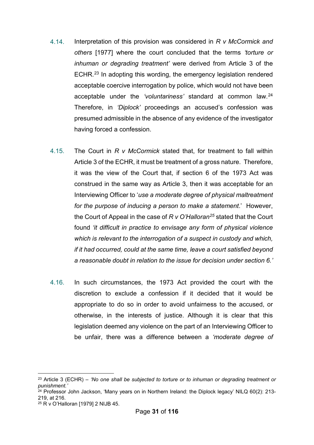- 4.14. Interpretation of this provision was considered in *R v McCormick and others* [1977] where the court concluded that the terms *'torture or inhuman or degrading treatment'* were derived from Article 3 of the ECHR.[23](#page-31-0) In adopting this wording, the emergency legislation rendered acceptable coercive interrogation by police, which would not have been acceptable under the *'voluntariness'* standard at common law.[24](#page-31-1) Therefore, in *'Diplock'* proceedings an accused's confession was presumed admissible in the absence of any evidence of the investigator having forced a confession.
- 4.15. The Court in *R v McCormick* stated that, for treatment to fall within Article 3 of the ECHR, it must be treatment of a gross nature. Therefore, it was the view of the Court that, if section 6 of the 1973 Act was construed in the same way as Article 3, then it was acceptable for an Interviewing Officer to '*use a moderate degree of physical maltreatment for the purpose of inducing a person to make a statement*.' However, the Court of Appeal in the case of *R v O'Halloran[25](#page-31-2)* stated that the Court found *'it difficult in practice to envisage any form of physical violence which is relevant to the interrogation of a suspect in custody and which, if it had occurred, could at the same time, leave a court satisfied beyond a reasonable doubt in relation to the issue for decision under section 6.'*
- 4.16. In such circumstances, the 1973 Act provided the court with the discretion to exclude a confession if it decided that it would be appropriate to do so in order to avoid unfairness to the accused, or otherwise, in the interests of justice. Although it is clear that this legislation deemed any violence on the part of an Interviewing Officer to be unfair, there was a difference between a *'moderate degree of*

<span id="page-31-0"></span><sup>&</sup>lt;u>.</u> <sup>23</sup> Article 3 (ECHR) – *'No one shall be subjected to torture or to inhuman or degrading treatment or punishment.'*

<span id="page-31-1"></span> $^{24}$  Professor John Jackson, 'Many years on in Northern Ireland: the Diplock legacy' NILQ 60(2): 213-219, at 216.

<span id="page-31-2"></span><sup>25</sup> R v O'Halloran [1979] 2 NIJB 45.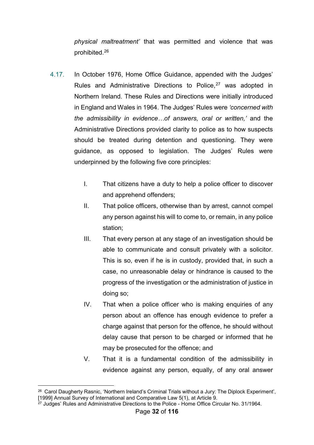*physical maltreatment'* that was permitted and violence that was prohibited.[26](#page-32-0)

- 4.17. In October 1976, Home Office Guidance, appended with the Judges' Rules and Administrative Directions to Police.<sup>[27](#page-32-1)</sup> was adopted in Northern Ireland. These Rules and Directions were initially introduced in England and Wales in 1964. The Judges' Rules were *'concerned with the admissibility in evidence…of answers, oral or written,'* and the Administrative Directions provided clarity to police as to how suspects should be treated during detention and questioning. They were guidance, as opposed to legislation. The Judges' Rules were underpinned by the following five core principles:
	- I. That citizens have a duty to help a police officer to discover and apprehend offenders;
	- II. That police officers, otherwise than by arrest, cannot compel any person against his will to come to, or remain, in any police station;
	- III. That every person at any stage of an investigation should be able to communicate and consult privately with a solicitor. This is so, even if he is in custody, provided that, in such a case, no unreasonable delay or hindrance is caused to the progress of the investigation or the administration of justice in doing so;
	- IV. That when a police officer who is making enquiries of any person about an offence has enough evidence to prefer a charge against that person for the offence, he should without delay cause that person to be charged or informed that he may be prosecuted for the offence; and
	- V. That it is a fundamental condition of the admissibility in evidence against any person, equally, of any oral answer

<span id="page-32-0"></span><sup>-</sup><sup>26</sup> Carol Daugherty Rasnic, 'Northern Ireland's Criminal Trials without a Jury: The Diplock Experiment', [1999] Annual Survey of International and Comparative Law 5(1), at Article 9.

<span id="page-32-1"></span> $27$  Judges' Rules and Administrative Directions to the Police - Home Office Circular No. 31/1964.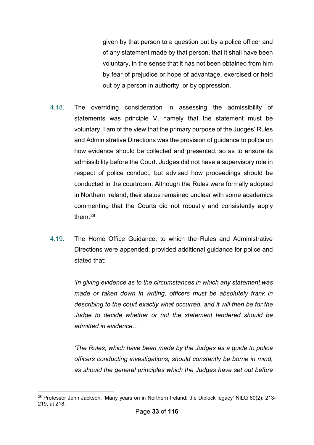given by that person to a question put by a police officer and of any statement made by that person, that it shall have been voluntary, in the sense that it has not been obtained from him by fear of prejudice or hope of advantage, exercised or held out by a person in authority, or by oppression.

- 4.18. The overriding consideration in assessing the admissibility of statements was principle V, namely that the statement must be voluntary. I am of the view that the primary purpose of the Judges' Rules and Administrative Directions was the provision of guidance to police on how evidence should be collected and presented, so as to ensure its admissibility before the Court. Judges did not have a supervisory role in respect of police conduct, but advised how proceedings should be conducted in the courtroom. Although the Rules were formally adopted in Northern Ireland, their status remained unclear with some academics commenting that the Courts did not robustly and consistently apply them[.28](#page-33-0)
- 4.19. The Home Office Guidance, to which the Rules and Administrative Directions were appended, provided additional guidance for police and stated that:

*'In giving evidence as to the circumstances in which any statement was made or taken down in writing, officers must be absolutely frank in describing to the court exactly what occurred, and it will then be for the Judge to decide whether or not the statement tendered should be admitted in evidence…'*

*'The Rules, which have been made by the Judges as a guide to police officers conducting investigations, should constantly be borne in mind, as should the general principles which the Judges have set out before* 

<span id="page-33-0"></span><sup>&</sup>lt;u>.</u> <sup>28</sup> Professor John Jackson, 'Many years on in Northern Ireland: the Diplock legacy' NILQ 60(2): 213- 219, at 218.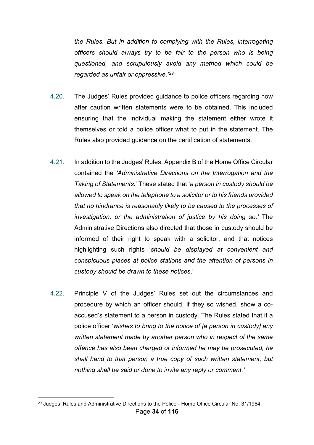*the Rules. But in addition to complying with the Rules, interrogating officers should always try to be fair to the person who is being questioned, and scrupulously avoid any method which could be regarded as unfair or oppressive.' [29](#page-34-0)*

- 4.20. The Judges' Rules provided guidance to police officers regarding how after caution written statements were to be obtained. This included ensuring that the individual making the statement either wrote it themselves or told a police officer what to put in the statement. The Rules also provided guidance on the certification of statements.
- 4.21. In addition to the Judges' Rules, Appendix B of the Home Office Circular contained the *'Administrative Directions on the Interrogation and the Taking of Statements.*' These stated that '*a person in custody should be allowed to speak on the telephone to a solicitor or to his friends provided that no hindrance is reasonably likely to be caused to the processes of investigation, or the administration of justice by his doing so.'* The Administrative Directions also directed that those in custody should be informed of their right to speak with a solicitor, and that notices highlighting such rights '*should be displayed at convenient and conspicuous places at police stations and the attention of persons in custody should be drawn to these notices*.'
- 4.22. Principle V of the Judges' Rules set out the circumstances and procedure by which an officer should, if they so wished, show a coaccused's statement to a person in custody. The Rules stated that if a police officer '*wishes to bring to the notice of [a person in custody] any written statement made by another person who in respect of the same offence has also been charged or informed he may be prosecuted, he shall hand to that person a true copy of such written statement, but nothing shall be said or done to invite any reply or comment.'*

<u>.</u>

<span id="page-34-0"></span><sup>&</sup>lt;sup>29</sup> Judges' Rules and Administrative Directions to the Police - Home Office Circular No. 31/1964.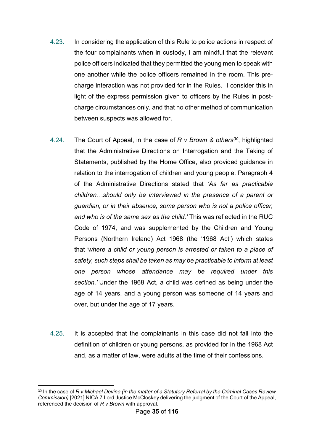- 4.23. In considering the application of this Rule to police actions in respect of the four complainants when in custody, I am mindful that the relevant police officers indicated that they permitted the young men to speak with one another while the police officers remained in the room. This precharge interaction was not provided for in the Rules. I consider this in light of the express permission given to officers by the Rules in postcharge circumstances only, and that no other method of communication between suspects was allowed for.
- 4.24. The Court of Appeal, in the case of *R v Brown & others[30](#page-35-0)*, highlighted that the Administrative Directions on Interrogation and the Taking of Statements, published by the Home Office, also provided guidance in relation to the interrogation of children and young people. Paragraph 4 of the Administrative Directions stated that *'As far as practicable children…should only be interviewed in the presence of a parent or guardian, or in their absence, some person who is not a police officer, and who is of the same sex as the child.'* This was reflected in the RUC Code of 1974, and was supplemented by the Children and Young Persons (Northern Ireland) Act 1968 (the '1968 Act') which states that *'where a child or young person is arrested or taken to a place of safety, such steps shall be taken as may be practicable to inform at least one person whose attendance may be required under this section.'* Under the 1968 Act, a child was defined as being under the age of 14 years, and a young person was someone of 14 years and over, but under the age of 17 years.
- 4.25. It is accepted that the complainants in this case did not fall into the definition of children or young persons, as provided for in the 1968 Act and, as a matter of law, were adults at the time of their confessions.

<span id="page-35-0"></span><sup>-</sup><sup>30</sup> In the case of *R v Michael Devine (in the matter of a Statutory Referral by the Criminal Cases Review Commission)* [2021] NICA 7 Lord Justice McCloskey delivering the judgment of the Court of the Appeal, referenced the decision of *R v Brown* with approval.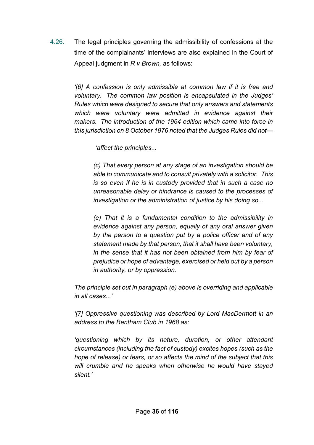4.26. The legal principles governing the admissibility of confessions at the time of the complainants' interviews are also explained in the Court of Appeal judgment in *R v Brown,* as follows:

> *'[6] A confession is only admissible at common law if it is free and voluntary. The common law position is encapsulated in the Judges' Rules which were designed to secure that only answers and statements*  which were voluntary were admitted in evidence against their *makers. The introduction of the 1964 edition which came into force in this jurisdiction on 8 October 1976 noted that the Judges Rules did not—*

> > *'affect the principles...*

*(c) That every person at any stage of an investigation should be able to communicate and to consult privately with a solicitor. This is so even if he is in custody provided that in such a case no unreasonable delay or hindrance is caused to the processes of investigation or the administration of justice by his doing so...*

*(e) That it is a fundamental condition to the admissibility in evidence against any person, equally of any oral answer given by the person to a question put by a police officer and of any statement made by that person, that it shall have been voluntary, in the sense that it has not been obtained from him by fear of prejudice or hope of advantage, exercised or held out by a person in authority, or by oppression.*

*The principle set out in paragraph (e) above is overriding and applicable in all cases...'*

*'[7] Oppressive questioning was described by Lord MacDermott in an address to the Bentham Club in 1968 as:*

*'questioning which by its nature, duration, or other attendant circumstances (including the fact of custody) excites hopes (such as the hope of release) or fears, or so affects the mind of the subject that this will crumble and he speaks when otherwise he would have stayed silent.'*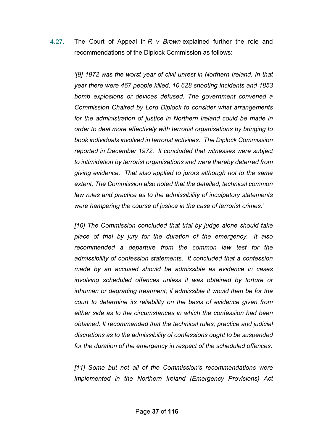4.27. The Court of Appeal in *R v Brown* explained further the role and recommendations of the Diplock Commission as follows:

> *'[9] 1972 was the worst year of civil unrest in Northern Ireland. In that year there were 467 people killed, 10,628 shooting incidents and 1853 bomb explosions or devices defused. The government convened a Commission Chaired by Lord Diplock to consider what arrangements*  for the administration of justice in Northern Ireland could be made in *order to deal more effectively with terrorist organisations by bringing to book individuals involved in terrorist activities. The Diplock Commission reported in December 1972. It concluded that witnesses were subject to intimidation by terrorist organisations and were thereby deterred from giving evidence. That also applied to jurors although not to the same extent. The Commission also noted that the detailed, technical common law rules and practice as to the admissibility of inculpatory statements were hampering the course of justice in the case of terrorist crimes.'*

> *[10] The Commission concluded that trial by judge alone should take place of trial by jury for the duration of the emergency. It also recommended a departure from the common law test for the admissibility of confession statements. It concluded that a confession made by an accused should be admissible as evidence in cases involving scheduled offences unless it was obtained by torture or*  inhuman or degrading treatment; if admissible it would then be for the *court to determine its reliability on the basis of evidence given from either side as to the circumstances in which the confession had been obtained. It recommended that the technical rules, practice and judicial discretions as to the admissibility of confessions ought to be suspended for the duration of the emergency in respect of the scheduled offences.*

> *[11] Some but not all of the Commission's recommendations were implemented in the Northern Ireland (Emergency Provisions) Act*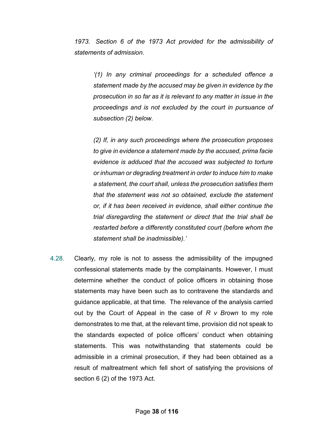*1973. Section 6 of the 1973 Act provided for the admissibility of statements of admission.*

*'(1) In any criminal proceedings for a scheduled offence a statement made by the accused may be given in evidence by the prosecution in so far as it is relevant to any matter in issue in the proceedings and is not excluded by the court in pursuance of subsection (2) below.*

*(2) If, in any such proceedings where the prosecution proposes to give in evidence a statement made by the accused, prima facie evidence is adduced that the accused was subjected to torture or inhuman or degrading treatment in order to induce him to make a statement, the court shall, unless the prosecution satisfies them that the statement was not so obtained, exclude the statement or, if it has been received in evidence, shall either continue the trial disregarding the statement or direct that the trial shall be restarted before a differently constituted court (before whom the statement shall be inadmissible).'* 

4.28. Clearly, my role is not to assess the admissibility of the impugned confessional statements made by the complainants. However, I must determine whether the conduct of police officers in obtaining those statements may have been such as to contravene the standards and guidance applicable, at that time. The relevance of the analysis carried out by the Court of Appeal in the case of *R v Brown* to my role demonstrates to me that, at the relevant time, provision did not speak to the standards expected of police officers' conduct when obtaining statements. This was notwithstanding that statements could be admissible in a criminal prosecution, if they had been obtained as a result of maltreatment which fell short of satisfying the provisions of section 6 (2) of the 1973 Act.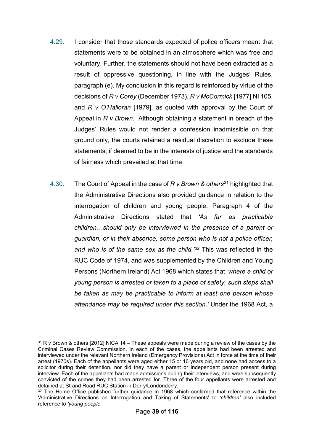- 4.29. I consider that those standards expected of police officers meant that statements were to be obtained in an atmosphere which was free and voluntary. Further, the statements should not have been extracted as a result of oppressive questioning, in line with the Judges' Rules, paragraph (e). My conclusion in this regard is reinforced by virtue of the decisions of *R v Corey* (December 1973), *R v McCormick* [1977] NI 105, and *R v O'Halloran* [1979], as quoted with approval by the Court of Appeal in *R v Brown*. Although obtaining a statement in breach of the Judges' Rules would not render a confession inadmissible on that ground only, the courts retained a residual discretion to exclude these statements, if deemed to be in the interests of justice and the standards of fairness which prevailed at that time.
- 4.30. The Court of Appeal in the case of *R v Brown & others*[31](#page-39-0) highlighted that the Administrative Directions also provided guidance in relation to the interrogation of children and young people. Paragraph 4 of the Administrative Directions stated that *'As far as practicable children…should only be interviewed in the presence of a parent or guardian, or in their absence, some person who is not a police officer, and who is of the same sex as the child.'[32](#page-39-1)* This was reflected in the RUC Code of 1974, and was supplemented by the Children and Young Persons (Northern Ireland) Act 1968 which states that *'where a child or young person is arrested or taken to a place of safety, such steps shall be taken as may be practicable to inform at least one person whose attendance may be required under this section.'* Under the 1968 Act, a

<span id="page-39-0"></span><sup>&</sup>lt;u>.</u> <sup>31</sup> R v Brown & others [2012] NICA 14 – These appeals were made during a review of the cases by the Criminal Cases Review Commission. In each of the cases, the appellants had been arrested and interviewed under the relevant Northern Ireland (Emergency Provisions) Act in force at the time of their arrest (1970s). Each of the appellants were aged either 15 or 16 years old, and none had access to a solicitor during their detention, nor did they have a parent or independent person present during interview. Each of the appellants had made admissions during their interviews, and were subsequently convicted of the crimes they had been arrested for. Three of the four appellants were arrested and detained at Strand Road RUC Station in Derry/Londonderry.

<span id="page-39-1"></span><sup>&</sup>lt;sup>32</sup> The Home Office published further guidance in 1968 which confirmed that reference within the 'Administrative Directions on Interrogation and Taking of Statements' to *'children'* also included reference to *'young people.'*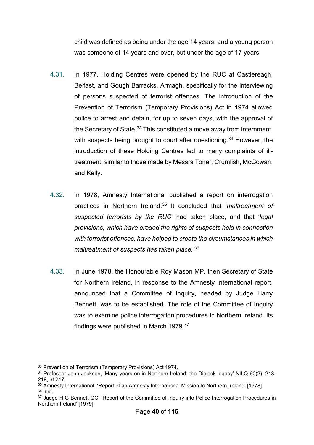child was defined as being under the age 14 years, and a young person was someone of 14 years and over, but under the age of 17 years.

- 4.31. In 1977, Holding Centres were opened by the RUC at Castlereagh, Belfast, and Gough Barracks, Armagh, specifically for the interviewing of persons suspected of terrorist offences. The introduction of the Prevention of Terrorism (Temporary Provisions) Act in 1974 allowed police to arrest and detain, for up to seven days, with the approval of the Secretary of State. $33$  This constituted a move away from internment, with suspects being brought to court after questioning.<sup>[34](#page-40-1)</sup> However, the introduction of these Holding Centres led to many complaints of illtreatment, similar to those made by Messrs Toner, Crumlish, McGowan, and Kelly.
- 4.32. In 1978, Amnesty International published a report on interrogation practices in Northern Ireland.[35](#page-40-2) It concluded that '*maltreatment of suspected terrorists by the RUC*' had taken place, and that '*legal provisions, which have eroded the rights of suspects held in connection with terrorist offences, have helped to create the circumstances in which maltreatment of suspects has taken place.'*[36](#page-40-3)
- 4.33. In June 1978, the Honourable Roy Mason MP, then Secretary of State for Northern Ireland, in response to the Amnesty International report, announced that a Committee of Inquiry, headed by Judge Harry Bennett, was to be established. The role of the Committee of Inquiry was to examine police interrogation procedures in Northern Ireland. Its findings were published in March 1979.<sup>[37](#page-40-4)</sup>

<sup>&</sup>lt;u>.</u> <sup>33</sup> Prevention of Terrorism (Temporary Provisions) Act 1974.

<span id="page-40-1"></span><span id="page-40-0"></span><sup>34</sup> Professor John Jackson, 'Many years on in Northern Ireland: the Diplock legacy' NILQ 60(2): 213- 219, at 217.

<span id="page-40-2"></span><sup>35</sup> Amnesty International, 'Report of an Amnesty International Mission to Northern Ireland' [1978].  $36$  Ibid.

<span id="page-40-4"></span><span id="page-40-3"></span><sup>&</sup>lt;sup>37</sup> Judge H G Bennett QC, 'Report of the Committee of Inquiry into Police Interrogation Procedures in Northern Ireland' [1979].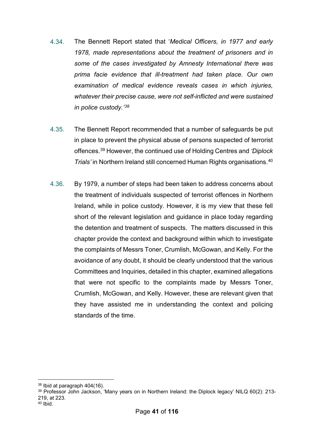- 4.34. The Bennett Report stated that '*Medical Officers, in 1977 and early 1978, made representations about the treatment of prisoners and in some of the cases investigated by Amnesty International there was prima facie evidence that ill-treatment had taken place. Our own examination of medical evidence reveals cases in which injuries, whatever their precise cause, were not self-inflicted and were sustained in police custody.' [38](#page-41-0)*
- 4.35. The Bennett Report recommended that a number of safeguards be put in place to prevent the physical abuse of persons suspected of terrorist offences. [39](#page-41-1) However, the continued use of Holding Centres and *'Diplock Trials'* in Northern Ireland still concerned Human Rights organisations. [40](#page-41-2)
- 4.36. By 1979, a number of steps had been taken to address concerns about the treatment of individuals suspected of terrorist offences in Northern Ireland, while in police custody. However, it is my view that these fell short of the relevant legislation and guidance in place today regarding the detention and treatment of suspects. The matters discussed in this chapter provide the context and background within which to investigate the complaints of Messrs Toner, Crumlish, McGowan, and Kelly. For the avoidance of any doubt, it should be clearly understood that the various Committees and Inquiries, detailed in this chapter, examined allegations that were not specific to the complaints made by Messrs Toner, Crumlish, McGowan, and Kelly. However, these are relevant given that they have assisted me in understanding the context and policing standards of the time.

<u>.</u>

<span id="page-41-0"></span><sup>38</sup> Ibid at paragraph 404(16).

<span id="page-41-2"></span><span id="page-41-1"></span><sup>39</sup> Professor John Jackson, 'Many years on in Northern Ireland: the Diplock legacy' NILQ 60(2): 213- 219, at 223. <sup>40</sup> Ibid.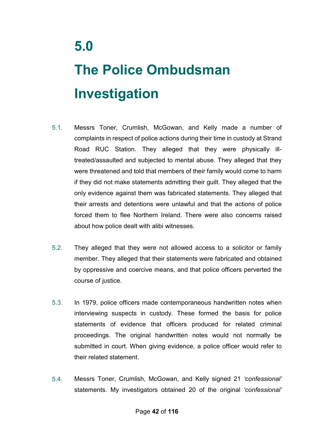# **The Police Ombudsman Investigation**

- 5.1. Messrs Toner, Crumlish, McGowan, and Kelly made a number of complaints in respect of police actions during their time in custody at Strand Road RUC Station. They alleged that they were physically illtreated/assaulted and subjected to mental abuse. They alleged that they were threatened and told that members of their family would come to harm if they did not make statements admitting their guilt. They alleged that the only evidence against them was fabricated statements. They alleged that their arrests and detentions were unlawful and that the actions of police forced them to flee Northern Ireland. There were also concerns raised about how police dealt with alibi witnesses.
- 5.2. They alleged that they were not allowed access to a solicitor or family member. They alleged that their statements were fabricated and obtained by oppressive and coercive means, and that police officers perverted the course of justice.
- 5.3. In 1979, police officers made contemporaneous handwritten notes when interviewing suspects in custody. These formed the basis for police statements of evidence that officers produced for related criminal proceedings. The original handwritten notes would not normally be submitted in court. When giving evidence, a police officer would refer to their related statement.
- 5.4. Messrs Toner, Crumlish, McGowan, and Kelly signed 21 *'confessional'* statements. My investigators obtained 20 of the original *'confessional'*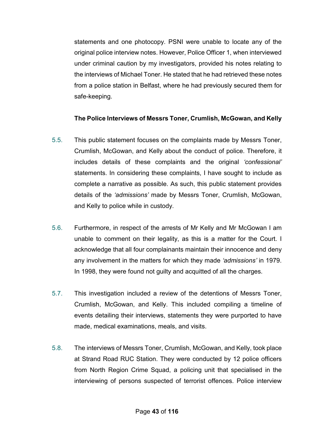statements and one photocopy. PSNI were unable to locate any of the original police interview notes. However, Police Officer 1, when interviewed under criminal caution by my investigators, provided his notes relating to the interviews of Michael Toner. He stated that he had retrieved these notes from a police station in Belfast, where he had previously secured them for safe-keeping.

# **The Police Interviews of Messrs Toner, Crumlish, McGowan, and Kelly**

- 5.5. This public statement focuses on the complaints made by Messrs Toner, Crumlish, McGowan, and Kelly about the conduct of police. Therefore, it includes details of these complaints and the original *'confessional'*  statements. In considering these complaints, I have sought to include as complete a narrative as possible. As such, this public statement provides details of the *'admissions'* made by Messrs Toner, Crumlish, McGowan, and Kelly to police while in custody.
- 5.6. Furthermore, in respect of the arrests of Mr Kelly and Mr McGowan I am unable to comment on their legality, as this is a matter for the Court. I acknowledge that all four complainants maintain their innocence and deny any involvement in the matters for which they made *'admissions'* in 1979. In 1998, they were found not guilty and acquitted of all the charges.
- 5.7. This investigation included a review of the detentions of Messrs Toner, Crumlish, McGowan, and Kelly. This included compiling a timeline of events detailing their interviews, statements they were purported to have made, medical examinations, meals, and visits.
- 5.8. The interviews of Messrs Toner, Crumlish, McGowan, and Kelly, took place at Strand Road RUC Station. They were conducted by 12 police officers from North Region Crime Squad, a policing unit that specialised in the interviewing of persons suspected of terrorist offences. Police interview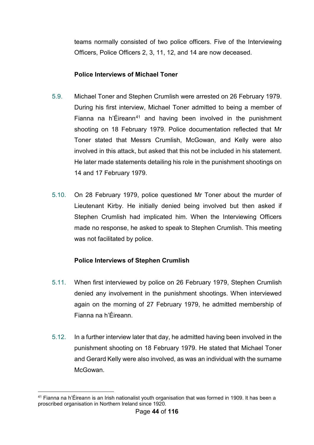teams normally consisted of two police officers. Five of the Interviewing Officers, Police Officers 2, 3, 11, 12, and 14 are now deceased.

### **Police Interviews of Michael Toner**

- 5.9. Michael Toner and Stephen Crumlish were arrested on 26 February 1979. During his first interview, Michael Toner admitted to being a member of Fianna na h'Éireann<sup>[41](#page-44-0)</sup> and having been involved in the punishment shooting on 18 February 1979. Police documentation reflected that Mr Toner stated that Messrs Crumlish, McGowan, and Kelly were also involved in this attack, but asked that this not be included in his statement. He later made statements detailing his role in the punishment shootings on 14 and 17 February 1979.
- 5.10. On 28 February 1979, police questioned Mr Toner about the murder of Lieutenant Kirby. He initially denied being involved but then asked if Stephen Crumlish had implicated him. When the Interviewing Officers made no response, he asked to speak to Stephen Crumlish. This meeting was not facilitated by police.

# **Police Interviews of Stephen Crumlish**

- 5.11. When first interviewed by police on 26 February 1979, Stephen Crumlish denied any involvement in the punishment shootings. When interviewed again on the morning of 27 February 1979, he admitted membership of Fianna na h'Éireann.
- 5.12. In a further interview later that day, he admitted having been involved in the punishment shooting on 18 February 1979. He stated that Michael Toner and Gerard Kelly were also involved, as was an individual with the surname **McGowan**

<span id="page-44-0"></span><sup>&</sup>lt;u>.</u> <sup>41</sup> Fianna na h'Éireann is an Irish nationalist youth organisation that was formed in 1909. It has been a proscribed organisation in Northern Ireland since 1920.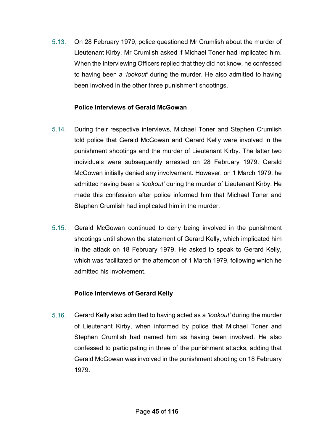5.13. On 28 February 1979, police questioned Mr Crumlish about the murder of Lieutenant Kirby. Mr Crumlish asked if Michael Toner had implicated him. When the Interviewing Officers replied that they did not know, he confessed to having been a *'lookout'* during the murder. He also admitted to having been involved in the other three punishment shootings.

# **Police Interviews of Gerald McGowan**

- 5.14. During their respective interviews, Michael Toner and Stephen Crumlish told police that Gerald McGowan and Gerard Kelly were involved in the punishment shootings and the murder of Lieutenant Kirby. The latter two individuals were subsequently arrested on 28 February 1979. Gerald McGowan initially denied any involvement. However, on 1 March 1979, he admitted having been a *'lookout'* during the murder of Lieutenant Kirby. He made this confession after police informed him that Michael Toner and Stephen Crumlish had implicated him in the murder.
- 5.15. Gerald McGowan continued to deny being involved in the punishment shootings until shown the statement of Gerard Kelly, which implicated him in the attack on 18 February 1979. He asked to speak to Gerard Kelly, which was facilitated on the afternoon of 1 March 1979, following which he admitted his involvement.

#### **Police Interviews of Gerard Kelly**

5.16. Gerard Kelly also admitted to having acted as a *'lookout'* during the murder of Lieutenant Kirby, when informed by police that Michael Toner and Stephen Crumlish had named him as having been involved. He also confessed to participating in three of the punishment attacks, adding that Gerald McGowan was involved in the punishment shooting on 18 February 1979.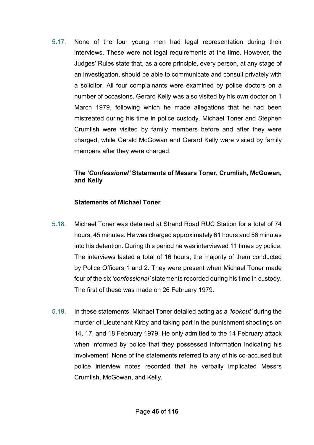5.17. None of the four young men had legal representation during their interviews. These were not legal requirements at the time. However, the Judges' Rules state that, as a core principle, every person, at any stage of an investigation, should be able to communicate and consult privately with a solicitor. All four complainants were examined by police doctors on a number of occasions. Gerard Kelly was also visited by his own doctor on 1 March 1979, following which he made allegations that he had been mistreated during his time in police custody. Michael Toner and Stephen Crumlish were visited by family members before and after they were charged, while Gerald McGowan and Gerard Kelly were visited by family members after they were charged.

# **The** *'Confessional'* **Statements of Messrs Toner, Crumlish, McGowan, and Kelly**

### **Statements of Michael Toner**

- 5.18. Michael Toner was detained at Strand Road RUC Station for a total of 74 hours, 45 minutes. He was charged approximately 61 hours and 56 minutes into his detention. During this period he was interviewed 11 times by police. The interviews lasted a total of 16 hours, the majority of them conducted by Police Officers 1 and 2. They were present when Michael Toner made four of the six *'confessional'* statements recorded during his time in custody. The first of these was made on 26 February 1979.
- 5.19. In these statements, Michael Toner detailed acting as a *'lookout'* during the murder of Lieutenant Kirby and taking part in the punishment shootings on 14, 17, and 18 February 1979. He only admitted to the 14 February attack when informed by police that they possessed information indicating his involvement. None of the statements referred to any of his co-accused but police interview notes recorded that he verbally implicated Messrs Crumlish, McGowan, and Kelly.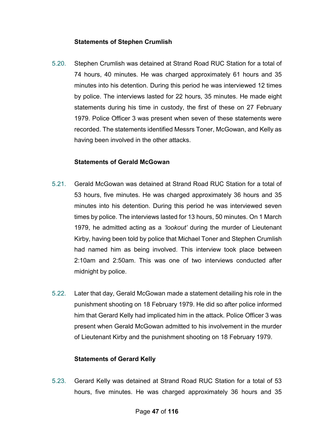### **Statements of Stephen Crumlish**

5.20. Stephen Crumlish was detained at Strand Road RUC Station for a total of 74 hours, 40 minutes. He was charged approximately 61 hours and 35 minutes into his detention. During this period he was interviewed 12 times by police. The interviews lasted for 22 hours, 35 minutes. He made eight statements during his time in custody, the first of these on 27 February 1979. Police Officer 3 was present when seven of these statements were recorded. The statements identified Messrs Toner, McGowan, and Kelly as having been involved in the other attacks.

#### **Statements of Gerald McGowan**

- 5.21. Gerald McGowan was detained at Strand Road RUC Station for a total of 53 hours, five minutes. He was charged approximately 36 hours and 35 minutes into his detention. During this period he was interviewed seven times by police. The interviews lasted for 13 hours, 50 minutes. On 1 March 1979, he admitted acting as a *'lookout'* during the murder of Lieutenant Kirby, having been told by police that Michael Toner and Stephen Crumlish had named him as being involved. This interview took place between 2:10am and 2:50am. This was one of two interviews conducted after midnight by police.
- 5.22. Later that day, Gerald McGowan made a statement detailing his role in the punishment shooting on 18 February 1979. He did so after police informed him that Gerard Kelly had implicated him in the attack. Police Officer 3 was present when Gerald McGowan admitted to his involvement in the murder of Lieutenant Kirby and the punishment shooting on 18 February 1979.

# **Statements of Gerard Kelly**

5.23. Gerard Kelly was detained at Strand Road RUC Station for a total of 53 hours, five minutes. He was charged approximately 36 hours and 35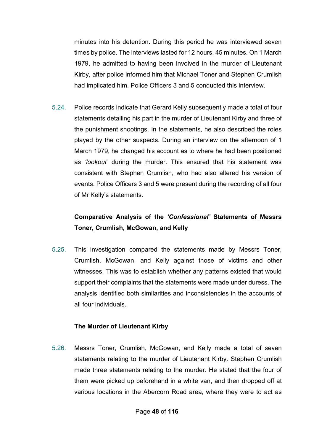minutes into his detention. During this period he was interviewed seven times by police. The interviews lasted for 12 hours, 45 minutes. On 1 March 1979, he admitted to having been involved in the murder of Lieutenant Kirby, after police informed him that Michael Toner and Stephen Crumlish had implicated him. Police Officers 3 and 5 conducted this interview.

5.24. Police records indicate that Gerard Kelly subsequently made a total of four statements detailing his part in the murder of Lieutenant Kirby and three of the punishment shootings. In the statements, he also described the roles played by the other suspects. During an interview on the afternoon of 1 March 1979, he changed his account as to where he had been positioned as *'lookout'* during the murder. This ensured that his statement was consistent with Stephen Crumlish, who had also altered his version of events. Police Officers 3 and 5 were present during the recording of all four of Mr Kelly's statements.

# **Comparative Analysis of the** *'Confessional'* **Statements of Messrs Toner, Crumlish, McGowan, and Kelly**

5.25. This investigation compared the statements made by Messrs Toner, Crumlish, McGowan, and Kelly against those of victims and other witnesses. This was to establish whether any patterns existed that would support their complaints that the statements were made under duress. The analysis identified both similarities and inconsistencies in the accounts of all four individuals.

# **The Murder of Lieutenant Kirby**

5.26. Messrs Toner, Crumlish, McGowan, and Kelly made a total of seven statements relating to the murder of Lieutenant Kirby. Stephen Crumlish made three statements relating to the murder. He stated that the four of them were picked up beforehand in a white van, and then dropped off at various locations in the Abercorn Road area, where they were to act as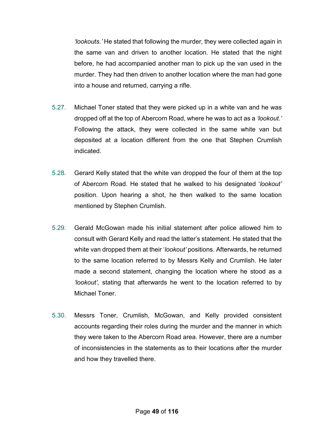*'lookouts.'* He stated that following the murder, they were collected again in the same van and driven to another location. He stated that the night before, he had accompanied another man to pick up the van used in the murder. They had then driven to another location where the man had gone into a house and returned, carrying a rifle.

- 5.27. Michael Toner stated that they were picked up in a white van and he was dropped off at the top of Abercorn Road, where he was to act as a *'lookout.'* Following the attack, they were collected in the same white van but deposited at a location different from the one that Stephen Crumlish indicated.
- 5.28. Gerard Kelly stated that the white van dropped the four of them at the top of Abercorn Road. He stated that he walked to his designated '*lookout'* position. Upon hearing a shot, he then walked to the same location mentioned by Stephen Crumlish.
- 5.29. Gerald McGowan made his initial statement after police allowed him to consult with Gerard Kelly and read the latter's statement. He stated that the white van dropped them at their '*lookout'* positions. Afterwards, he returned to the same location referred to by Messrs Kelly and Crumlish. He later made a second statement, changing the location where he stood as a *'lookout',* stating that afterwards he went to the location referred to by Michael Toner.
- 5.30. Messrs Toner, Crumlish, McGowan, and Kelly provided consistent accounts regarding their roles during the murder and the manner in which they were taken to the Abercorn Road area. However, there are a number of inconsistencies in the statements as to their locations after the murder and how they travelled there.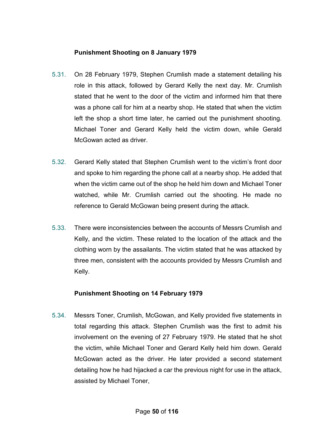# **Punishment Shooting on 8 January 1979**

- 5.31. On 28 February 1979, Stephen Crumlish made a statement detailing his role in this attack, followed by Gerard Kelly the next day. Mr. Crumlish stated that he went to the door of the victim and informed him that there was a phone call for him at a nearby shop. He stated that when the victim left the shop a short time later, he carried out the punishment shooting. Michael Toner and Gerard Kelly held the victim down, while Gerald McGowan acted as driver.
- 5.32. Gerard Kelly stated that Stephen Crumlish went to the victim's front door and spoke to him regarding the phone call at a nearby shop. He added that when the victim came out of the shop he held him down and Michael Toner watched, while Mr. Crumlish carried out the shooting. He made no reference to Gerald McGowan being present during the attack.
- 5.33. There were inconsistencies between the accounts of Messrs Crumlish and Kelly, and the victim. These related to the location of the attack and the clothing worn by the assailants. The victim stated that he was attacked by three men, consistent with the accounts provided by Messrs Crumlish and Kelly.

# **Punishment Shooting on 14 February 1979**

5.34. Messrs Toner, Crumlish, McGowan, and Kelly provided five statements in total regarding this attack. Stephen Crumlish was the first to admit his involvement on the evening of 27 February 1979. He stated that he shot the victim, while Michael Toner and Gerard Kelly held him down. Gerald McGowan acted as the driver. He later provided a second statement detailing how he had hijacked a car the previous night for use in the attack, assisted by Michael Toner,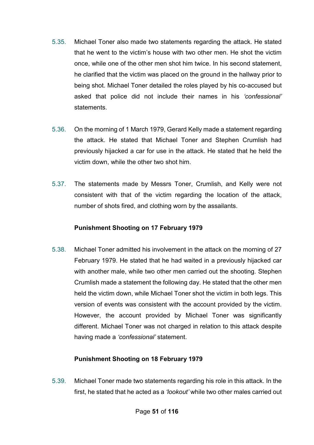- 5.35. Michael Toner also made two statements regarding the attack. He stated that he went to the victim's house with two other men. He shot the victim once, while one of the other men shot him twice. In his second statement, he clarified that the victim was placed on the ground in the hallway prior to being shot. Michael Toner detailed the roles played by his co-accused but asked that police did not include their names in his *'confessional'* statements.
- 5.36. On the morning of 1 March 1979, Gerard Kelly made a statement regarding the attack. He stated that Michael Toner and Stephen Crumlish had previously hijacked a car for use in the attack. He stated that he held the victim down, while the other two shot him.
- 5.37. The statements made by Messrs Toner, Crumlish, and Kelly were not consistent with that of the victim regarding the location of the attack, number of shots fired, and clothing worn by the assailants.

# **Punishment Shooting on 17 February 1979**

5.38. Michael Toner admitted his involvement in the attack on the morning of 27 February 1979. He stated that he had waited in a previously hijacked car with another male, while two other men carried out the shooting. Stephen Crumlish made a statement the following day. He stated that the other men held the victim down, while Michael Toner shot the victim in both legs. This version of events was consistent with the account provided by the victim. However, the account provided by Michael Toner was significantly different. Michael Toner was not charged in relation to this attack despite having made a *'confessional'* statement.

# **Punishment Shooting on 18 February 1979**

5.39. Michael Toner made two statements regarding his role in this attack. In the first, he stated that he acted as a *'lookout'* while two other males carried out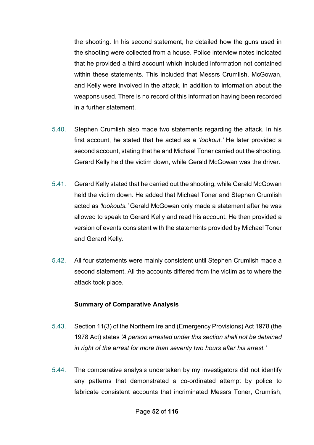the shooting. In his second statement, he detailed how the guns used in the shooting were collected from a house. Police interview notes indicated that he provided a third account which included information not contained within these statements. This included that Messrs Crumlish, McGowan, and Kelly were involved in the attack, in addition to information about the weapons used. There is no record of this information having been recorded in a further statement.

- 5.40. Stephen Crumlish also made two statements regarding the attack. In his first account, he stated that he acted as a *'lookout.'* He later provided a second account, stating that he and Michael Toner carried out the shooting. Gerard Kelly held the victim down, while Gerald McGowan was the driver.
- 5.41. Gerard Kelly stated that he carried out the shooting, while Gerald McGowan held the victim down. He added that Michael Toner and Stephen Crumlish acted as *'lookouts.'* Gerald McGowan only made a statement after he was allowed to speak to Gerard Kelly and read his account. He then provided a version of events consistent with the statements provided by Michael Toner and Gerard Kelly.
- 5.42. All four statements were mainly consistent until Stephen Crumlish made a second statement. All the accounts differed from the victim as to where the attack took place.

#### **Summary of Comparative Analysis**

- 5.43. Section 11(3) of the Northern Ireland (Emergency Provisions) Act 1978 (the 1978 Act) states *'A person arrested under this section shall not be detained in right of the arrest for more than seventy two hours after his arrest.'*
- 5.44. The comparative analysis undertaken by my investigators did not identify any patterns that demonstrated a co-ordinated attempt by police to fabricate consistent accounts that incriminated Messrs Toner, Crumlish,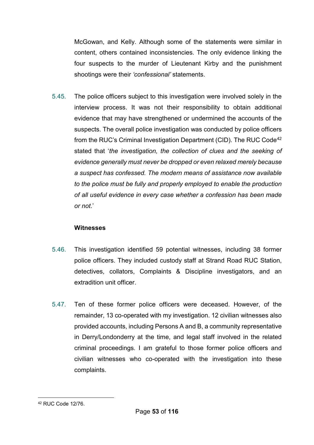McGowan, and Kelly. Although some of the statements were similar in content, others contained inconsistencies. The only evidence linking the four suspects to the murder of Lieutenant Kirby and the punishment shootings were their *'confessional'* statements.

5.45. The police officers subject to this investigation were involved solely in the interview process. It was not their responsibility to obtain additional evidence that may have strengthened or undermined the accounts of the suspects. The overall police investigation was conducted by police officers from the RUC's Criminal Investigation Department (CID). The RUC Code<sup>[42](#page-53-0)</sup> stated that '*the investigation, the collection of clues and the seeking of evidence generally must never be dropped or even relaxed merely because a suspect has confessed. The modern means of assistance now available to the police must be fully and properly employed to enable the production of all useful evidence in every case whether a confession has been made or not*.'

#### **Witnesses**

- 5.46. This investigation identified 59 potential witnesses, including 38 former police officers. They included custody staff at Strand Road RUC Station, detectives, collators, Complaints & Discipline investigators, and an extradition unit officer.
- 5.47. Ten of these former police officers were deceased. However, of the remainder, 13 co-operated with my investigation. 12 civilian witnesses also provided accounts, including Persons A and B, a community representative in Derry/Londonderry at the time, and legal staff involved in the related criminal proceedings. I am grateful to those former police officers and civilian witnesses who co-operated with the investigation into these complaints.

<span id="page-53-0"></span><sup>&</sup>lt;u>.</u> <sup>42</sup> RUC Code 12/76.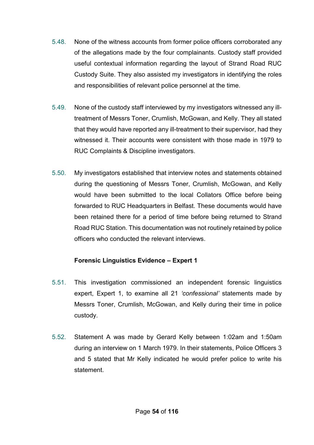- 5.48. None of the witness accounts from former police officers corroborated any of the allegations made by the four complainants. Custody staff provided useful contextual information regarding the layout of Strand Road RUC Custody Suite. They also assisted my investigators in identifying the roles and responsibilities of relevant police personnel at the time.
- 5.49. None of the custody staff interviewed by my investigators witnessed any illtreatment of Messrs Toner, Crumlish, McGowan, and Kelly. They all stated that they would have reported any ill-treatment to their supervisor, had they witnessed it. Their accounts were consistent with those made in 1979 to RUC Complaints & Discipline investigators.
- 5.50. My investigators established that interview notes and statements obtained during the questioning of Messrs Toner, Crumlish, McGowan, and Kelly would have been submitted to the local Collators Office before being forwarded to RUC Headquarters in Belfast. These documents would have been retained there for a period of time before being returned to Strand Road RUC Station. This documentation was not routinely retained by police officers who conducted the relevant interviews.

# **Forensic Linguistics Evidence – Expert 1**

- 5.51. This investigation commissioned an independent forensic linguistics expert, Expert 1, to examine all 21 *'confessional'* statements made by Messrs Toner, Crumlish, McGowan, and Kelly during their time in police custody.
- 5.52. Statement A was made by Gerard Kelly between 1:02am and 1:50am during an interview on 1 March 1979. In their statements, Police Officers 3 and 5 stated that Mr Kelly indicated he would prefer police to write his statement.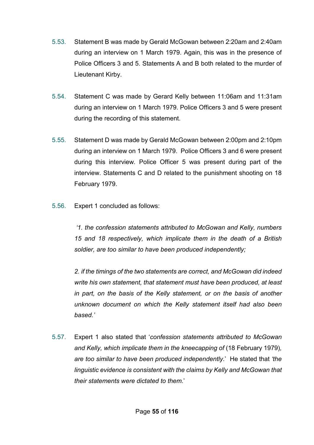- 5.53. Statement B was made by Gerald McGowan between 2:20am and 2:40am during an interview on 1 March 1979. Again, this was in the presence of Police Officers 3 and 5. Statements A and B both related to the murder of Lieutenant Kirby.
- 5.54. Statement C was made by Gerard Kelly between 11:06am and 11:31am during an interview on 1 March 1979. Police Officers 3 and 5 were present during the recording of this statement.
- 5.55. Statement D was made by Gerald McGowan between 2:00pm and 2:10pm during an interview on 1 March 1979. Police Officers 3 and 6 were present during this interview. Police Officer 5 was present during part of the interview. Statements C and D related to the punishment shooting on 18 February 1979.
- 5.56. Expert 1 concluded as follows:

*'1. the confession statements attributed to McGowan and Kelly, numbers 15 and 18 respectively, which implicate them in the death of a British soldier, are too similar to have been produced independently;* 

*2. if the timings of the two statements are correct, and McGowan did indeed write his own statement, that statement must have been produced, at least in part, on the basis of the Kelly statement, or on the basis of another unknown document on which the Kelly statement itself had also been based.'* 

5.57. Expert 1 also stated that '*confession statements attributed to McGowan* and Kelly, which implicate them in the kneecapping of (18 February 1979), *are too similar to have been produced independently*.' He stated that *'the linguistic evidence is consistent with the claims by Kelly and McGowan that their statements were dictated to them*.'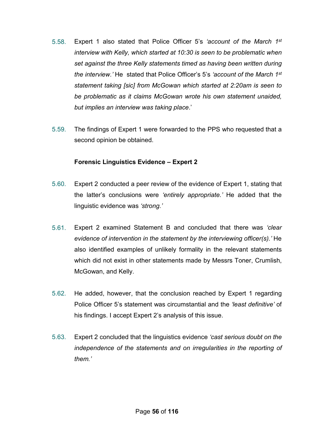- 5.58. Expert 1 also stated that Police Officer 5's *'account of the March 1st interview with Kelly, which started at 10:30 is seen to be problematic when set against the three Kelly statements timed as having been written during the interview.'* He stated that Police Officer's 5's *'account of the March 1st statement taking [sic] from McGowan which started at 2:20am is seen to be problematic as it claims McGowan wrote his own statement unaided, but implies an interview was taking place*.'
- 5.59. The findings of Expert 1 were forwarded to the PPS who requested that a second opinion be obtained.

#### **Forensic Linguistics Evidence – Expert 2**

- 5.60. Expert 2 conducted a peer review of the evidence of Expert 1, stating that the latter's conclusions were *'entirely appropriate.'* He added that the linguistic evidence was *'strong.'*
- 5.61. Expert 2 examined Statement B and concluded that there was *'clear evidence of intervention in the statement by the interviewing officer(s).'* He also identified examples of unlikely formality in the relevant statements which did not exist in other statements made by Messrs Toner, Crumlish, McGowan, and Kelly.
- 5.62. He added, however, that the conclusion reached by Expert 1 regarding Police Officer 5's statement was circumstantial and the *'least definitive'* of his findings. I accept Expert 2's analysis of this issue.
- 5.63. Expert 2 concluded that the linguistics evidence *'cast serious doubt on the independence of the statements and on irregularities in the reporting of them.'*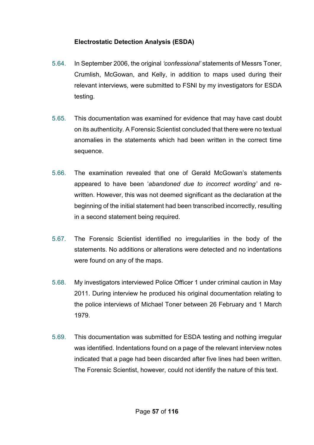# **Electrostatic Detection Analysis (ESDA)**

- 5.64. In September 2006, the original *'confessional'* statements of Messrs Toner, Crumlish, McGowan, and Kelly, in addition to maps used during their relevant interviews, were submitted to FSNI by my investigators for ESDA testing.
- 5.65. This documentation was examined for evidence that may have cast doubt on its authenticity. A Forensic Scientist concluded that there were no textual anomalies in the statements which had been written in the correct time sequence.
- 5.66. The examination revealed that one of Gerald McGowan's statements appeared to have been '*abandoned due to incorrect wording'* and rewritten. However, this was not deemed significant as the declaration at the beginning of the initial statement had been transcribed incorrectly, resulting in a second statement being required.
- 5.67. The Forensic Scientist identified no irregularities in the body of the statements. No additions or alterations were detected and no indentations were found on any of the maps.
- 5.68. My investigators interviewed Police Officer 1 under criminal caution in May 2011. During interview he produced his original documentation relating to the police interviews of Michael Toner between 26 February and 1 March 1979.
- 5.69. This documentation was submitted for ESDA testing and nothing irregular was identified. Indentations found on a page of the relevant interview notes indicated that a page had been discarded after five lines had been written. The Forensic Scientist, however, could not identify the nature of this text.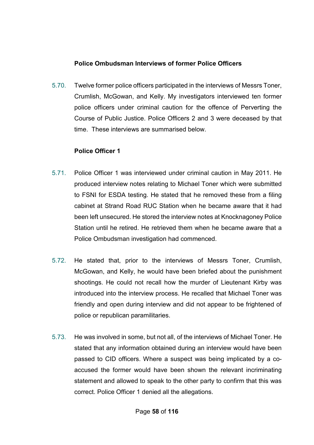# **Police Ombudsman Interviews of former Police Officers**

5.70. Twelve former police officers participated in the interviews of Messrs Toner, Crumlish, McGowan, and Kelly. My investigators interviewed ten former police officers under criminal caution for the offence of Perverting the Course of Public Justice. Police Officers 2 and 3 were deceased by that time. These interviews are summarised below.

### **Police Officer 1**

- 5.71. Police Officer 1 was interviewed under criminal caution in May 2011. He produced interview notes relating to Michael Toner which were submitted to FSNI for ESDA testing. He stated that he removed these from a filing cabinet at Strand Road RUC Station when he became aware that it had been left unsecured. He stored the interview notes at Knocknagoney Police Station until he retired. He retrieved them when he became aware that a Police Ombudsman investigation had commenced.
- 5.72. He stated that, prior to the interviews of Messrs Toner, Crumlish, McGowan, and Kelly, he would have been briefed about the punishment shootings. He could not recall how the murder of Lieutenant Kirby was introduced into the interview process. He recalled that Michael Toner was friendly and open during interview and did not appear to be frightened of police or republican paramilitaries.
- 5.73. He was involved in some, but not all, of the interviews of Michael Toner. He stated that any information obtained during an interview would have been passed to CID officers. Where a suspect was being implicated by a coaccused the former would have been shown the relevant incriminating statement and allowed to speak to the other party to confirm that this was correct. Police Officer 1 denied all the allegations.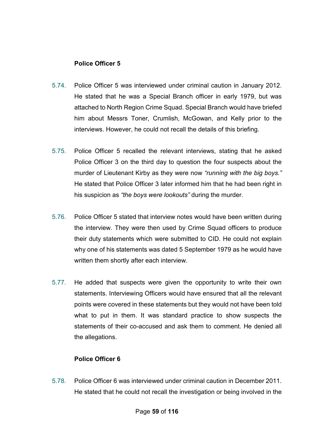# **Police Officer 5**

- 5.74. Police Officer 5 was interviewed under criminal caution in January 2012. He stated that he was a Special Branch officer in early 1979, but was attached to North Region Crime Squad. Special Branch would have briefed him about Messrs Toner, Crumlish, McGowan, and Kelly prior to the interviews. However, he could not recall the details of this briefing.
- 5.75. Police Officer 5 recalled the relevant interviews, stating that he asked Police Officer 3 on the third day to question the four suspects about the murder of Lieutenant Kirby as they were now *"running with the big boys."*  He stated that Police Officer 3 later informed him that he had been right in his suspicion as *"the boys were lookouts"* during the murder.
- 5.76. Police Officer 5 stated that interview notes would have been written during the interview. They were then used by Crime Squad officers to produce their duty statements which were submitted to CID. He could not explain why one of his statements was dated 5 September 1979 as he would have written them shortly after each interview.
- 5.77. He added that suspects were given the opportunity to write their own statements. Interviewing Officers would have ensured that all the relevant points were covered in these statements but they would not have been told what to put in them. It was standard practice to show suspects the statements of their co-accused and ask them to comment. He denied all the allegations.

# **Police Officer 6**

5.78. Police Officer 6 was interviewed under criminal caution in December 2011. He stated that he could not recall the investigation or being involved in the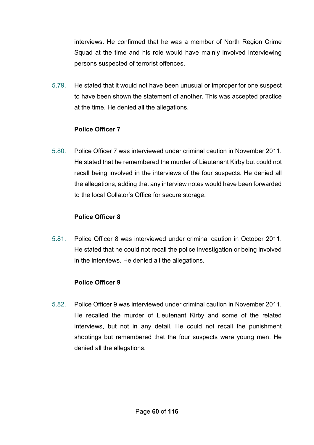interviews. He confirmed that he was a member of North Region Crime Squad at the time and his role would have mainly involved interviewing persons suspected of terrorist offences.

5.79. He stated that it would not have been unusual or improper for one suspect to have been shown the statement of another. This was accepted practice at the time. He denied all the allegations.

# **Police Officer 7**

5.80. Police Officer 7 was interviewed under criminal caution in November 2011. He stated that he remembered the murder of Lieutenant Kirby but could not recall being involved in the interviews of the four suspects. He denied all the allegations, adding that any interview notes would have been forwarded to the local Collator's Office for secure storage.

#### **Police Officer 8**

5.81. Police Officer 8 was interviewed under criminal caution in October 2011. He stated that he could not recall the police investigation or being involved in the interviews. He denied all the allegations.

#### **Police Officer 9**

5.82. Police Officer 9 was interviewed under criminal caution in November 2011. He recalled the murder of Lieutenant Kirby and some of the related interviews, but not in any detail. He could not recall the punishment shootings but remembered that the four suspects were young men. He denied all the allegations.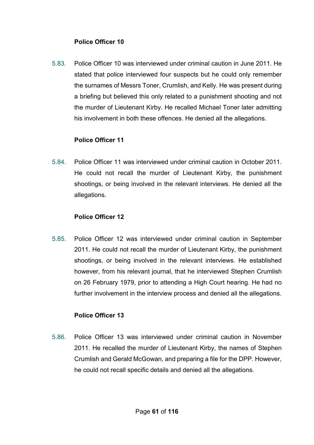# **Police Officer 10**

5.83. Police Officer 10 was interviewed under criminal caution in June 2011. He stated that police interviewed four suspects but he could only remember the surnames of Messrs Toner, Crumlish, and Kelly. He was present during a briefing but believed this only related to a punishment shooting and not the murder of Lieutenant Kirby. He recalled Michael Toner later admitting his involvement in both these offences. He denied all the allegations.

# **Police Officer 11**

5.84. Police Officer 11 was interviewed under criminal caution in October 2011. He could not recall the murder of Lieutenant Kirby, the punishment shootings, or being involved in the relevant interviews. He denied all the allegations.

#### **Police Officer 12**

5.85. Police Officer 12 was interviewed under criminal caution in September 2011. He could not recall the murder of Lieutenant Kirby, the punishment shootings, or being involved in the relevant interviews. He established however, from his relevant journal, that he interviewed Stephen Crumlish on 26 February 1979, prior to attending a High Court hearing. He had no further involvement in the interview process and denied all the allegations.

# **Police Officer 13**

5.86. Police Officer 13 was interviewed under criminal caution in November 2011. He recalled the murder of Lieutenant Kirby, the names of Stephen Crumlish and Gerald McGowan, and preparing a file for the DPP. However, he could not recall specific details and denied all the allegations.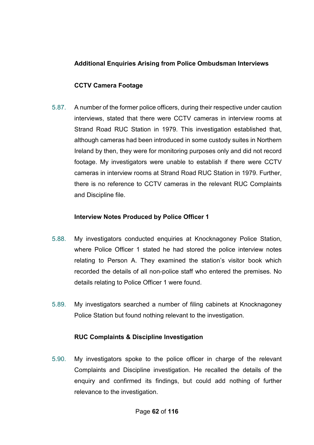# **Additional Enquiries Arising from Police Ombudsman Interviews**

# **CCTV Camera Footage**

5.87. A number of the former police officers, during their respective under caution interviews, stated that there were CCTV cameras in interview rooms at Strand Road RUC Station in 1979. This investigation established that, although cameras had been introduced in some custody suites in Northern Ireland by then, they were for monitoring purposes only and did not record footage. My investigators were unable to establish if there were CCTV cameras in interview rooms at Strand Road RUC Station in 1979. Further, there is no reference to CCTV cameras in the relevant RUC Complaints and Discipline file.

# **Interview Notes Produced by Police Officer 1**

- 5.88. My investigators conducted enquiries at Knocknagoney Police Station, where Police Officer 1 stated he had stored the police interview notes relating to Person A. They examined the station's visitor book which recorded the details of all non-police staff who entered the premises. No details relating to Police Officer 1 were found.
- 5.89. My investigators searched a number of filing cabinets at Knocknagoney Police Station but found nothing relevant to the investigation.

# **RUC Complaints & Discipline Investigation**

5.90. My investigators spoke to the police officer in charge of the relevant Complaints and Discipline investigation. He recalled the details of the enquiry and confirmed its findings, but could add nothing of further relevance to the investigation.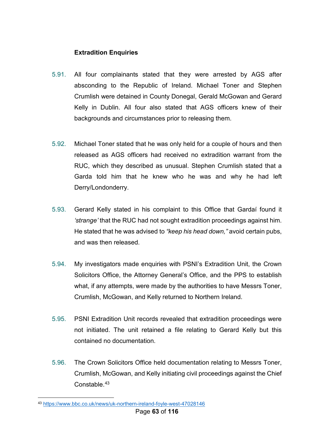## **Extradition Enquiries**

- 5.91. All four complainants stated that they were arrested by AGS after absconding to the Republic of Ireland. Michael Toner and Stephen Crumlish were detained in County Donegal, Gerald McGowan and Gerard Kelly in Dublin. All four also stated that AGS officers knew of their backgrounds and circumstances prior to releasing them.
- 5.92. Michael Toner stated that he was only held for a couple of hours and then released as AGS officers had received no extradition warrant from the RUC, which they described as unusual. Stephen Crumlish stated that a Garda told him that he knew who he was and why he had left Derry/Londonderry.
- 5.93. Gerard Kelly stated in his complaint to this Office that Gardaí found it *'strange'* that the RUC had not sought extradition proceedings against him. He stated that he was advised to *"keep his head down,"* avoid certain pubs, and was then released.
- 5.94. My investigators made enquiries with PSNI's Extradition Unit, the Crown Solicitors Office, the Attorney General's Office, and the PPS to establish what, if any attempts, were made by the authorities to have Messrs Toner, Crumlish, McGowan, and Kelly returned to Northern Ireland.
- 5.95. PSNI Extradition Unit records revealed that extradition proceedings were not initiated. The unit retained a file relating to Gerard Kelly but this contained no documentation.
- 5.96. The Crown Solicitors Office held documentation relating to Messrs Toner, Crumlish, McGowan, and Kelly initiating civil proceedings against the Chief Constable.<sup>[43](#page-63-0)</sup>

<u>.</u>

<span id="page-63-0"></span><sup>43</sup> <https://www.bbc.co.uk/news/uk-northern-ireland-foyle-west-47028146>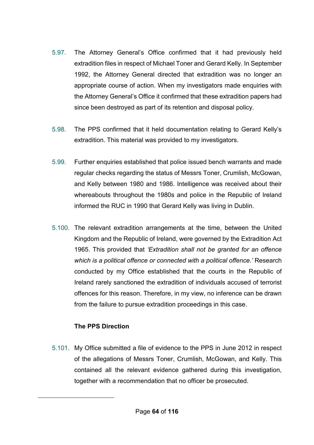- 5.97. The Attorney General's Office confirmed that it had previously held extradition files in respect of Michael Toner and Gerard Kelly. In September 1992, the Attorney General directed that extradition was no longer an appropriate course of action. When my investigators made enquiries with the Attorney General's Office it confirmed that these extradition papers had since been destroyed as part of its retention and disposal policy.
- 5.98. The PPS confirmed that it held documentation relating to Gerard Kelly's extradition. This material was provided to my investigators.
- 5.99. Further enquiries established that police issued bench warrants and made regular checks regarding the status of Messrs Toner, Crumlish, McGowan, and Kelly between 1980 and 1986. Intelligence was received about their whereabouts throughout the 1980s and police in the Republic of Ireland informed the RUC in 1990 that Gerard Kelly was living in Dublin.
- 5.100. The relevant extradition arrangements at the time, between the United Kingdom and the Republic of Ireland, were governed by the Extradition Act 1965. This provided that *'Extradition shall not be granted for an offence which is a political offence or connected with a political offence.'* Research conducted by my Office established that the courts in the Republic of Ireland rarely sanctioned the extradition of individuals accused of terrorist offences for this reason. Therefore, in my view, no inference can be drawn from the failure to pursue extradition proceedings in this case.

# **The PPS Direction**

<u>.</u>

5.101. My Office submitted a file of evidence to the PPS in June 2012 in respect of the allegations of Messrs Toner, Crumlish, McGowan, and Kelly. This contained all the relevant evidence gathered during this investigation, together with a recommendation that no officer be prosecuted.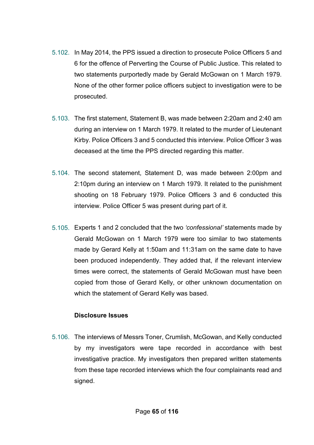- 5.102. In May 2014, the PPS issued a direction to prosecute Police Officers 5 and 6 for the offence of Perverting the Course of Public Justice. This related to two statements purportedly made by Gerald McGowan on 1 March 1979. None of the other former police officers subject to investigation were to be prosecuted.
- 5.103. The first statement, Statement B, was made between 2:20am and 2:40 am during an interview on 1 March 1979. It related to the murder of Lieutenant Kirby. Police Officers 3 and 5 conducted this interview. Police Officer 3 was deceased at the time the PPS directed regarding this matter.
- 5.104. The second statement, Statement D, was made between 2:00pm and 2:10pm during an interview on 1 March 1979. It related to the punishment shooting on 18 February 1979. Police Officers 3 and 6 conducted this interview. Police Officer 5 was present during part of it.
- 5.105. Experts 1 and 2 concluded that the two *'confessional'* statements made by Gerald McGowan on 1 March 1979 were too similar to two statements made by Gerard Kelly at 1:50am and 11:31am on the same date to have been produced independently. They added that, if the relevant interview times were correct, the statements of Gerald McGowan must have been copied from those of Gerard Kelly, or other unknown documentation on which the statement of Gerard Kelly was based.

# **Disclosure Issues**

5.106. The interviews of Messrs Toner, Crumlish, McGowan, and Kelly conducted by my investigators were tape recorded in accordance with best investigative practice. My investigators then prepared written statements from these tape recorded interviews which the four complainants read and signed.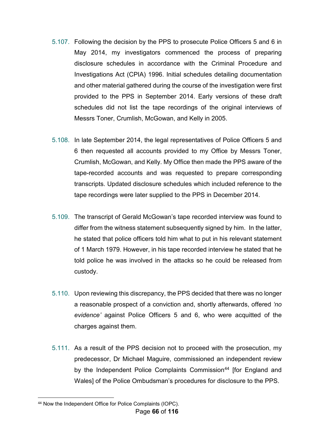- 5.107. Following the decision by the PPS to prosecute Police Officers 5 and 6 in May 2014, my investigators commenced the process of preparing disclosure schedules in accordance with the Criminal Procedure and Investigations Act (CPIA) 1996. Initial schedules detailing documentation and other material gathered during the course of the investigation were first provided to the PPS in September 2014. Early versions of these draft schedules did not list the tape recordings of the original interviews of Messrs Toner, Crumlish, McGowan, and Kelly in 2005.
- 5.108. In late September 2014, the legal representatives of Police Officers 5 and 6 then requested all accounts provided to my Office by Messrs Toner, Crumlish, McGowan, and Kelly. My Office then made the PPS aware of the tape-recorded accounts and was requested to prepare corresponding transcripts. Updated disclosure schedules which included reference to the tape recordings were later supplied to the PPS in December 2014.
- 5.109. The transcript of Gerald McGowan's tape recorded interview was found to differ from the witness statement subsequently signed by him. In the latter, he stated that police officers told him what to put in his relevant statement of 1 March 1979. However, in his tape recorded interview he stated that he told police he was involved in the attacks so he could be released from custody.
- 5.110. Upon reviewing this discrepancy, the PPS decided that there was no longer a reasonable prospect of a conviction and, shortly afterwards, offered *'no evidence'* against Police Officers 5 and 6, who were acquitted of the charges against them.
- 5.111. As a result of the PPS decision not to proceed with the prosecution, my predecessor, Dr Michael Maguire, commissioned an independent review by the Independent Police Complaints Commission<sup>[44](#page-66-0)</sup> [for England and Wales] of the Police Ombudsman's procedures for disclosure to the PPS.

<span id="page-66-0"></span><sup>&</sup>lt;u>.</u> <sup>44</sup> Now the Independent Office for Police Complaints (IOPC).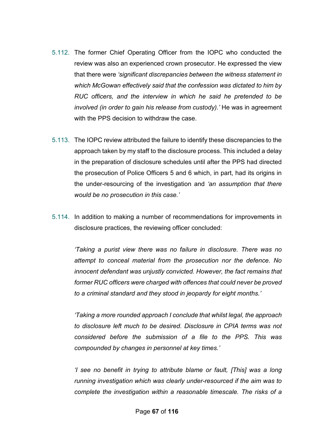- 5.112. The former Chief Operating Officer from the IOPC who conducted the review was also an experienced crown prosecutor. He expressed the view that there were *'significant discrepancies between the witness statement in which McGowan effectively said that the confession was dictated to him by RUC officers, and the interview in which he said he pretended to be involved (in order to gain his release from custody).'* He was in agreement with the PPS decision to withdraw the case.
- 5.113. The IOPC review attributed the failure to identify these discrepancies to the approach taken by my staff to the disclosure process. This included a delay in the preparation of disclosure schedules until after the PPS had directed the prosecution of Police Officers 5 and 6 which, in part, had its origins in the under-resourcing of the investigation and *'an assumption that there would be no prosecution in this case.'*
- 5.114. In addition to making a number of recommendations for improvements in disclosure practices, the reviewing officer concluded:

*'Taking a purist view there was no failure in disclosure. There was no attempt to conceal material from the prosecution nor the defence. No innocent defendant was unjustly convicted. However, the fact remains that former RUC officers were charged with offences that could never be proved to a criminal standard and they stood in jeopardy for eight months.'*

*'Taking a more rounded approach I conclude that whilst legal, the approach to disclosure left much to be desired. Disclosure in CPIA terms was not considered before the submission of a file to the PPS. This was compounded by changes in personnel at key times.'*

*'I see no benefit in trying to attribute blame or fault, [This] was a long running investigation which was clearly under-resourced if the aim was to complete the investigation within a reasonable timescale. The risks of a*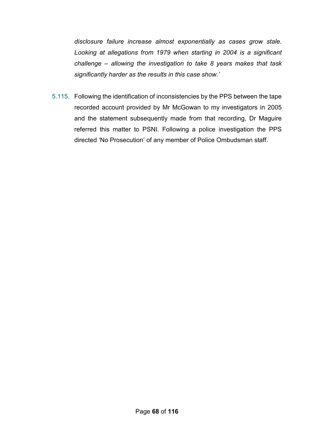*disclosure failure increase almost exponentially as cases grow stale. Looking at allegations from 1979 when starting in 2004 is a significant challenge – allowing the investigation to take 8 years makes that task significantly harder as the results in this case show.'*

5.115. Following the identification of inconsistencies by the PPS between the tape recorded account provided by Mr McGowan to my investigators in 2005 and the statement subsequently made from that recording, Dr Maguire referred this matter to PSNI. Following a police investigation the PPS directed 'No Prosecution' of any member of Police Ombudsman staff.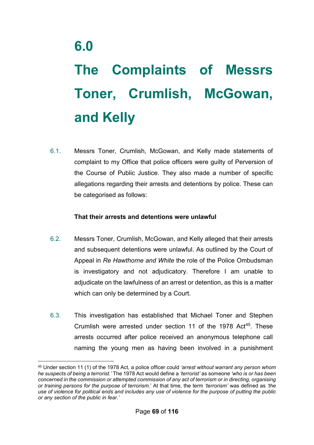# **The Complaints of Messrs Toner, Crumlish, McGowan, and Kelly**

6.1. Messrs Toner, Crumlish, McGowan, and Kelly made statements of complaint to my Office that police officers were guilty of Perversion of the Course of Public Justice. They also made a number of specific allegations regarding their arrests and detentions by police. These can be categorised as follows:

### **That their arrests and detentions were unlawful**

- 6.2. Messrs Toner, Crumlish, McGowan, and Kelly alleged that their arrests and subsequent detentions were unlawful. As outlined by the Court of Appeal in *Re Hawthorne and White* the role of the Police Ombudsman is investigatory and not adjudicatory. Therefore I am unable to adjudicate on the lawfulness of an arrest or detention, as this is a matter which can only be determined by a Court.
- 6.3. This investigation has established that Michael Toner and Stephen Crumlish were arrested under section 11 of the 1978 Act<sup>45</sup>. These arrests occurred after police received an anonymous telephone call naming the young men as having been involved in a punishment

<span id="page-69-0"></span><sup>&</sup>lt;u>.</u> <sup>45</sup> Under section 11 (1) of the 1978 Act, a police officer could *'arrest without warrant any person whom he suspects of being a terrorist.'* The 1978 Act would define a *'terrorist'* as someone *'who is or has been concerned in the commission or attempted commission of any act of terrorism or in directing, organising or training persons for the purpose of terrorism.*' At that time, the term *'terrorism'* was defined as *'the use of violence for political ends and includes any use of violence for the purpose of putting the public or any section of the public in fear.'*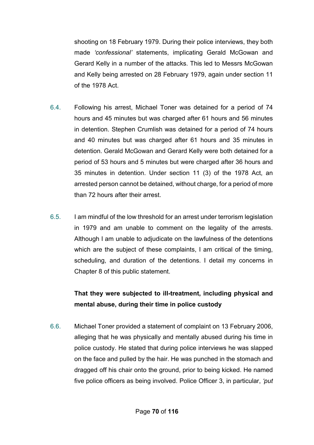shooting on 18 February 1979. During their police interviews, they both made *'confessional'* statements, implicating Gerald McGowan and Gerard Kelly in a number of the attacks. This led to Messrs McGowan and Kelly being arrested on 28 February 1979, again under section 11 of the 1978 Act.

- 6.4. Following his arrest, Michael Toner was detained for a period of 74 hours and 45 minutes but was charged after 61 hours and 56 minutes in detention. Stephen Crumlish was detained for a period of 74 hours and 40 minutes but was charged after 61 hours and 35 minutes in detention. Gerald McGowan and Gerard Kelly were both detained for a period of 53 hours and 5 minutes but were charged after 36 hours and 35 minutes in detention. Under section 11 (3) of the 1978 Act, an arrested person cannot be detained, without charge, for a period of more than 72 hours after their arrest.
- 6.5. I am mindful of the low threshold for an arrest under terrorism legislation in 1979 and am unable to comment on the legality of the arrests. Although I am unable to adjudicate on the lawfulness of the detentions which are the subject of these complaints, I am critical of the timing, scheduling, and duration of the detentions. I detail my concerns in Chapter 8 of this public statement.

# **That they were subjected to ill-treatment, including physical and mental abuse, during their time in police custody**

6.6. Michael Toner provided a statement of complaint on 13 February 2006, alleging that he was physically and mentally abused during his time in police custody. He stated that during police interviews he was slapped on the face and pulled by the hair. He was punched in the stomach and dragged off his chair onto the ground, prior to being kicked. He named five police officers as being involved. Police Officer 3, in particular, *'put*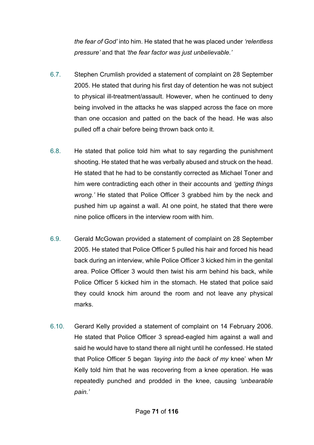*the fear of God'* into him. He stated that he was placed under *'relentless pressure'* and that *'the fear factor was just unbelievable.'*

- 6.7. Stephen Crumlish provided a statement of complaint on 28 September 2005. He stated that during his first day of detention he was not subject to physical ill-treatment/assault. However, when he continued to deny being involved in the attacks he was slapped across the face on more than one occasion and patted on the back of the head. He was also pulled off a chair before being thrown back onto it.
- 6.8. He stated that police told him what to say regarding the punishment shooting. He stated that he was verbally abused and struck on the head. He stated that he had to be constantly corrected as Michael Toner and him were contradicting each other in their accounts and *'getting things wrong.'* He stated that Police Officer 3 grabbed him by the neck and pushed him up against a wall. At one point, he stated that there were nine police officers in the interview room with him.
- 6.9. Gerald McGowan provided a statement of complaint on 28 September 2005. He stated that Police Officer 5 pulled his hair and forced his head back during an interview, while Police Officer 3 kicked him in the genital area. Police Officer 3 would then twist his arm behind his back, while Police Officer 5 kicked him in the stomach. He stated that police said they could knock him around the room and not leave any physical marks.
- 6.10. Gerard Kelly provided a statement of complaint on 14 February 2006. He stated that Police Officer 3 spread-eagled him against a wall and said he would have to stand there all night until he confessed. He stated that Police Officer 5 began *'laying into the back of my* knee' when Mr Kelly told him that he was recovering from a knee operation. He was repeatedly punched and prodded in the knee, causing *'unbearable pain.'*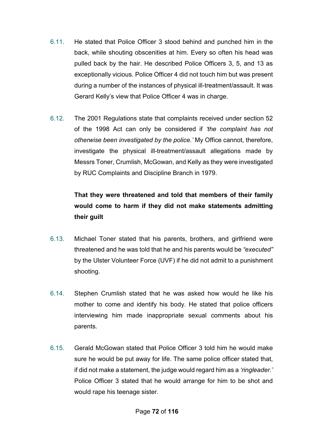- 6.11. He stated that Police Officer 3 stood behind and punched him in the back, while shouting obscenities at him. Every so often his head was pulled back by the hair. He described Police Officers 3, 5, and 13 as exceptionally vicious. Police Officer 4 did not touch him but was present during a number of the instances of physical ill-treatment/assault. It was Gerard Kelly's view that Police Officer 4 was in charge.
- 6.12. The 2001 Regulations state that complaints received under section 52 of the 1998 Act can only be considered if *'the complaint has not otherwise been investigated by the police.'* My Office cannot, therefore, investigate the physical ill-treatment/assault allegations made by Messrs Toner, Crumlish, McGowan, and Kelly as they were investigated by RUC Complaints and Discipline Branch in 1979.

# **That they were threatened and told that members of their family would come to harm if they did not make statements admitting their guilt**

- 6.13. Michael Toner stated that his parents, brothers, and girlfriend were threatened and he was told that he and his parents would be *"executed"* by the Ulster Volunteer Force (UVF) if he did not admit to a punishment shooting.
- 6.14. Stephen Crumlish stated that he was asked how would he like his mother to come and identify his body. He stated that police officers interviewing him made inappropriate sexual comments about his parents.
- 6.15. Gerald McGowan stated that Police Officer 3 told him he would make sure he would be put away for life. The same police officer stated that, if did not make a statement, the judge would regard him as a *'ringleader.'* Police Officer 3 stated that he would arrange for him to be shot and would rape his teenage sister.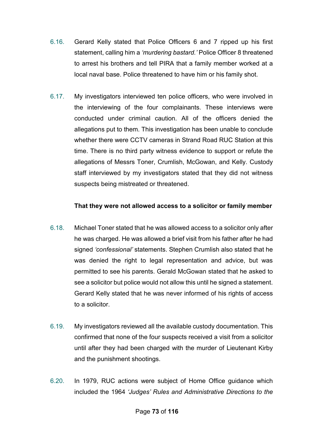- 6.16. Gerard Kelly stated that Police Officers 6 and 7 ripped up his first statement, calling him a *'murdering bastard.'* Police Officer 8 threatened to arrest his brothers and tell PIRA that a family member worked at a local naval base. Police threatened to have him or his family shot.
- 6.17. My investigators interviewed ten police officers, who were involved in the interviewing of the four complainants. These interviews were conducted under criminal caution. All of the officers denied the allegations put to them. This investigation has been unable to conclude whether there were CCTV cameras in Strand Road RUC Station at this time. There is no third party witness evidence to support or refute the allegations of Messrs Toner, Crumlish, McGowan, and Kelly. Custody staff interviewed by my investigators stated that they did not witness suspects being mistreated or threatened.

### **That they were not allowed access to a solicitor or family member**

- 6.18. Michael Toner stated that he was allowed access to a solicitor only after he was charged. He was allowed a brief visit from his father after he had signed *'confessional'* statements. Stephen Crumlish also stated that he was denied the right to legal representation and advice, but was permitted to see his parents. Gerald McGowan stated that he asked to see a solicitor but police would not allow this until he signed a statement. Gerard Kelly stated that he was never informed of his rights of access to a solicitor.
- 6.19. My investigators reviewed all the available custody documentation. This confirmed that none of the four suspects received a visit from a solicitor until after they had been charged with the murder of Lieutenant Kirby and the punishment shootings.
- 6.20. In 1979, RUC actions were subject of Home Office guidance which included the 1964 *'Judges' Rules and Administrative Directions to the*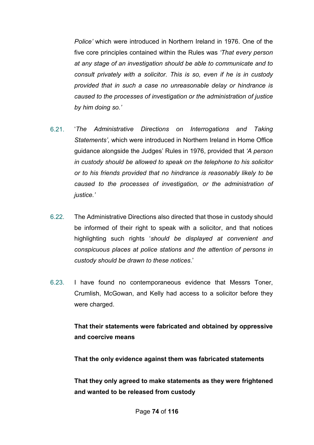*Police'* which were introduced in Northern Ireland in 1976. One of the five core principles contained within the Rules was *'That every person at any stage of an investigation should be able to communicate and to consult privately with a solicitor. This is so, even if he is in custody provided that in such a case no unreasonable delay or hindrance is caused to the processes of investigation or the administration of justice by him doing so.'*

- 6.21. '*The Administrative Directions on Interrogations and Taking Statements'*, which were introduced in Northern Ireland in Home Office guidance alongside the Judges' Rules in 1976, provided that *'A person in custody should be allowed to speak on the telephone to his solicitor or to his friends provided that no hindrance is reasonably likely to be caused to the processes of investigation, or the administration of justice.'*
- 6.22. The Administrative Directions also directed that those in custody should be informed of their right to speak with a solicitor, and that notices highlighting such rights '*should be displayed at convenient and conspicuous places at police stations and the attention of persons in custody should be drawn to these notices*.'
- 6.23. I have found no contemporaneous evidence that Messrs Toner, Crumlish, McGowan, and Kelly had access to a solicitor before they were charged.

## **That their statements were fabricated and obtained by oppressive and coercive means**

**That the only evidence against them was fabricated statements**

**That they only agreed to make statements as they were frightened and wanted to be released from custody**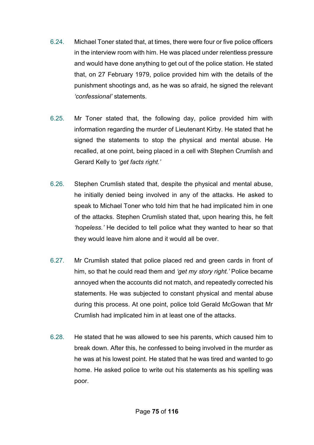- 6.24. Michael Toner stated that, at times, there were four or five police officers in the interview room with him. He was placed under relentless pressure and would have done anything to get out of the police station. He stated that, on 27 February 1979, police provided him with the details of the punishment shootings and, as he was so afraid, he signed the relevant *'confessional'* statements.
- 6.25. Mr Toner stated that, the following day, police provided him with information regarding the murder of Lieutenant Kirby. He stated that he signed the statements to stop the physical and mental abuse. He recalled, at one point, being placed in a cell with Stephen Crumlish and Gerard Kelly to *'get facts right.'*
- 6.26. Stephen Crumlish stated that, despite the physical and mental abuse, he initially denied being involved in any of the attacks. He asked to speak to Michael Toner who told him that he had implicated him in one of the attacks. Stephen Crumlish stated that, upon hearing this, he felt *'hopeless.'* He decided to tell police what they wanted to hear so that they would leave him alone and it would all be over.
- 6.27. Mr Crumlish stated that police placed red and green cards in front of him, so that he could read them and *'get my story right.'* Police became annoyed when the accounts did not match, and repeatedly corrected his statements. He was subjected to constant physical and mental abuse during this process. At one point, police told Gerald McGowan that Mr Crumlish had implicated him in at least one of the attacks.
- 6.28. He stated that he was allowed to see his parents, which caused him to break down. After this, he confessed to being involved in the murder as he was at his lowest point. He stated that he was tired and wanted to go home. He asked police to write out his statements as his spelling was poor.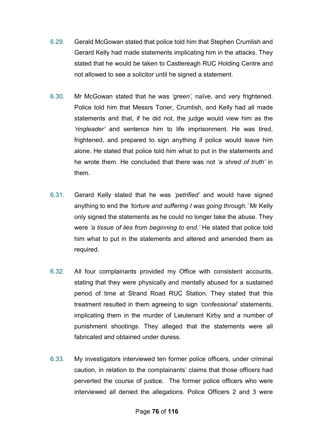- 6.29. Gerald McGowan stated that police told him that Stephen Crumlish and Gerard Kelly had made statements implicating him in the attacks. They stated that he would be taken to Castlereagh RUC Holding Centre and not allowed to see a solicitor until he signed a statement.
- 6.30. Mr McGowan stated that he was *'green',* naïve, and very frightened. Police told him that Messrs Toner, Crumlish, and Kelly had all made statements and that, if he did not, the judge would view him as the *'ringleader'* and sentence him to life imprisonment. He was tired, frightened, and prepared to sign anything if police would leave him alone. He stated that police told him what to put in the statements and he wrote them. He concluded that there was not *'a shred of truth'* in them.
- 6.31. Gerard Kelly stated that he was *'petrified'* and would have signed anything to end the *'torture and suffering I was going through.'* Mr Kelly only signed the statements as he could no longer take the abuse. They were *'a tissue of lies from beginning to end.'* He stated that police told him what to put in the statements and altered and amended them as required.
- 6.32. All four complainants provided my Office with consistent accounts, stating that they were physically and mentally abused for a sustained period of time at Strand Road RUC Station. They stated that this treatment resulted in them agreeing to sign *'confessional'* statements, implicating them in the murder of Lieutenant Kirby and a number of punishment shootings. They alleged that the statements were all fabricated and obtained under duress.
- 6.33. My investigators interviewed ten former police officers, under criminal caution, in relation to the complainants' claims that those officers had perverted the course of justice. The former police officers who were interviewed all denied the allegations. Police Officers 2 and 3 were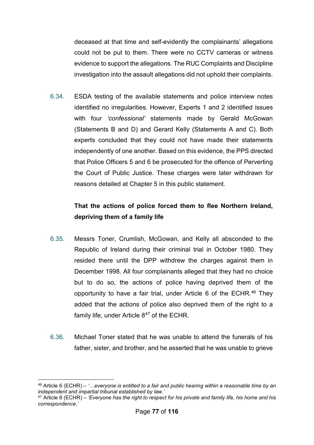deceased at that time and self-evidently the complainants' allegations could not be put to them. There were no CCTV cameras or witness evidence to support the allegations. The RUC Complaints and Discipline investigation into the assault allegations did not uphold their complaints.

6.34. ESDA testing of the available statements and police interview notes identified no irregularities. However, Experts 1 and 2 identified issues with four *'confessional'* statements made by Gerald McGowan (Statements B and D) and Gerard Kelly (Statements A and C). Both experts concluded that they could not have made their statements independently of one another. Based on this evidence, the PPS directed that Police Officers 5 and 6 be prosecuted for the offence of Perverting the Court of Public Justice. These charges were later withdrawn for reasons detailed at Chapter 5 in this public statement.

## **That the actions of police forced them to flee Northern Ireland, depriving them of a family life**

- 6.35. Messrs Toner, Crumlish, McGowan, and Kelly all absconded to the Republic of Ireland during their criminal trial in October 1980. They resided there until the DPP withdrew the charges against them in December 1998. All four complainants alleged that they had no choice but to do so, the actions of police having deprived them of the opportunity to have a fair trial, under Article 6 of the ECHR.<sup>46</sup> They added that the actions of police also deprived them of the right to a family life, under Article 8<sup>[47](#page-77-1)</sup> of the ECHR.
- 6.36. Michael Toner stated that he was unable to attend the funerals of his father, sister, and brother, and he asserted that he was unable to grieve

<span id="page-77-0"></span><sup>&</sup>lt;u>.</u> <sup>46</sup> Article 6 (ECHR) – *'…everyone is entitled to a fair and public hearing within a reasonable time by an independent and impartial tribunal established by law.'*

<span id="page-77-1"></span><sup>47</sup> Article 8 (ECHR) – *'Everyone has the right to respect for his private and family life, his home and his correspondence.'*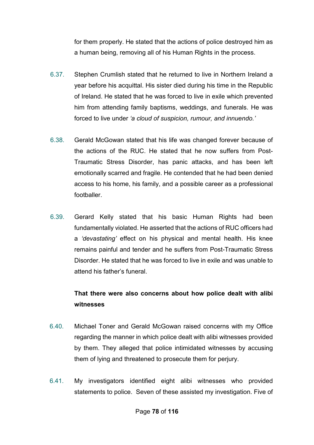for them properly. He stated that the actions of police destroyed him as a human being, removing all of his Human Rights in the process.

- 6.37. Stephen Crumlish stated that he returned to live in Northern Ireland a year before his acquittal. His sister died during his time in the Republic of Ireland. He stated that he was forced to live in exile which prevented him from attending family baptisms, weddings, and funerals. He was forced to live under *'a cloud of suspicion, rumour, and innuendo.'*
- 6.38. Gerald McGowan stated that his life was changed forever because of the actions of the RUC. He stated that he now suffers from Post-Traumatic Stress Disorder, has panic attacks, and has been left emotionally scarred and fragile. He contended that he had been denied access to his home, his family, and a possible career as a professional footballer.
- 6.39. Gerard Kelly stated that his basic Human Rights had been fundamentally violated. He asserted that the actions of RUC officers had a *'devastating'* effect on his physical and mental health. His knee remains painful and tender and he suffers from Post-Traumatic Stress Disorder. He stated that he was forced to live in exile and was unable to attend his father's funeral.

## **That there were also concerns about how police dealt with alibi witnesses**

- 6.40. Michael Toner and Gerald McGowan raised concerns with my Office regarding the manner in which police dealt with alibi witnesses provided by them. They alleged that police intimidated witnesses by accusing them of lying and threatened to prosecute them for perjury.
- 6.41. My investigators identified eight alibi witnesses who provided statements to police. Seven of these assisted my investigation. Five of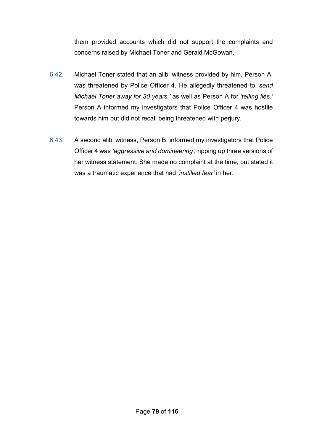them provided accounts which did not support the complaints and concerns raised by Michael Toner and Gerald McGowan.

- 6.42. Michael Toner stated that an alibi witness provided by him, Person A, was threatened by Police Officer 4. He allegedly threatened to *'send Michael Toner away for 30 years,'* as well as Person A for *'telling lies.'*  Person A informed my investigators that Police Officer 4 was hostile towards him but did not recall being threatened with perjury.
- 6.43. A second alibi witness, Person B, informed my investigators that Police Officer 4 was *'aggressive and domineering',* ripping up three versions of her witness statement. She made no complaint at the time, but stated it was a traumatic experience that had *'instilled fear'* in her.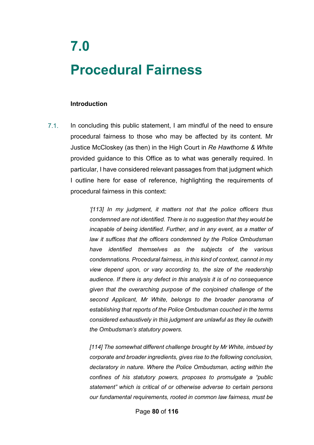# **7.0 Procedural Fairness**

#### **Introduction**

In concluding this public statement, I am mindful of the need to ensure procedural fairness to those who may be affected by its content. Mr Justice McCloskey (as then) in the High Court in *Re Hawthorne & White* provided guidance to this Office as to what was generally required. In particular, I have considered relevant passages from that judgment which I outline here for ease of reference, highlighting the requirements of procedural fairness in this context: 7.1.

> *'[113] In my judgment, it matters not that the police officers thus condemned are not identified. There is no suggestion that they would be incapable of being identified. Further, and in any event, as a matter of law it suffices that the officers condemned by the Police Ombudsman have identified themselves as the subjects of the various condemnations. Procedural fairness, in this kind of context, cannot in my view depend upon, or vary according to, the size of the readership audience. If there is any defect in this analysis it is of no consequence given that the overarching purpose of the conjoined challenge of the second Applicant, Mr White, belongs to the broader panorama of establishing that reports of the Police Ombudsman couched in the terms considered exhaustively in this judgment are unlawful as they lie outwith the Ombudsman's statutory powers.*

> *[114] The somewhat different challenge brought by Mr White, imbued by corporate and broader ingredients, gives rise to the following conclusion, declaratory in nature. Where the Police Ombudsman, acting within the confines of his statutory powers, proposes to promulgate a "public statement" which is critical of or otherwise adverse to certain persons our fundamental requirements, rooted in common law fairness, must be*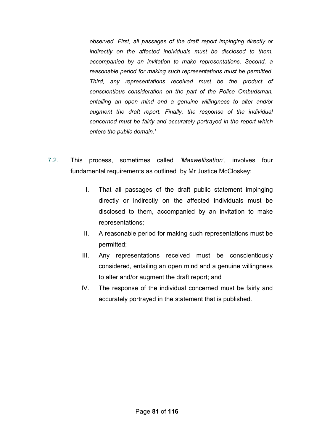*observed. First, all passages of the draft report impinging directly or indirectly on the affected individuals must be disclosed to them, accompanied by an invitation to make representations. Second, a reasonable period for making such representations must be permitted. Third, any representations received must be the product of conscientious consideration on the part of the Police Ombudsman, entailing an open mind and a genuine willingness to alter and/or augment the draft report. Finally, the response of the individual concerned must be fairly and accurately portrayed in the report which enters the public domain.'*

- 7.2. This process, sometimes called *'Maxwellisation'*, involves four fundamental requirements as outlined by Mr Justice McCloskey:
	- I. That all passages of the draft public statement impinging directly or indirectly on the affected individuals must be disclosed to them, accompanied by an invitation to make representations;
	- II. A reasonable period for making such representations must be permitted;
	- III. Any representations received must be conscientiously considered, entailing an open mind and a genuine willingness to alter and/or augment the draft report; and
	- IV. The response of the individual concerned must be fairly and accurately portrayed in the statement that is published.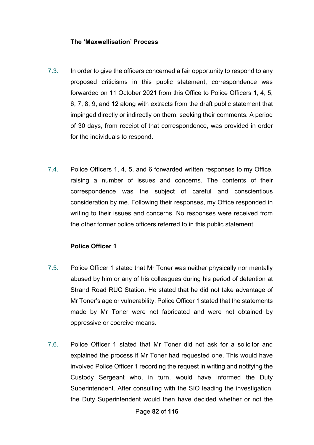#### **The 'Maxwellisation' Process**

- 7.3. In order to give the officers concerned a fair opportunity to respond to any proposed criticisms in this public statement, correspondence was forwarded on 11 October 2021 from this Office to Police Officers 1, 4, 5, 6, 7, 8, 9, and 12 along with extracts from the draft public statement that impinged directly or indirectly on them, seeking their comments. A period of 30 days, from receipt of that correspondence, was provided in order for the individuals to respond.
- 7.4. Police Officers 1, 4, 5, and 6 forwarded written responses to my Office, raising a number of issues and concerns. The contents of their correspondence was the subject of careful and conscientious consideration by me. Following their responses, my Office responded in writing to their issues and concerns. No responses were received from the other former police officers referred to in this public statement.

### **Police Officer 1**

- 7.5. Police Officer 1 stated that Mr Toner was neither physically nor mentally abused by him or any of his colleagues during his period of detention at Strand Road RUC Station. He stated that he did not take advantage of Mr Toner's age or vulnerability. Police Officer 1 stated that the statements made by Mr Toner were not fabricated and were not obtained by oppressive or coercive means.
- 7.6. Police Officer 1 stated that Mr Toner did not ask for a solicitor and explained the process if Mr Toner had requested one. This would have involved Police Officer 1 recording the request in writing and notifying the Custody Sergeant who, in turn, would have informed the Duty Superintendent. After consulting with the SIO leading the investigation, the Duty Superintendent would then have decided whether or not the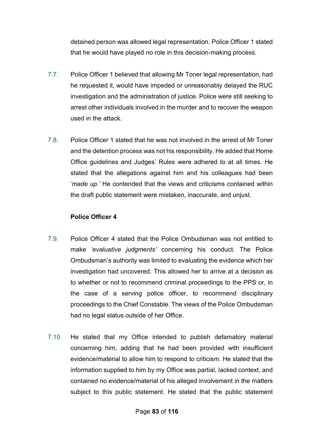detained person was allowed legal representation. Police Officer 1 stated that he would have played no role in this decision-making process.

- 7.7. Police Officer 1 believed that allowing Mr Toner legal representation, had he requested it, would have impeded or unreasonably delayed the RUC investigation and the administration of justice. Police were still seeking to arrest other individuals involved in the murder and to recover the weapon used in the attack.
- 7.8. Police Officer 1 stated that he was not involved in the arrest of Mr Toner and the detention process was not his responsibility. He added that Home Office guidelines and Judges' Rules were adhered to at all times. He stated that the allegations against him and his colleagues had been *'made up.'* He contended that the views and criticisms contained within the draft public statement were mistaken, inaccurate, and unjust.

### **Police Officer 4**

- 7.9. Police Officer 4 stated that the Police Ombudsman was not entitled to make *'evaluative judgments'* concerning his conduct. The Police Ombudsman's authority was limited to evaluating the evidence which her investigation had uncovered. This allowed her to arrive at a decision as to whether or not to recommend criminal proceedings to the PPS or, in the case of a serving police officer, to recommend disciplinary proceedings to the Chief Constable. The views of the Police Ombudsman had no legal status outside of her Office.
- 7.10. He stated that my Office intended to publish defamatory material concerning him, adding that he had been provided with insufficient evidence/material to allow him to respond to criticism. He stated that the information supplied to him by my Office was partial, lacked context, and contained no evidence/material of his alleged involvement in the matters subject to this public statement. He stated that the public statement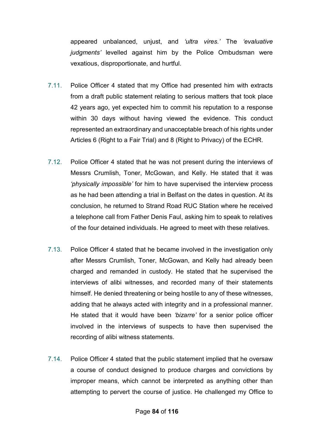appeared unbalanced, unjust, and *'ultra vires.'* The *'evaluative judgments'* levelled against him by the Police Ombudsman were vexatious, disproportionate, and hurtful.

- 7.11. Police Officer 4 stated that my Office had presented him with extracts from a draft public statement relating to serious matters that took place 42 years ago, yet expected him to commit his reputation to a response within 30 days without having viewed the evidence. This conduct represented an extraordinary and unacceptable breach of his rights under Articles 6 (Right to a Fair Trial) and 8 (Right to Privacy) of the ECHR.
- 7.12. Police Officer 4 stated that he was not present during the interviews of Messrs Crumlish, Toner, McGowan, and Kelly. He stated that it was *'physically impossible'* for him to have supervised the interview process as he had been attending a trial in Belfast on the dates in question. At its conclusion, he returned to Strand Road RUC Station where he received a telephone call from Father Denis Faul, asking him to speak to relatives of the four detained individuals. He agreed to meet with these relatives.
- 7.13. Police Officer 4 stated that he became involved in the investigation only after Messrs Crumlish, Toner, McGowan, and Kelly had already been charged and remanded in custody. He stated that he supervised the interviews of alibi witnesses, and recorded many of their statements himself. He denied threatening or being hostile to any of these witnesses, adding that he always acted with integrity and in a professional manner. He stated that it would have been *'bizarre'* for a senior police officer involved in the interviews of suspects to have then supervised the recording of alibi witness statements.
- 7.14. Police Officer 4 stated that the public statement implied that he oversaw a course of conduct designed to produce charges and convictions by improper means, which cannot be interpreted as anything other than attempting to pervert the course of justice. He challenged my Office to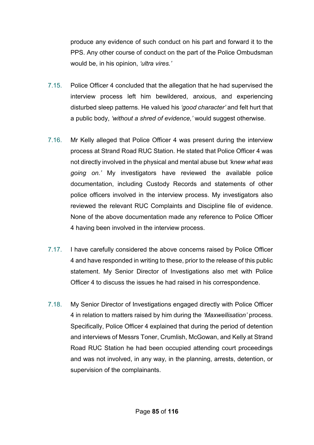produce any evidence of such conduct on his part and forward it to the PPS. Any other course of conduct on the part of the Police Ombudsman would be, in his opinion, *'ultra vires.'*

- 7.15. Police Officer 4 concluded that the allegation that he had supervised the interview process left him bewildered, anxious, and experiencing disturbed sleep patterns. He valued his *'good character'* and felt hurt that a public body, *'without a shred of evidence,'* would suggest otherwise.
- 7.16. Mr Kelly alleged that Police Officer 4 was present during the interview process at Strand Road RUC Station. He stated that Police Officer 4 was not directly involved in the physical and mental abuse but *'knew what was going on.'* My investigators have reviewed the available police documentation, including Custody Records and statements of other police officers involved in the interview process. My investigators also reviewed the relevant RUC Complaints and Discipline file of evidence. None of the above documentation made any reference to Police Officer 4 having been involved in the interview process.
- 7.17. I have carefully considered the above concerns raised by Police Officer 4 and have responded in writing to these, prior to the release of this public statement. My Senior Director of Investigations also met with Police Officer 4 to discuss the issues he had raised in his correspondence.
- 7.18. My Senior Director of Investigations engaged directly with Police Officer 4 in relation to matters raised by him during the *'Maxwellisation'* process. Specifically, Police Officer 4 explained that during the period of detention and interviews of Messrs Toner, Crumlish, McGowan, and Kelly at Strand Road RUC Station he had been occupied attending court proceedings and was not involved, in any way, in the planning, arrests, detention, or supervision of the complainants.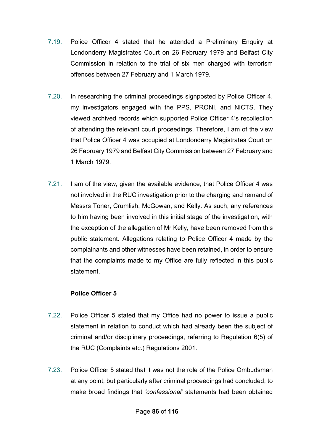- 7.19. Police Officer 4 stated that he attended a Preliminary Enquiry at Londonderry Magistrates Court on 26 February 1979 and Belfast City Commission in relation to the trial of six men charged with terrorism offences between 27 February and 1 March 1979.
- 7.20. In researching the criminal proceedings signposted by Police Officer 4, my investigators engaged with the PPS, PRONI, and NICTS. They viewed archived records which supported Police Officer 4's recollection of attending the relevant court proceedings. Therefore, I am of the view that Police Officer 4 was occupied at Londonderry Magistrates Court on 26 February 1979 and Belfast City Commission between 27 February and 1 March 1979.
- 7.21. I am of the view, given the available evidence, that Police Officer 4 was not involved in the RUC investigation prior to the charging and remand of Messrs Toner, Crumlish, McGowan, and Kelly. As such, any references to him having been involved in this initial stage of the investigation, with the exception of the allegation of Mr Kelly, have been removed from this public statement. Allegations relating to Police Officer 4 made by the complainants and other witnesses have been retained, in order to ensure that the complaints made to my Office are fully reflected in this public statement.

### **Police Officer 5**

- 7.22. Police Officer 5 stated that my Office had no power to issue a public statement in relation to conduct which had already been the subject of criminal and/or disciplinary proceedings, referring to Regulation 6(5) of the RUC (Complaints etc.) Regulations 2001.
- 7.23. Police Officer 5 stated that it was not the role of the Police Ombudsman at any point, but particularly after criminal proceedings had concluded, to make broad findings that *'confessional'* statements had been obtained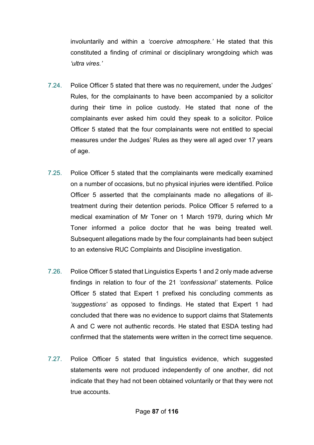involuntarily and within a *'coercive atmosphere.'* He stated that this constituted a finding of criminal or disciplinary wrongdoing which was *'ultra vires.'*

- 7.24. Police Officer 5 stated that there was no requirement, under the Judges' Rules, for the complainants to have been accompanied by a solicitor during their time in police custody. He stated that none of the complainants ever asked him could they speak to a solicitor. Police Officer 5 stated that the four complainants were not entitled to special measures under the Judges' Rules as they were all aged over 17 years of age.
- 7.25. Police Officer 5 stated that the complainants were medically examined on a number of occasions, but no physical injuries were identified. Police Officer 5 asserted that the complainants made no allegations of illtreatment during their detention periods. Police Officer 5 referred to a medical examination of Mr Toner on 1 March 1979, during which Mr Toner informed a police doctor that he was being treated well. Subsequent allegations made by the four complainants had been subject to an extensive RUC Complaints and Discipline investigation.
- 7.26. Police Officer 5 stated that Linguistics Experts 1 and 2 only made adverse findings in relation to four of the 21 *'confessional'* statements. Police Officer 5 stated that Expert 1 prefixed his concluding comments as *'suggestions'* as opposed to findings. He stated that Expert 1 had concluded that there was no evidence to support claims that Statements A and C were not authentic records. He stated that ESDA testing had confirmed that the statements were written in the correct time sequence.
- 7.27. Police Officer 5 stated that linguistics evidence, which suggested statements were not produced independently of one another, did not indicate that they had not been obtained voluntarily or that they were not true accounts.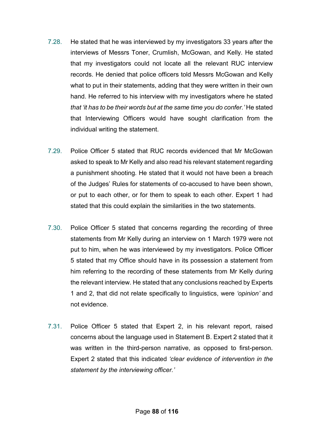- 7.28. He stated that he was interviewed by my investigators 33 years after the interviews of Messrs Toner, Crumlish, McGowan, and Kelly. He stated that my investigators could not locate all the relevant RUC interview records. He denied that police officers told Messrs McGowan and Kelly what to put in their statements, adding that they were written in their own hand. He referred to his interview with my investigators where he stated *that 'it has to be their words but at the same time you do confer.'* He stated that Interviewing Officers would have sought clarification from the individual writing the statement.
- 7.29. Police Officer 5 stated that RUC records evidenced that Mr McGowan asked to speak to Mr Kelly and also read his relevant statement regarding a punishment shooting. He stated that it would not have been a breach of the Judges' Rules for statements of co-accused to have been shown, or put to each other, or for them to speak to each other. Expert 1 had stated that this could explain the similarities in the two statements.
- 7.30. Police Officer 5 stated that concerns regarding the recording of three statements from Mr Kelly during an interview on 1 March 1979 were not put to him, when he was interviewed by my investigators. Police Officer 5 stated that my Office should have in its possession a statement from him referring to the recording of these statements from Mr Kelly during the relevant interview. He stated that any conclusions reached by Experts 1 and 2, that did not relate specifically to linguistics, were *'opinion'* and not evidence.
- 7.31. Police Officer 5 stated that Expert 2, in his relevant report, raised concerns about the language used in Statement B. Expert 2 stated that it was written in the third-person narrative, as opposed to first-person. Expert 2 stated that this indicated *'clear evidence of intervention in the statement by the interviewing officer.'*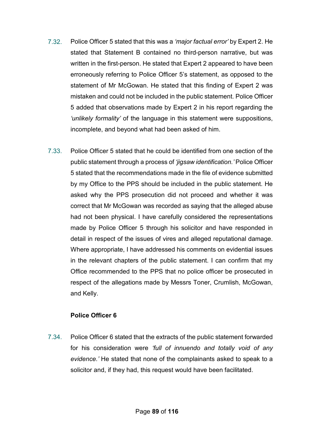- 7.32. Police Officer 5 stated that this was a *'major factual error'* by Expert 2. He stated that Statement B contained no third-person narrative, but was written in the first-person. He stated that Expert 2 appeared to have been erroneously referring to Police Officer 5's statement, as opposed to the statement of Mr McGowan. He stated that this finding of Expert 2 was mistaken and could not be included in the public statement. Police Officer 5 added that observations made by Expert 2 in his report regarding the *'unlikely formality'* of the language in this statement were suppositions, incomplete, and beyond what had been asked of him.
- 7.33. Police Officer 5 stated that he could be identified from one section of the public statement through a process of *'jigsaw identification.'* Police Officer 5 stated that the recommendations made in the file of evidence submitted by my Office to the PPS should be included in the public statement. He asked why the PPS prosecution did not proceed and whether it was correct that Mr McGowan was recorded as saying that the alleged abuse had not been physical. I have carefully considered the representations made by Police Officer 5 through his solicitor and have responded in detail in respect of the issues of vires and alleged reputational damage. Where appropriate, I have addressed his comments on evidential issues in the relevant chapters of the public statement. I can confirm that my Office recommended to the PPS that no police officer be prosecuted in respect of the allegations made by Messrs Toner, Crumlish, McGowan, and Kelly.

### **Police Officer 6**

 7.34. Police Officer 6 stated that the extracts of the public statement forwarded for his consideration were *'full of innuendo and totally void of any evidence.'* He stated that none of the complainants asked to speak to a solicitor and, if they had, this request would have been facilitated.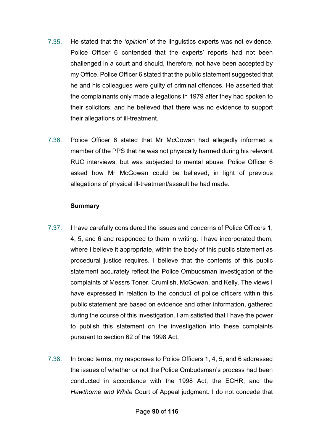- 7.35. He stated that the *'opinion'* of the linguistics experts was not evidence. Police Officer 6 contended that the experts' reports had not been challenged in a court and should, therefore, not have been accepted by my Office. Police Officer 6 stated that the public statement suggested that he and his colleagues were guilty of criminal offences. He asserted that the complainants only made allegations in 1979 after they had spoken to their solicitors, and he believed that there was no evidence to support their allegations of ill-treatment.
- 7.36. Police Officer 6 stated that Mr McGowan had allegedly informed a member of the PPS that he was not physically harmed during his relevant RUC interviews, but was subjected to mental abuse. Police Officer 6 asked how Mr McGowan could be believed, in light of previous allegations of physical ill-treatment/assault he had made.

### **Summary**

- 7.37. I have carefully considered the issues and concerns of Police Officers 1, 4, 5, and 6 and responded to them in writing. I have incorporated them, where I believe it appropriate, within the body of this public statement as procedural justice requires. I believe that the contents of this public statement accurately reflect the Police Ombudsman investigation of the complaints of Messrs Toner, Crumlish, McGowan, and Kelly. The views I have expressed in relation to the conduct of police officers within this public statement are based on evidence and other information, gathered during the course of this investigation. I am satisfied that I have the power to publish this statement on the investigation into these complaints pursuant to section 62 of the 1998 Act.
- 7.38. In broad terms, my responses to Police Officers 1, 4, 5, and 6 addressed the issues of whether or not the Police Ombudsman's process had been conducted in accordance with the 1998 Act, the ECHR, and the *Hawthorne and White* Court of Appeal judgment. I do not concede that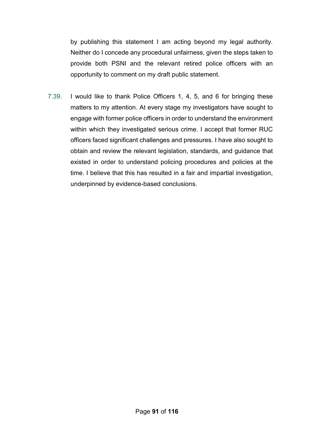by publishing this statement I am acting beyond my legal authority. Neither do I concede any procedural unfairness, given the steps taken to provide both PSNI and the relevant retired police officers with an opportunity to comment on my draft public statement.

 7.39. I would like to thank Police Officers 1, 4, 5, and 6 for bringing these matters to my attention. At every stage my investigators have sought to engage with former police officers in order to understand the environment within which they investigated serious crime. I accept that former RUC officers faced significant challenges and pressures. I have also sought to obtain and review the relevant legislation, standards, and guidance that existed in order to understand policing procedures and policies at the time. I believe that this has resulted in a fair and impartial investigation, underpinned by evidence-based conclusions.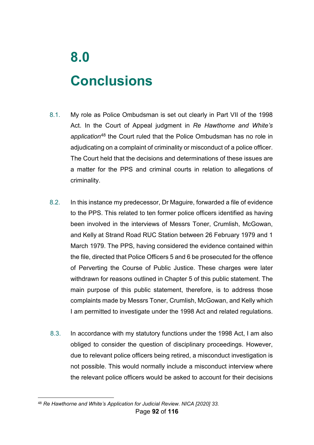# **8.0 Conclusions**

- 8.1. My role as Police Ombudsman is set out clearly in Part VII of the 1998 Act. In the Court of Appeal judgment in *Re Hawthorne and White's application*[48](#page-92-0) the Court ruled that the Police Ombudsman has no role in adjudicating on a complaint of criminality or misconduct of a police officer. The Court held that the decisions and determinations of these issues are a matter for the PPS and criminal courts in relation to allegations of criminality.
- 8.2. In this instance my predecessor, Dr Maguire, forwarded a file of evidence to the PPS. This related to ten former police officers identified as having been involved in the interviews of Messrs Toner, Crumlish, McGowan, and Kelly at Strand Road RUC Station between 26 February 1979 and 1 March 1979. The PPS, having considered the evidence contained within the file, directed that Police Officers 5 and 6 be prosecuted for the offence of Perverting the Course of Public Justice. These charges were later withdrawn for reasons outlined in Chapter 5 of this public statement. The main purpose of this public statement, therefore, is to address those complaints made by Messrs Toner, Crumlish, McGowan, and Kelly which I am permitted to investigate under the 1998 Act and related regulations.
- 8.3. In accordance with my statutory functions under the 1998 Act, I am also obliged to consider the question of disciplinary proceedings. However, due to relevant police officers being retired, a misconduct investigation is not possible. This would normally include a misconduct interview where the relevant police officers would be asked to account for their decisions

<span id="page-92-0"></span><sup>&</sup>lt;u>.</u> <sup>48</sup> *Re Hawthorne and White's Application for Judicial Review. NICA [2020] 33.*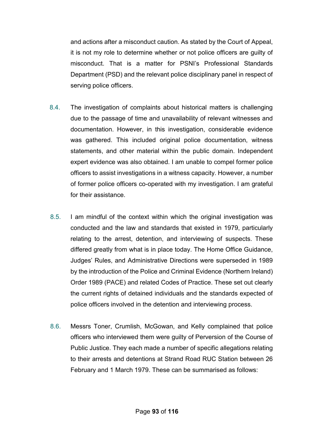and actions after a misconduct caution. As stated by the Court of Appeal, it is not my role to determine whether or not police officers are guilty of misconduct. That is a matter for PSNI's Professional Standards Department (PSD) and the relevant police disciplinary panel in respect of serving police officers.

- 8.4. The investigation of complaints about historical matters is challenging due to the passage of time and unavailability of relevant witnesses and documentation. However, in this investigation, considerable evidence was gathered. This included original police documentation, witness statements, and other material within the public domain. Independent expert evidence was also obtained. I am unable to compel former police officers to assist investigations in a witness capacity. However, a number of former police officers co-operated with my investigation. I am grateful for their assistance.
- 8.5. I am mindful of the context within which the original investigation was conducted and the law and standards that existed in 1979, particularly relating to the arrest, detention, and interviewing of suspects. These differed greatly from what is in place today. The Home Office Guidance, Judges' Rules, and Administrative Directions were superseded in 1989 by the introduction of the Police and Criminal Evidence (Northern Ireland) Order 1989 (PACE) and related Codes of Practice. These set out clearly the current rights of detained individuals and the standards expected of police officers involved in the detention and interviewing process.
- 8.6. Messrs Toner, Crumlish, McGowan, and Kelly complained that police officers who interviewed them were guilty of Perversion of the Course of Public Justice. They each made a number of specific allegations relating to their arrests and detentions at Strand Road RUC Station between 26 February and 1 March 1979. These can be summarised as follows: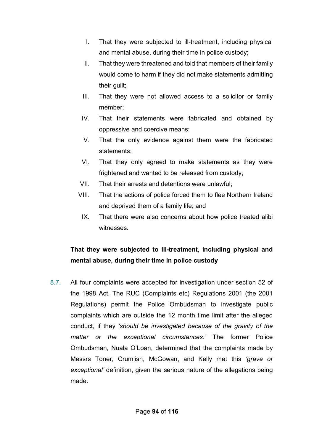- I. That they were subjected to ill-treatment, including physical and mental abuse, during their time in police custody;
- II. That they were threatened and told that members of their family would come to harm if they did not make statements admitting their guilt;
- III. That they were not allowed access to a solicitor or family member;
- IV. That their statements were fabricated and obtained by oppressive and coercive means;
- V. That the only evidence against them were the fabricated statements;
- VI. That they only agreed to make statements as they were frightened and wanted to be released from custody;
- VII. That their arrests and detentions were unlawful;
- VIII. That the actions of police forced them to flee Northern Ireland and deprived them of a family life; and
	- IX. That there were also concerns about how police treated alibi witnesses.

## **That they were subjected to ill-treatment, including physical and mental abuse, during their time in police custody**

8.7. All four complaints were accepted for investigation under section 52 of the 1998 Act. The RUC (Complaints etc) Regulations 2001 (the 2001 Regulations) permit the Police Ombudsman to investigate public complaints which are outside the 12 month time limit after the alleged conduct, if they *'should be investigated because of the gravity of the matter or the exceptional circumstances.'* The former Police Ombudsman, Nuala O'Loan, determined that the complaints made by Messrs Toner, Crumlish, McGowan, and Kelly met this *'grave or exceptional'* definition, given the serious nature of the allegations being made.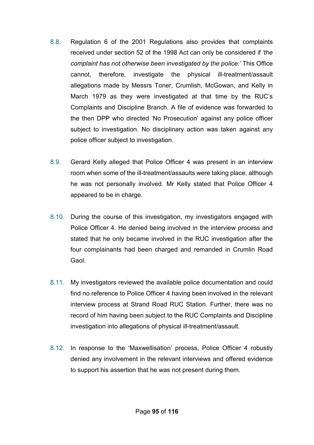- 8.8. Regulation 6 of the 2001 Regulations also provides that complaints received under section 52 of the 1998 Act can only be considered if *'the complaint has not otherwise been investigated by the police.'* This Office cannot, therefore, investigate the physical ill-treatment/assault allegations made by Messrs Toner, Crumlish, McGowan, and Kelly in March 1979 as they were investigated at that time by the RUC's Complaints and Discipline Branch. A file of evidence was forwarded to the then DPP who directed 'No Prosecution' against any police officer subject to investigation. No disciplinary action was taken against any police officer subject to investigation.
- 8.9. Gerard Kelly alleged that Police Officer 4 was present in an interview room when some of the ill-treatment/assaults were taking place, although he was not personally involved. Mr Kelly stated that Police Officer 4 appeared to be in charge.
- 8.10 During the course of this investigation, my investigators engaged with Police Officer 4. He denied being involved in the interview process and stated that he only became involved in the RUC investigation after the four complainants had been charged and remanded in Crumlin Road Gaol.
- 8.11. My investigators reviewed the available police documentation and could find no reference to Police Officer 4 having been involved in the relevant interview process at Strand Road RUC Station. Further, there was no record of him having been subject to the RUC Complaints and Discipline investigation into allegations of physical ill-treatment/assault.
- 8.12. In response to the 'Maxwellisation' process, Police Officer 4 robustly denied any involvement in the relevant interviews and offered evidence to support his assertion that he was not present during them.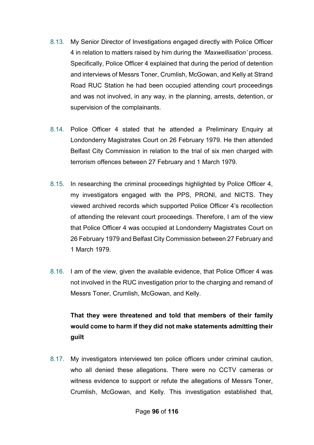- 8.13. My Senior Director of Investigations engaged directly with Police Officer 4 in relation to matters raised by him during the *'Maxwellisation'* process. Specifically, Police Officer 4 explained that during the period of detention and interviews of Messrs Toner, Crumlish, McGowan, and Kelly at Strand Road RUC Station he had been occupied attending court proceedings and was not involved, in any way, in the planning, arrests, detention, or supervision of the complainants.
- 8.14. Police Officer 4 stated that he attended a Preliminary Enquiry at Londonderry Magistrates Court on 26 February 1979. He then attended Belfast City Commission in relation to the trial of six men charged with terrorism offences between 27 February and 1 March 1979.
- 8.15. In researching the criminal proceedings highlighted by Police Officer 4, my investigators engaged with the PPS, PRONI, and NICTS. They viewed archived records which supported Police Officer 4's recollection of attending the relevant court proceedings. Therefore, I am of the view that Police Officer 4 was occupied at Londonderry Magistrates Court on 26 February 1979 and Belfast City Commission between 27 February and 1 March 1979.
- 8.16. I am of the view, given the available evidence, that Police Officer 4 was not involved in the RUC investigation prior to the charging and remand of Messrs Toner, Crumlish, McGowan, and Kelly.

# **That they were threatened and told that members of their family would come to harm if they did not make statements admitting their guilt**

8.17. My investigators interviewed ten police officers under criminal caution, who all denied these allegations. There were no CCTV cameras or witness evidence to support or refute the allegations of Messrs Toner, Crumlish, McGowan, and Kelly. This investigation established that,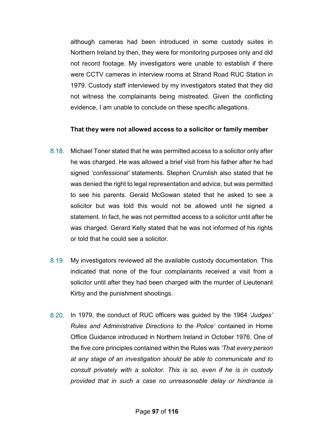although cameras had been introduced in some custody suites in Northern Ireland by then, they were for monitoring purposes only and did not record footage. My investigators were unable to establish if there were CCTV cameras in interview rooms at Strand Road RUC Station in 1979. Custody staff interviewed by my investigators stated that they did not witness the complainants being mistreated. Given the conflicting evidence, I am unable to conclude on these specific allegations.

### **That they were not allowed access to a solicitor or family member**

- 8.18. Michael Toner stated that he was permitted access to a solicitor only after he was charged. He was allowed a brief visit from his father after he had signed *'confessional'* statements. Stephen Crumlish also stated that he was denied the right to legal representation and advice, but was permitted to see his parents. Gerald McGowan stated that he asked to see a solicitor but was told this would not be allowed until he signed a statement. In fact, he was not permitted access to a solicitor until after he was charged. Gerard Kelly stated that he was not informed of his rights or told that he could see a solicitor.
- 8.19. My investigators reviewed all the available custody documentation. This indicated that none of the four complainants received a visit from a solicitor until after they had been charged with the murder of Lieutenant Kirby and the punishment shootings.
- 8.20. In 1979, the conduct of RUC officers was guided by the 1964 *'Judges' Rules and Administrative Directions to the Police'* contained in Home Office Guidance introduced in Northern Ireland in October 1976. One of the five core principles contained within the Rules was *'That every person at any stage of an investigation should be able to communicate and to consult privately with a solicitor. This is so, even if he is in custody provided that in such a case no unreasonable delay or hindrance is*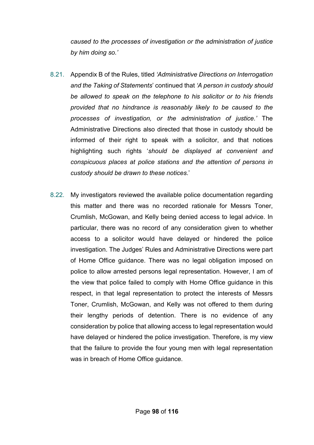*caused to the processes of investigation or the administration of justice by him doing so.'*

- 8.21. Appendix B of the Rules, titled *'Administrative Directions on Interrogation and the Taking of Statements*' continued that *'A person in custody should be allowed to speak on the telephone to his solicitor or to his friends provided that no hindrance is reasonably likely to be caused to the processes of investigation, or the administration of justice.'* The Administrative Directions also directed that those in custody should be informed of their right to speak with a solicitor, and that notices highlighting such rights '*should be displayed at convenient and conspicuous places at police stations and the attention of persons in custody should be drawn to these notices*.'
- 8.22. My investigators reviewed the available police documentation regarding this matter and there was no recorded rationale for Messrs Toner, Crumlish, McGowan, and Kelly being denied access to legal advice. In particular, there was no record of any consideration given to whether access to a solicitor would have delayed or hindered the police investigation. The Judges' Rules and Administrative Directions were part of Home Office guidance. There was no legal obligation imposed on police to allow arrested persons legal representation. However, I am of the view that police failed to comply with Home Office guidance in this respect, in that legal representation to protect the interests of Messrs Toner, Crumlish, McGowan, and Kelly was not offered to them during their lengthy periods of detention. There is no evidence of any consideration by police that allowing access to legal representation would have delayed or hindered the police investigation. Therefore, is my view that the failure to provide the four young men with legal representation was in breach of Home Office guidance.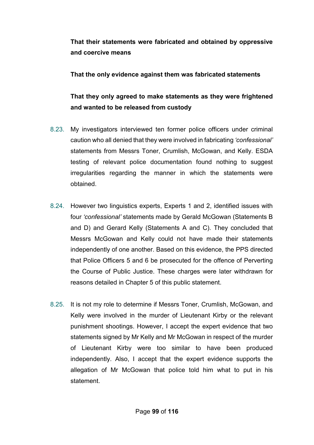**That their statements were fabricated and obtained by oppressive and coercive means**

## **That the only evidence against them was fabricated statements**

## **That they only agreed to make statements as they were frightened and wanted to be released from custody**

- 8.23. My investigators interviewed ten former police officers under criminal caution who all denied that they were involved in fabricating *'confessional'*  statements from Messrs Toner, Crumlish, McGowan, and Kelly. ESDA testing of relevant police documentation found nothing to suggest irregularities regarding the manner in which the statements were obtained.
- 8.24. However two linguistics experts, Experts 1 and 2, identified issues with four *'confessional'* statements made by Gerald McGowan (Statements B and D) and Gerard Kelly (Statements A and C). They concluded that Messrs McGowan and Kelly could not have made their statements independently of one another. Based on this evidence, the PPS directed that Police Officers 5 and 6 be prosecuted for the offence of Perverting the Course of Public Justice. These charges were later withdrawn for reasons detailed in Chapter 5 of this public statement.
- 8.25. It is not my role to determine if Messrs Toner, Crumlish, McGowan, and Kelly were involved in the murder of Lieutenant Kirby or the relevant punishment shootings. However, I accept the expert evidence that two statements signed by Mr Kelly and Mr McGowan in respect of the murder of Lieutenant Kirby were too similar to have been produced independently. Also, I accept that the expert evidence supports the allegation of Mr McGowan that police told him what to put in his statement.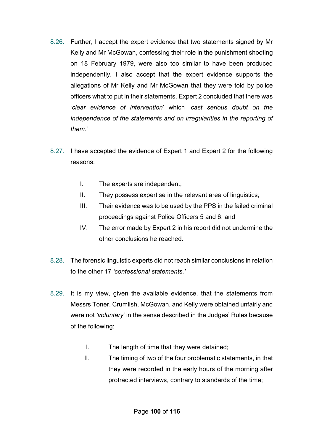- 8.26. Further, I accept the expert evidence that two statements signed by Mr Kelly and Mr McGowan, confessing their role in the punishment shooting on 18 February 1979, were also too similar to have been produced independently. I also accept that the expert evidence supports the allegations of Mr Kelly and Mr McGowan that they were told by police officers what to put in their statements. Expert 2 concluded that there was '*clear evidence of intervention*' which '*cast serious doubt on the independence of the statements and on irregularities in the reporting of them.'*
- 8.27. I have accepted the evidence of Expert 1 and Expert 2 for the following reasons:
	- I. The experts are independent;
	- II. They possess expertise in the relevant area of linguistics;
	- III. Their evidence was to be used by the PPS in the failed criminal proceedings against Police Officers 5 and 6; and
	- IV. The error made by Expert 2 in his report did not undermine the other conclusions he reached.
- 8.28. The forensic linguistic experts did not reach similar conclusions in relation to the other 17 *'confessional statements.'*
- 8.29. It is my view, given the available evidence, that the statements from Messrs Toner, Crumlish, McGowan, and Kelly were obtained unfairly and were not *'voluntary'* in the sense described in the Judges' Rules because of the following:
	- I. The length of time that they were detained;
	- II. The timing of two of the four problematic statements, in that they were recorded in the early hours of the morning after protracted interviews, contrary to standards of the time;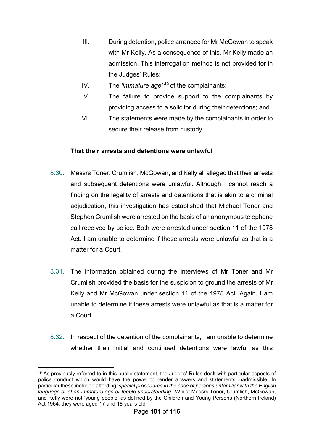- III. During detention, police arranged for Mr McGowan to speak with Mr Kelly. As a consequence of this, Mr Kelly made an admission. This interrogation method is not provided for in the Judges' Rules;
- IV. The *'immature age'* [49](#page-101-0) of the complainants;
- V. The failure to provide support to the complainants by providing access to a solicitor during their detentions; and
- VI. The statements were made by the complainants in order to secure their release from custody.

### **That their arrests and detentions were unlawful**

- 8.30. Messrs Toner, Crumlish, McGowan, and Kelly all alleged that their arrests and subsequent detentions were unlawful. Although I cannot reach a finding on the legality of arrests and detentions that is akin to a criminal adjudication, this investigation has established that Michael Toner and Stephen Crumlish were arrested on the basis of an anonymous telephone call received by police. Both were arrested under section 11 of the 1978 Act. I am unable to determine if these arrests were unlawful as that is a matter for a Court.
- 8.31. The information obtained during the interviews of Mr Toner and Mr Crumlish provided the basis for the suspicion to ground the arrests of Mr Kelly and Mr McGowan under section 11 of the 1978 Act. Again, I am unable to determine if these arrests were unlawful as that is a matter for a Court.
- 8.32. In respect of the detention of the complainants, I am unable to determine whether their initial and continued detentions were lawful as this

<span id="page-101-0"></span><sup>-</sup><sup>49</sup> As previously referred to in this public statement, the Judges' Rules dealt with particular aspects of police conduct which would have the power to render answers and statements inadmissible. In particular these included affording '*special procedures in the case of persons unfamiliar with the English language or of an immature age or feeble understanding*.' Whilst Messrs Toner, Crumlish, McGowan, and Kelly were not 'young people' as defined by the Children and Young Persons (Northern Ireland) Act 1964, they were aged 17 and 18 years old.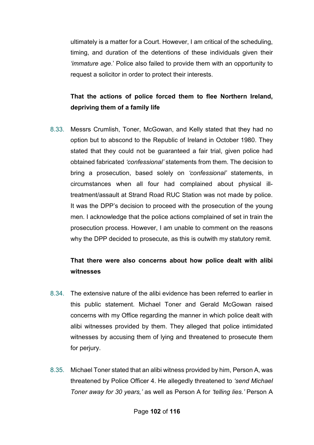ultimately is a matter for a Court. However, I am critical of the scheduling, timing, and duration of the detentions of these individuals given their *'immature age*.' Police also failed to provide them with an opportunity to request a solicitor in order to protect their interests.

## **That the actions of police forced them to flee Northern Ireland, depriving them of a family life**

8.33. Messrs Crumlish, Toner, McGowan, and Kelly stated that they had no option but to abscond to the Republic of Ireland in October 1980. They stated that they could not be guaranteed a fair trial, given police had obtained fabricated *'confessional'* statements from them. The decision to bring a prosecution, based solely on *'confessional'* statements, in circumstances when all four had complained about physical illtreatment/assault at Strand Road RUC Station was not made by police. It was the DPP's decision to proceed with the prosecution of the young men. I acknowledge that the police actions complained of set in train the prosecution process. However, I am unable to comment on the reasons why the DPP decided to prosecute, as this is outwith my statutory remit.

## **That there were also concerns about how police dealt with alibi witnesses**

- 8.34. The extensive nature of the alibi evidence has been referred to earlier in this public statement. Michael Toner and Gerald McGowan raised concerns with my Office regarding the manner in which police dealt with alibi witnesses provided by them. They alleged that police intimidated witnesses by accusing them of lying and threatened to prosecute them for perjury.
- 8.35. Michael Toner stated that an alibi witness provided by him, Person A, was threatened by Police Officer 4. He allegedly threatened to *'send Michael Toner away for 30 years,'* as well as Person A for *'telling lies.'* Person A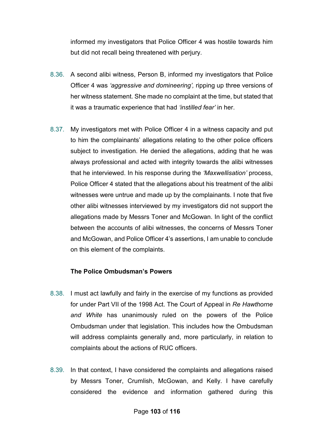informed my investigators that Police Officer 4 was hostile towards him but did not recall being threatened with perjury.

- 8.36. A second alibi witness, Person B, informed my investigators that Police Officer 4 was *'aggressive and domineering',* ripping up three versions of her witness statement. She made no complaint at the time, but stated that it was a traumatic experience that had *'instilled fear'* in her.
- 8.37. My investigators met with Police Officer 4 in a witness capacity and put to him the complainants' allegations relating to the other police officers subject to investigation. He denied the allegations, adding that he was always professional and acted with integrity towards the alibi witnesses that he interviewed. In his response during the *'Maxwellisation'* process, Police Officer 4 stated that the allegations about his treatment of the alibi witnesses were untrue and made up by the complainants. I note that five other alibi witnesses interviewed by my investigators did not support the allegations made by Messrs Toner and McGowan. In light of the conflict between the accounts of alibi witnesses, the concerns of Messrs Toner and McGowan, and Police Officer 4's assertions, I am unable to conclude on this element of the complaints.

### **The Police Ombudsman's Powers**

- 8.38. I must act lawfully and fairly in the exercise of my functions as provided for under Part VII of the 1998 Act. The Court of Appeal in *Re Hawthorne and White* has unanimously ruled on the powers of the Police Ombudsman under that legislation. This includes how the Ombudsman will address complaints generally and, more particularly, in relation to complaints about the actions of RUC officers.
- 8.39. In that context, I have considered the complaints and allegations raised by Messrs Toner, Crumlish, McGowan, and Kelly. I have carefully considered the evidence and information gathered during this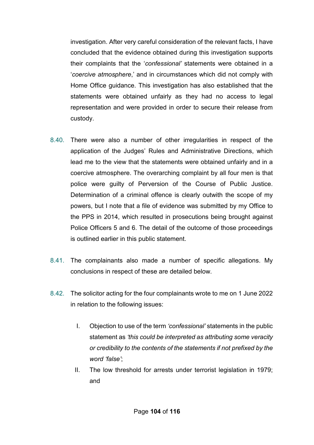investigation. After very careful consideration of the relevant facts, I have concluded that the evidence obtained during this investigation supports their complaints that the '*confessional'* statements were obtained in a '*coercive atmosphere*,' and in circumstances which did not comply with Home Office guidance. This investigation has also established that the statements were obtained unfairly as they had no access to legal representation and were provided in order to secure their release from custody.

- 8.40. There were also a number of other irregularities in respect of the application of the Judges' Rules and Administrative Directions, which lead me to the view that the statements were obtained unfairly and in a coercive atmosphere. The overarching complaint by all four men is that police were guilty of Perversion of the Course of Public Justice. Determination of a criminal offence is clearly outwith the scope of my powers, but I note that a file of evidence was submitted by my Office to the PPS in 2014, which resulted in prosecutions being brought against Police Officers 5 and 6. The detail of the outcome of those proceedings is outlined earlier in this public statement.
- 8.41. The complainants also made a number of specific allegations. My conclusions in respect of these are detailed below.
- 8.42. The solicitor acting for the four complainants wrote to me on 1 June 2022 in relation to the following issues:
	- I. Objection to use of the term *'confessional'* statements in the public statement as *'this could be interpreted as attributing some veracity or credibility to the contents of the statements if not prefixed by the word 'false'*;
	- II. The low threshold for arrests under terrorist legislation in 1979; and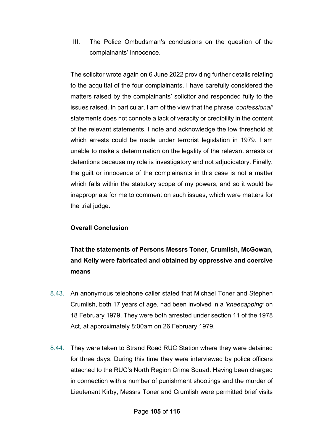III. The Police Ombudsman's conclusions on the question of the complainants' innocence.

The solicitor wrote again on 6 June 2022 providing further details relating to the acquittal of the four complainants. I have carefully considered the matters raised by the complainants' solicitor and responded fully to the issues raised. In particular, I am of the view that the phrase *'confessional'* statements does not connote a lack of veracity or credibility in the content of the relevant statements. I note and acknowledge the low threshold at which arrests could be made under terrorist legislation in 1979. I am unable to make a determination on the legality of the relevant arrests or detentions because my role is investigatory and not adjudicatory. Finally, the guilt or innocence of the complainants in this case is not a matter which falls within the statutory scope of my powers, and so it would be inappropriate for me to comment on such issues, which were matters for the trial judge.

### **Overall Conclusion**

# **That the statements of Persons Messrs Toner, Crumlish, McGowan, and Kelly were fabricated and obtained by oppressive and coercive means**

- 8.43. An anonymous telephone caller stated that Michael Toner and Stephen Crumlish, both 17 years of age, had been involved in a *'kneecapping'* on 18 February 1979. They were both arrested under section 11 of the 1978 Act, at approximately 8:00am on 26 February 1979.
- 8.44. They were taken to Strand Road RUC Station where they were detained for three days. During this time they were interviewed by police officers attached to the RUC's North Region Crime Squad. Having been charged in connection with a number of punishment shootings and the murder of Lieutenant Kirby, Messrs Toner and Crumlish were permitted brief visits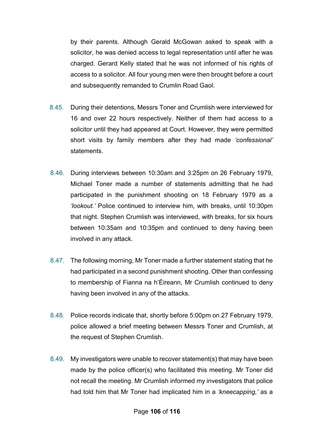by their parents. Although Gerald McGowan asked to speak with a solicitor, he was denied access to legal representation until after he was charged. Gerard Kelly stated that he was not informed of his rights of access to a solicitor. All four young men were then brought before a court and subsequently remanded to Crumlin Road Gaol.

- 8.45. During their detentions, Messrs Toner and Crumlish were interviewed for 16 and over 22 hours respectively. Neither of them had access to a solicitor until they had appeared at Court. However, they were permitted short visits by family members after they had made *'confessional'* statements.
- 8.46. During interviews between 10:30am and 3:25pm on 26 February 1979, Michael Toner made a number of statements admitting that he had participated in the punishment shooting on 18 February 1979 as a *'lookout.'* Police continued to interview him, with breaks, until 10:30pm that night. Stephen Crumlish was interviewed, with breaks, for six hours between 10:35am and 10:35pm and continued to deny having been involved in any attack.
- 8.47. The following morning, Mr Toner made a further statement stating that he had participated in a second punishment shooting. Other than confessing to membership of Fianna na h'Éireann, Mr Crumlish continued to deny having been involved in any of the attacks.
- 8.48. Police records indicate that, shortly before 5:00pm on 27 February 1979, police allowed a brief meeting between Messrs Toner and Crumlish, at the request of Stephen Crumlish.
- 8.49. My investigators were unable to recover statement(s) that may have been made by the police officer(s) who facilitated this meeting. Mr Toner did not recall the meeting. Mr Crumlish informed my investigators that police had told him that Mr Toner had implicated him in a *'kneecapping,'* as a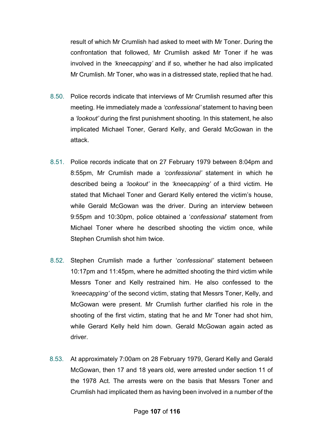result of which Mr Crumlish had asked to meet with Mr Toner. During the confrontation that followed, Mr Crumlish asked Mr Toner if he was involved in the *'kneecapping'* and if so, whether he had also implicated Mr Crumlish. Mr Toner, who was in a distressed state, replied that he had.

- 8.50. Police records indicate that interviews of Mr Crumlish resumed after this meeting. He immediately made a *'confessional'* statement to having been a *'lookout'* during the first punishment shooting. In this statement, he also implicated Michael Toner, Gerard Kelly, and Gerald McGowan in the attack.
- 8.51. Police records indicate that on 27 February 1979 between 8:04pm and 8:55pm, Mr Crumlish made a *'confessional'* statement in which he described being a *'lookout'* in the *'kneecapping'* of a third victim. He stated that Michael Toner and Gerard Kelly entered the victim's house, while Gerald McGowan was the driver. During an interview between 9:55pm and 10:30pm, police obtained a '*confessional*' statement from Michael Toner where he described shooting the victim once, while Stephen Crumlish shot him twice.
- 8.52. Stephen Crumlish made a further '*confessional'* statement between 10:17pm and 11:45pm, where he admitted shooting the third victim while Messrs Toner and Kelly restrained him. He also confessed to the *'kneecapping'* of the second victim, stating that Messrs Toner, Kelly, and McGowan were present. Mr Crumlish further clarified his role in the shooting of the first victim, stating that he and Mr Toner had shot him, while Gerard Kelly held him down. Gerald McGowan again acted as driver.
- 8.53. At approximately 7:00am on 28 February 1979, Gerard Kelly and Gerald McGowan, then 17 and 18 years old, were arrested under section 11 of the 1978 Act. The arrests were on the basis that Messrs Toner and Crumlish had implicated them as having been involved in a number of the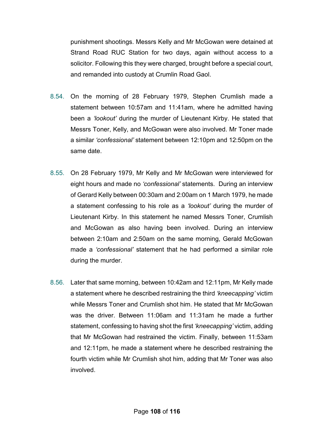punishment shootings. Messrs Kelly and Mr McGowan were detained at Strand Road RUC Station for two days, again without access to a solicitor. Following this they were charged, brought before a special court, and remanded into custody at Crumlin Road Gaol.

- 8.54. On the morning of 28 February 1979, Stephen Crumlish made a statement between 10:57am and 11:41am, where he admitted having been a *'lookout'* during the murder of Lieutenant Kirby. He stated that Messrs Toner, Kelly, and McGowan were also involved. Mr Toner made a similar *'confessional'* statement between 12:10pm and 12:50pm on the same date.
- 8.55. On 28 February 1979, Mr Kelly and Mr McGowan were interviewed for eight hours and made no *'confessional'* statements. During an interview of Gerard Kelly between 00:30am and 2:00am on 1 March 1979, he made a statement confessing to his role as a *'lookout'* during the murder of Lieutenant Kirby. In this statement he named Messrs Toner, Crumlish and McGowan as also having been involved. During an interview between 2:10am and 2:50am on the same morning, Gerald McGowan made a *'confessional'* statement that he had performed a similar role during the murder.
- 8.56. Later that same morning, between 10:42am and 12:11pm, Mr Kelly made a statement where he described restraining the third *'kneecapping'* victim while Messrs Toner and Crumlish shot him. He stated that Mr McGowan was the driver. Between 11:06am and 11:31am he made a further statement, confessing to having shot the first *'kneecapping'* victim, adding that Mr McGowan had restrained the victim. Finally, between 11:53am and 12:11pm, he made a statement where he described restraining the fourth victim while Mr Crumlish shot him, adding that Mr Toner was also involved.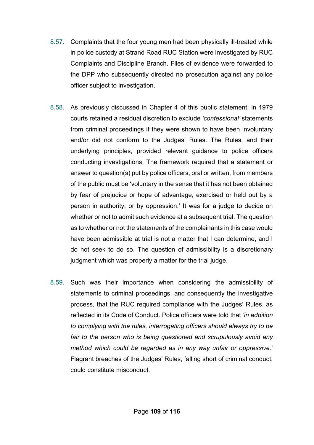- 8.57. Complaints that the four young men had been physically ill-treated while in police custody at Strand Road RUC Station were investigated by RUC Complaints and Discipline Branch. Files of evidence were forwarded to the DPP who subsequently directed no prosecution against any police officer subject to investigation.
- 8.58. As previously discussed in Chapter 4 of this public statement, in 1979 courts retained a residual discretion to exclude *'confessional'* statements from criminal proceedings if they were shown to have been involuntary and/or did not conform to the Judges' Rules. The Rules, and their underlying principles, provided relevant guidance to police officers conducting investigations. The framework required that a statement or answer to question(s) put by police officers, oral or written, from members of the public must be 'voluntary in the sense that it has not been obtained by fear of prejudice or hope of advantage, exercised or held out by a person in authority, or by oppression.' It was for a judge to decide on whether or not to admit such evidence at a subsequent trial. The question as to whether or not the statements of the complainants in this case would have been admissible at trial is not a matter that I can determine, and I do not seek to do so. The question of admissibility is a discretionary judgment which was properly a matter for the trial judge.
- 8.59. Such was their importance when considering the admissibility of statements to criminal proceedings, and consequently the investigative process, that the RUC required compliance with the Judges' Rules, as reflected in its Code of Conduct. Police officers were told that *'in addition to complying with the rules, interrogating officers should always try to be fair to the person who is being questioned and scrupulously avoid any method which could be regarded as in any way unfair or oppressive.'* Flagrant breaches of the Judges' Rules, falling short of criminal conduct, could constitute misconduct.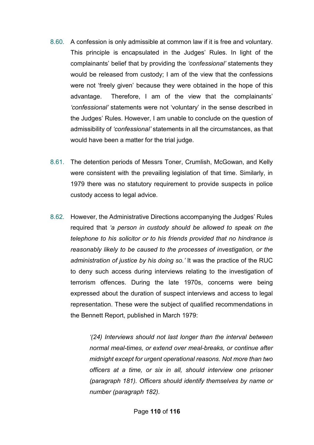- 8.60. A confession is only admissible at common law if it is free and voluntary. This principle is encapsulated in the Judges' Rules. In light of the complainants' belief that by providing the *'confessional'* statements they would be released from custody; I am of the view that the confessions were not 'freely given' because they were obtained in the hope of this advantage. Therefore, I am of the view that the complainants' *'confessional'* statements were not 'voluntary' in the sense described in the Judges' Rules. However, I am unable to conclude on the question of admissibility of *'confessional'* statements in all the circumstances, as that would have been a matter for the trial judge.
- 8.61. The detention periods of Messrs Toner, Crumlish, McGowan, and Kelly were consistent with the prevailing legislation of that time. Similarly, in 1979 there was no statutory requirement to provide suspects in police custody access to legal advice.
- 8.62. However, the Administrative Directions accompanying the Judges' Rules required that *'a person in custody should be allowed to speak on the telephone to his solicitor or to his friends provided that no hindrance is reasonably likely to be caused to the processes of investigation, or the administration of justice by his doing so.'* It was the practice of the RUC to deny such access during interviews relating to the investigation of terrorism offences. During the late 1970s, concerns were being expressed about the duration of suspect interviews and access to legal representation. These were the subject of qualified recommendations in the Bennett Report, published in March 1979:

*'(24) Interviews should not last longer than the interval between normal meal-times, or extend over meal-breaks, or continue after midnight except for urgent operational reasons. Not more than two officers at a time, or six in all, should interview one prisoner (paragraph 181). Officers should identify themselves by name or number (paragraph 182).*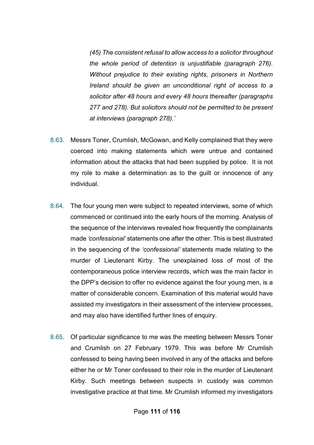*(45) The consistent refusal to allow access to a solicitor throughout the whole period of detention is unjustifiable (paragraph 276). Without prejudice to their existing rights, prisoners in Northern Ireland should be given an unconditional right of access to a solicitor after 48 hours and every 48 hours thereafter (paragraphs 277 and 278). But solicitors should not be permitted to be present at interviews (paragraph 278).'*

- 8.63. Messrs Toner, Crumlish, McGowan, and Kelly complained that they were coerced into making statements which were untrue and contained information about the attacks that had been supplied by police. It is not my role to make a determination as to the guilt or innocence of any individual.
- 8.64. The four young men were subject to repeated interviews, some of which commenced or continued into the early hours of the morning. Analysis of the sequence of the interviews revealed how frequently the complainants made *'confessional'* statements one after the other. This is best illustrated in the sequencing of the *'confessional'* statements made relating to the murder of Lieutenant Kirby. The unexplained loss of most of the contemporaneous police interview records, which was the main factor in the DPP's decision to offer no evidence against the four young men, is a matter of considerable concern. Examination of this material would have assisted my investigators in their assessment of the interview processes, and may also have identified further lines of enquiry.
- 8.65. Of particular significance to me was the meeting between Messrs Toner and Crumlish on 27 February 1979. This was before Mr Crumlish confessed to being having been involved in any of the attacks and before either he or Mr Toner confessed to their role in the murder of Lieutenant Kirby. Such meetings between suspects in custody was common investigative practice at that time. Mr Crumlish informed my investigators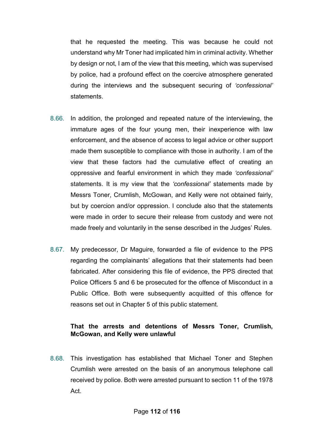that he requested the meeting. This was because he could not understand why Mr Toner had implicated him in criminal activity. Whether by design or not, I am of the view that this meeting, which was supervised by police, had a profound effect on the coercive atmosphere generated during the interviews and the subsequent securing of *'confessional'* statements.

- 8.66. In addition, the prolonged and repeated nature of the interviewing, the immature ages of the four young men, their inexperience with law enforcement, and the absence of access to legal advice or other support made them susceptible to compliance with those in authority. I am of the view that these factors had the cumulative effect of creating an oppressive and fearful environment in which they made *'confessional'* statements. It is my view that the *'confessional'* statements made by Messrs Toner, Crumlish, McGowan, and Kelly were not obtained fairly, but by coercion and/or oppression. I conclude also that the statements were made in order to secure their release from custody and were not made freely and voluntarily in the sense described in the Judges' Rules.
- 8.67. My predecessor, Dr Maguire, forwarded a file of evidence to the PPS regarding the complainants' allegations that their statements had been fabricated. After considering this file of evidence, the PPS directed that Police Officers 5 and 6 be prosecuted for the offence of Misconduct in a Public Office. Both were subsequently acquitted of this offence for reasons set out in Chapter 5 of this public statement.

## **That the arrests and detentions of Messrs Toner, Crumlish, McGowan, and Kelly were unlawful**

8.68. This investigation has established that Michael Toner and Stephen Crumlish were arrested on the basis of an anonymous telephone call received by police. Both were arrested pursuant to section 11 of the 1978 Act.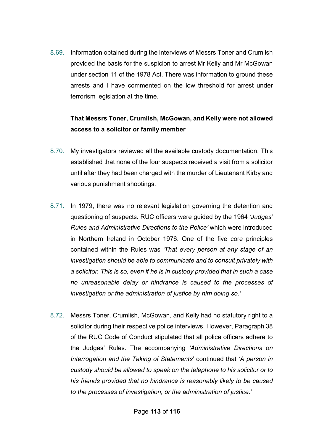8.69. Information obtained during the interviews of Messrs Toner and Crumlish provided the basis for the suspicion to arrest Mr Kelly and Mr McGowan under section 11 of the 1978 Act. There was information to ground these arrests and I have commented on the low threshold for arrest under terrorism legislation at the time.

## **That Messrs Toner, Crumlish, McGowan, and Kelly were not allowed access to a solicitor or family member**

- 8.70. My investigators reviewed all the available custody documentation. This established that none of the four suspects received a visit from a solicitor until after they had been charged with the murder of Lieutenant Kirby and various punishment shootings.
- 8.71. In 1979, there was no relevant legislation governing the detention and questioning of suspects. RUC officers were guided by the 1964 *'Judges' Rules and Administrative Directions to the Police'* which were introduced in Northern Ireland in October 1976. One of the five core principles contained within the Rules was *'That every person at any stage of an investigation should be able to communicate and to consult privately with a solicitor. This is so, even if he is in custody provided that in such a case no unreasonable delay or hindrance is caused to the processes of investigation or the administration of justice by him doing so.'*
- 8.72. Messrs Toner, Crumlish, McGowan, and Kelly had no statutory right to a solicitor during their respective police interviews. However, Paragraph 38 of the RUC Code of Conduct stipulated that all police officers adhere to the Judges' Rules. The accompanying *'Administrative Directions on Interrogation and the Taking of Statements*' continued that *'A person in custody should be allowed to speak on the telephone to his solicitor or to his friends provided that no hindrance is reasonably likely to be caused to the processes of investigation, or the administration of justice.'*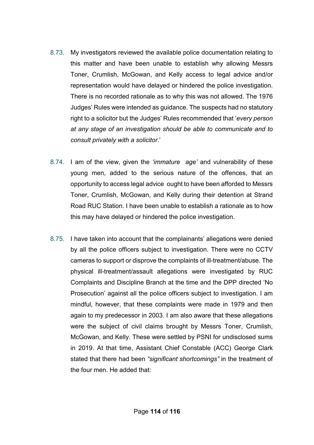- 8.73. My investigators reviewed the available police documentation relating to this matter and have been unable to establish why allowing Messrs Toner, Crumlish, McGowan, and Kelly access to legal advice and/or representation would have delayed or hindered the police investigation. There is no recorded rationale as to why this was not allowed. The 1976 Judges' Rules were intended as guidance. The suspects had no statutory right to a solicitor but the Judges' Rules recommended that '*every person at any stage of an investigation should be able to communicate and to consult privately with a solicitor*.'
- 8.74. I am of the view, given the *'immature age'* and vulnerability of these young men, added to the serious nature of the offences, that an opportunity to access legal advice ought to have been afforded to Messrs Toner, Crumlish, McGowan, and Kelly during their detention at Strand Road RUC Station. I have been unable to establish a rationale as to how this may have delayed or hindered the police investigation.
- 8.75. I have taken into account that the complainants' allegations were denied by all the police officers subject to investigation. There were no CCTV cameras to support or disprove the complaints of ill-treatment/abuse. The physical ill-treatment/assault allegations were investigated by RUC Complaints and Discipline Branch at the time and the DPP directed 'No Prosecution' against all the police officers subject to investigation. I am mindful, however, that these complaints were made in 1979 and then again to my predecessor in 2003. I am also aware that these allegations were the subject of civil claims brought by Messrs Toner, Crumlish, McGowan, and Kelly. These were settled by PSNI for undisclosed sums in 2019. At that time, Assistant Chief Constable (ACC) George Clark stated that there had been *"significant shortcomings"* in the treatment of the four men. He added that: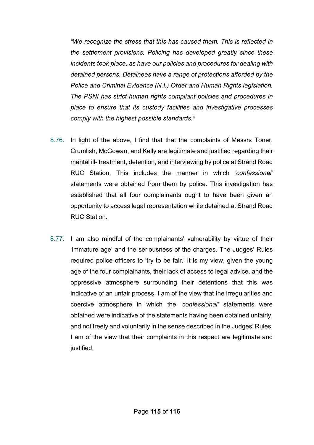*"We recognize the stress that this has caused them. This is reflected in the settlement provisions. Policing has developed greatly since these incidents took place, as have our policies and procedures for dealing with detained persons. Detainees have a range of protections afforded by the Police and Criminal Evidence (N.I.) Order and Human Rights legislation. The PSNI has strict human rights compliant policies and procedures in place to ensure that its custody facilities and investigative processes comply with the highest possible standards."*

- 8.76. In light of the above, I find that that the complaints of Messrs Toner, Crumlish, McGowan, and Kelly are legitimate and justified regarding their mental ill- treatment, detention, and interviewing by police at Strand Road RUC Station. This includes the manner in which *'confessional'* statements were obtained from them by police. This investigation has established that all four complainants ought to have been given an opportunity to access legal representation while detained at Strand Road RUC Station.
- 8.77. I am also mindful of the complainants' vulnerability by virtue of their 'immature age' and the seriousness of the charges. The Judges' Rules required police officers to 'try to be fair.' It is my view, given the young age of the four complainants, their lack of access to legal advice, and the oppressive atmosphere surrounding their detentions that this was indicative of an unfair process. I am of the view that the irregularities and coercive atmosphere in which the *'confessional'* statements were obtained were indicative of the statements having been obtained unfairly, and not freely and voluntarily in the sense described in the Judges' Rules. I am of the view that their complaints in this respect are legitimate and justified.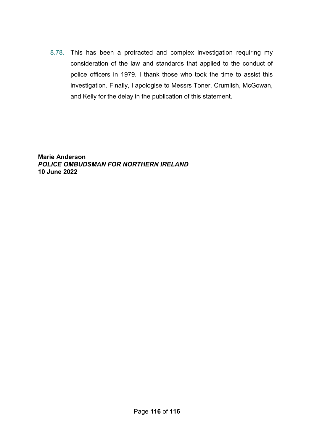8.78. This has been a protracted and complex investigation requiring my consideration of the law and standards that applied to the conduct of police officers in 1979. I thank those who took the time to assist this investigation. Finally, I apologise to Messrs Toner, Crumlish, McGowan, and Kelly for the delay in the publication of this statement.

**Marie Anderson** *POLICE OMBUDSMAN FOR NORTHERN IRELAND* **10 June 2022**